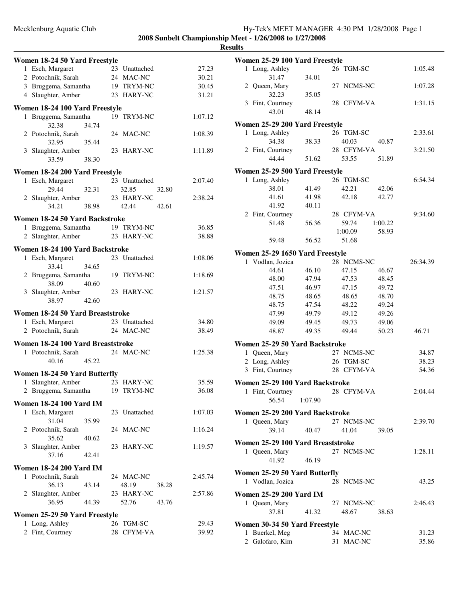## Mecklenburg Aquatic Club Hy-Tek's MEET MANAGER 4:30 PM 1/28/2008 Page 1 **2008 Sunbelt Championship Meet - 1/26/2008 to 1/27/2008**

# **Results**

|                                | Women 18-24 50 Yard Freestyle     |       |  |               |         |  |  |  |  |
|--------------------------------|-----------------------------------|-------|--|---------------|---------|--|--|--|--|
|                                | 1 Esch, Margaret                  |       |  | 23 Unattached | 27.23   |  |  |  |  |
|                                | 2 Potochnik, Sarah                |       |  | 24 MAC-NC     | 30.21   |  |  |  |  |
|                                |                                   |       |  |               |         |  |  |  |  |
|                                | 3 Bruggema, Samantha              |       |  | 19 TRYM-NC    | 30.45   |  |  |  |  |
|                                | 4 Slaughter, Amber                |       |  | 23 HARY-NC    | 31.21   |  |  |  |  |
|                                | Women 18-24 100 Yard Freestyle    |       |  |               |         |  |  |  |  |
|                                | 1 Bruggema, Samantha              |       |  | 19 TRYM-NC    | 1:07.12 |  |  |  |  |
|                                | 32.38                             | 34.74 |  |               |         |  |  |  |  |
|                                |                                   |       |  |               |         |  |  |  |  |
|                                | 2 Potochnik, Sarah                |       |  | 24 MAC-NC     | 1:08.39 |  |  |  |  |
|                                | 32.95                             | 35.44 |  |               |         |  |  |  |  |
|                                | 3 Slaughter, Amber                |       |  | 23 HARY-NC    | 1:11.89 |  |  |  |  |
|                                | 33.59                             | 38.30 |  |               |         |  |  |  |  |
| Women 18-24 200 Yard Freestyle |                                   |       |  |               |         |  |  |  |  |
|                                |                                   |       |  |               |         |  |  |  |  |
|                                | 1 Esch, Margaret                  |       |  | 23 Unattached | 2:07.40 |  |  |  |  |
|                                | 29.44                             | 32.31 |  | 32.85         | 32.80   |  |  |  |  |
|                                | 2 Slaughter, Amber                |       |  | 23 HARY-NC    | 2:38.24 |  |  |  |  |
|                                | 34.21                             | 38.98 |  | 42.44         | 42.61   |  |  |  |  |
|                                |                                   |       |  |               |         |  |  |  |  |
|                                | Women 18-24 50 Yard Backstroke    |       |  |               |         |  |  |  |  |
|                                | 1 Bruggema, Samantha              |       |  | 19 TRYM-NC    | 36.85   |  |  |  |  |
|                                | 2 Slaughter, Amber                |       |  | 23 HARY-NC    | 38.88   |  |  |  |  |
|                                |                                   |       |  |               |         |  |  |  |  |
|                                | Women 18-24 100 Yard Backstroke   |       |  |               |         |  |  |  |  |
|                                | 1 Esch, Margaret                  |       |  | 23 Unattached | 1:08.06 |  |  |  |  |
|                                | 33.41                             | 34.65 |  |               |         |  |  |  |  |
|                                | 2 Bruggema, Samantha              |       |  | 19 TRYM-NC    | 1:18.69 |  |  |  |  |
|                                | 38.09                             | 40.60 |  |               |         |  |  |  |  |
|                                | 3 Slaughter, Amber                |       |  | 23 HARY-NC    | 1:21.57 |  |  |  |  |
|                                | 38.97                             | 42.60 |  |               |         |  |  |  |  |
|                                |                                   |       |  |               |         |  |  |  |  |
|                                | Women 18-24 50 Yard Breaststroke  |       |  |               |         |  |  |  |  |
|                                | 1 Esch, Margaret                  |       |  | 23 Unattached | 34.80   |  |  |  |  |
|                                | 2 Potochnik, Sarah                |       |  | 24 MAC-NC     | 38.49   |  |  |  |  |
|                                |                                   |       |  |               |         |  |  |  |  |
|                                | Women 18-24 100 Yard Breaststroke |       |  |               |         |  |  |  |  |
|                                | 1 Potochnik, Sarah                |       |  | 24 MAC-NC     | 1:25.38 |  |  |  |  |
|                                | 40.16                             | 45.22 |  |               |         |  |  |  |  |
|                                |                                   |       |  |               |         |  |  |  |  |
|                                | Women 18-24 50 Yard Butterfly     |       |  |               |         |  |  |  |  |
|                                | 1 Slaughter, Amber                |       |  | 23 HARY-NC    | 35.59   |  |  |  |  |
|                                | 2 Bruggema, Samantha 19 TRYM-NC   |       |  |               | 36.08   |  |  |  |  |
|                                |                                   |       |  |               |         |  |  |  |  |
|                                | <b>Women 18-24 100 Yard IM</b>    |       |  |               |         |  |  |  |  |
|                                | 1 Esch, Margaret                  |       |  | 23 Unattached | 1:07.03 |  |  |  |  |
|                                | 31.04                             | 35.99 |  |               |         |  |  |  |  |
|                                | 2 Potochnik, Sarah                |       |  | 24 MAC-NC     | 1:16.24 |  |  |  |  |
|                                | 35.62                             | 40.62 |  |               |         |  |  |  |  |
|                                | 3 Slaughter, Amber                |       |  | 23 HARY-NC    | 1:19.57 |  |  |  |  |
|                                | 37.16                             |       |  |               |         |  |  |  |  |
|                                |                                   | 42.41 |  |               |         |  |  |  |  |
|                                | <b>Women 18-24 200 Yard IM</b>    |       |  |               |         |  |  |  |  |
|                                | 1 Potochnik, Sarah                |       |  | 24 MAC-NC     | 2:45.74 |  |  |  |  |
|                                | 36.13                             | 43.14 |  | 48.19         | 38.28   |  |  |  |  |
|                                | 2 Slaughter, Amber                |       |  | 23 HARY-NC    | 2:57.86 |  |  |  |  |
|                                |                                   |       |  |               |         |  |  |  |  |
|                                | 36.95                             | 44.39 |  | 52.76         | 43.76   |  |  |  |  |
|                                | Women 25-29 50 Yard Freestyle     |       |  |               |         |  |  |  |  |
|                                | 1 Long, Ashley                    |       |  | 26 TGM-SC     | 29.43   |  |  |  |  |
|                                | 2 Fint, Courtney                  |       |  | 28 CFYM-VA    | 39.92   |  |  |  |  |
|                                |                                   |       |  |               |         |  |  |  |  |

|   | Women 25-29 100 Yard Freestyle    |       |            |         |          |
|---|-----------------------------------|-------|------------|---------|----------|
|   | 1 Long, Ashley                    |       | 26 TGM-SC  |         | 1:05.48  |
|   | 31.47                             | 34.01 |            |         |          |
|   | 2 Queen, Mary                     |       | 27 NCMS-NC |         | 1:07.28  |
|   | 32.23                             | 35.05 |            |         |          |
|   | 3 Fint, Courtney                  |       | 28 CFYM-VA |         | 1:31.15  |
|   | 43.01                             | 48.14 |            |         |          |
|   | Women 25-29 200 Yard Freestyle    |       |            |         |          |
| 1 | Long, Ashley                      |       | 26 TGM-SC  |         | 2:33.61  |
|   | 34.38                             | 38.33 | 40.03      | 40.87   |          |
|   | 2 Fint, Courtney                  |       | 28 CFYM-VA |         | 3:21.50  |
|   | 44.44                             | 51.62 | 53.55      | 51.89   |          |
|   | Women 25-29 500 Yard Freestyle    |       |            |         |          |
|   | 1 Long, Ashley                    |       | 26 TGM-SC  |         | 6:54.34  |
|   | 38.01                             | 41.49 | 42.21      | 42.06   |          |
|   | 41.61                             | 41.98 | 42.18      | 42.77   |          |
|   | 41.92                             | 40.11 |            |         |          |
|   | 2 Fint, Courtney                  |       | 28 CFYM-VA |         | 9:34.60  |
|   | 51.48                             | 56.36 | 59.74      | 1:00.22 |          |
|   |                                   |       | 1:00.09    | 58.93   |          |
|   | 59.48                             | 56.52 | 51.68      |         |          |
|   | Women 25-29 1650 Yard Freestyle   |       |            |         |          |
|   | 1 Vodlan, Jozica                  |       | 28 NCMS-NC |         | 26:34.39 |
|   | 44.61                             | 46.10 | 47.15      | 46.67   |          |
|   | 48.00                             | 47.94 | 47.53      | 48.45   |          |
|   | 47.51                             | 46.97 | 47.15      | 49.72   |          |
|   | 48.75                             | 48.65 | 48.65      | 48.70   |          |
|   | 48.75                             | 47.54 | 48.22      | 49.24   |          |
|   | 47.99                             | 49.79 | 49.12      | 49.26   |          |
|   | 49.09                             | 49.45 | 49.73      | 49.06   |          |
|   | 48.87                             | 49.35 | 49.44      | 50.23   | 46.71    |
|   | Women 25-29 50 Yard Backstroke    |       |            |         |          |
|   | 1 Queen, Mary                     |       | 27 NCMS-NC |         | 34.87    |
|   | 2 Long, Ashley                    |       | 26 TGM-SC  |         | 38.23    |
|   | 3 Fint, Courtney                  |       | 28 CFYM-VA |         | 54.36    |
|   | Women 25-29 100 Yard Backstroke   |       |            |         |          |
| 1 | Fint, Courtney                    |       | 28 CFYM-VA |         | 2:04.44  |
|   | 56.54 1:07.90                     |       |            |         |          |
|   | Women 25-29 200 Yard Backstroke   |       |            |         |          |
|   | 1 Queen, Mary                     |       | 27 NCMS-NC |         | 2:39.70  |
|   | 39.14                             | 40.47 | 41.04      | 39.05   |          |
|   |                                   |       |            |         |          |
|   | Women 25-29 100 Yard Breaststroke |       | 27 NCMS-NC |         |          |
|   | 1 Queen, Mary<br>41.92            | 46.19 |            |         | 1:28.11  |
|   |                                   |       |            |         |          |
|   | Women 25-29 50 Yard Butterfly     |       |            |         |          |
|   | 1 Vodlan, Jozica                  |       | 28 NCMS-NC |         | 43.25    |
|   | Women 25-29 200 Yard IM           |       |            |         |          |
|   | 1 Queen, Mary                     |       | 27 NCMS-NC |         | 2:46.43  |
|   | 37.81                             | 41.32 | 48.67      | 38.63   |          |
|   | Women 30-34 50 Yard Freestyle     |       |            |         |          |
| 1 | Buerkel, Meg                      |       | 34 MAC-NC  |         | 31.23    |
|   | 2 Galofaro, Kim                   |       | 31 MAC-NC  |         | 35.86    |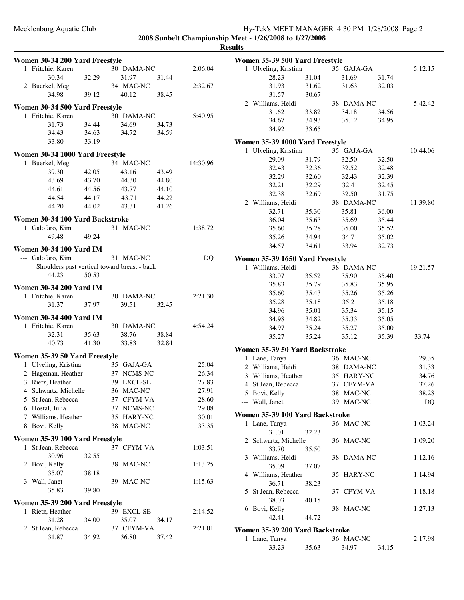**2008 Sunbelt Championship Meet - 1/26/2008 to 1/27/2008**

**Results**

| Women 30-34 200 Yard Freestyle        |       |                                              |       |                | <b>Women 35-39 500 Yard Fre</b>               |       |
|---------------------------------------|-------|----------------------------------------------|-------|----------------|-----------------------------------------------|-------|
| 1 Fritchie, Karen                     |       | 30 DAMA-NC                                   |       | 2:06.04        | 1 Ulveling, Kristina                          |       |
| 30.34                                 | 32.29 | 31.97                                        | 31.44 |                | 28.23                                         | 31.04 |
| 2 Buerkel, Meg                        |       | 34 MAC-NC                                    |       | 2:32.67        | 31.93                                         | 31.62 |
| 34.98                                 | 39.12 | 40.12                                        | 38.45 |                | 31.57                                         | 30.67 |
| Women 30-34 500 Yard Freestyle        |       |                                              |       |                | 2 Williams, Heidi                             |       |
| 1 Fritchie, Karen                     |       | 30 DAMA-NC                                   |       | 5:40.95        | 31.62                                         | 33.82 |
| 31.73                                 | 34.44 | 34.69                                        | 34.73 |                | 34.67                                         | 34.93 |
| 34.43                                 | 34.63 | 34.72                                        | 34.59 |                | 34.92                                         | 33.65 |
| 33.80                                 | 33.19 |                                              |       |                | Women 35-39 1000 Yard Fı                      |       |
|                                       |       |                                              |       |                | 1 Ulveling, Kristina                          |       |
| Women 30-34 1000 Yard Freestyle       |       |                                              |       |                | 29.09                                         | 31.79 |
| 1 Buerkel, Meg                        |       | 34 MAC-NC                                    |       | 14:30.96       | 32.43                                         | 32.36 |
| 39.30                                 | 42.05 | 43.16                                        | 43.49 |                | 32.29                                         | 32.60 |
| 43.69                                 | 43.70 | 44.30                                        | 44.80 |                | 32.21                                         | 32.29 |
| 44.61                                 | 44.56 | 43.77                                        | 44.10 |                | 32.38                                         | 32.69 |
| 44.54                                 | 44.17 | 43.71                                        | 44.22 |                | 2 Williams, Heidi                             |       |
| 44.20                                 | 44.02 | 43.31                                        | 41.26 |                | 32.71                                         | 35.30 |
| Women 30-34 100 Yard Backstroke       |       |                                              |       |                | 36.04                                         | 35.63 |
| 1 Galofaro, Kim                       |       | 31 MAC-NC                                    |       | 1:38.72        | 35.60                                         | 35.28 |
| 49.48                                 | 49.24 |                                              |       |                | 35.26                                         | 34.94 |
| <b>Women 30-34 100 Yard IM</b>        |       |                                              |       |                | 34.57                                         | 34.61 |
| --- Galofaro, Kim                     |       | 31 MAC-NC                                    |       | DQ             |                                               |       |
|                                       |       | Shoulders past vertical toward breast - back |       |                | Women 35-39 1650 Yard Fı<br>1 Williams, Heidi |       |
| 44.23                                 | 50.53 |                                              |       |                | 33.07                                         | 35.52 |
|                                       |       |                                              |       |                | 35.83                                         | 35.79 |
| <b>Women 30-34 200 Yard IM</b>        |       |                                              |       |                | 35.60                                         | 35.43 |
| 1 Fritchie, Karen                     |       | 30 DAMA-NC                                   |       | 2:21.30        | 35.28                                         | 35.18 |
| 31.37                                 | 37.97 | 39.51                                        | 32.45 |                | 34.96                                         | 35.01 |
| <b>Women 30-34 400 Yard IM</b>        |       |                                              |       |                | 34.98                                         | 34.82 |
| 1 Fritchie, Karen                     |       | 30 DAMA-NC                                   |       | 4:54.24        | 34.97                                         | 35.24 |
| 32.31                                 | 35.63 | 38.76                                        | 38.84 |                | 35.27                                         | 35.24 |
| 40.73                                 | 41.30 | 33.83                                        | 32.84 |                |                                               |       |
| Women 35-39 50 Yard Freestyle         |       |                                              |       |                | Women 35-39 50 Yard Bacl                      |       |
| 1 Ulveling, Kristina                  |       | 35 GAJA-GA                                   |       | 25.04          | 1 Lane, Tanya                                 |       |
| 2 Hageman, Heather                    |       | 37 NCMS-NC                                   |       | 26.34          | 2 Williams, Heidi                             |       |
| 3 Rietz, Heather                      |       | 39 EXCL-SE                                   |       | 27.83          | 3 Williams, Heather                           |       |
| 4 Schwartz, Michelle                  |       | 36 MAC-NC                                    |       | 27.91          | 4 St Jean, Rebecca                            |       |
|                                       |       |                                              |       |                | 5 Bovi, Kelly                                 |       |
| 5 St Jean, Rebecca<br>6 Hostal, Julia |       | 37 CFYM-VA<br>37 NCMS-NC                     |       | 28.60<br>29.08 | --- Wall, Janet                               |       |
| 7 Williams, Heather                   |       | 35 HARY-NC                                   |       | 30.01          | Women 35-39 100 Yard Ba                       |       |
| 8 Bovi, Kelly                         |       | 38 MAC-NC                                    |       | 33.35          | 1 Lane, Tanya                                 |       |
|                                       |       |                                              |       |                | 31.01                                         | 32.23 |
| Women 35-39 100 Yard Freestyle        |       |                                              |       |                | 2 Schwartz, Michelle                          |       |
| 1 St Jean, Rebecca                    |       | 37 CFYM-VA                                   |       | 1:03.51        | 33.70                                         | 35.50 |
| 30.96                                 | 32.55 |                                              |       |                | 3 Williams, Heidi                             |       |
| 2 Bovi, Kelly                         |       | 38 MAC-NC                                    |       | 1:13.25        | 35.09                                         | 37.07 |
| 35.07                                 | 38.18 |                                              |       |                | 4 Williams, Heather                           |       |
| 3 Wall, Janet                         |       | 39 MAC-NC                                    |       | 1:15.63        | 36.71                                         | 38.23 |
| 35.83                                 | 39.80 |                                              |       |                | 5 St Jean, Rebecca                            |       |
| Women 35-39 200 Yard Freestyle        |       |                                              |       |                | 38.03                                         | 40.15 |
| 1 Rietz, Heather                      |       | 39 EXCL-SE                                   |       | 2:14.52        | 6 Bovi, Kelly                                 |       |
| 31.28                                 | 34.00 | 35.07                                        | 34.17 |                | 42.41                                         | 44.72 |
| 2 St Jean, Rebecca                    |       | 37 CFYM-VA                                   |       | 2:21.01        | <b>Women 35-39 200 Yard Ba</b>                |       |
| 31.87                                 | 34.92 | 36.80                                        | 37.42 |                | 1 Lane, Tanya                                 |       |
|                                       |       |                                              |       |                | 33.23                                         | 35.63 |

| Women 35-39 500 Yard Freestyle |                                 |                |  |                |                |          |  |  |  |
|--------------------------------|---------------------------------|----------------|--|----------------|----------------|----------|--|--|--|
|                                | 1 Ulveling, Kristina            |                |  | 35 GAJA-GA     |                | 5:12.15  |  |  |  |
|                                | 28.23                           | 31.04          |  | 31.69          | 31.74          |          |  |  |  |
|                                | 31.93                           | 31.62          |  | 31.63          | 32.03          |          |  |  |  |
|                                | 31.57                           | 30.67          |  |                |                |          |  |  |  |
|                                | 2 Williams, Heidi               |                |  | 38 DAMA-NC     |                | 5:42.42  |  |  |  |
|                                | 31.62                           | 33.82          |  | 34.18          | 34.56          |          |  |  |  |
|                                | 34.67                           | 34.93          |  | 35.12          | 34.95          |          |  |  |  |
|                                | 34.92                           | 33.65          |  |                |                |          |  |  |  |
|                                | Women 35-39 1000 Yard Freestyle |                |  |                |                |          |  |  |  |
|                                | 1 Ulveling, Kristina            |                |  | 35 GAJA-GA     |                | 10:44.06 |  |  |  |
|                                | 29.09                           | 31.79          |  | 32.50          | 32.50          |          |  |  |  |
|                                | 32.43                           | 32.36          |  | 32.52          | 32.48          |          |  |  |  |
|                                | 32.29                           | 32.60          |  | 32.43          | 32.39          |          |  |  |  |
|                                | 32.21                           | 32.29          |  | 32.41          | 32.45          |          |  |  |  |
|                                | 32.38                           | 32.69          |  | 32.50          | 31.75          |          |  |  |  |
|                                | 2 Williams, Heidi               |                |  | 38 DAMA-NC     |                | 11:39.80 |  |  |  |
|                                | 32.71                           | 35.30          |  | 35.81          | 36.00          |          |  |  |  |
|                                | 36.04                           | 35.63          |  | 35.69          | 35.44          |          |  |  |  |
|                                | 35.60                           | 35.28          |  | 35.00          | 35.52          |          |  |  |  |
|                                | 35.26                           | 34.94          |  | 34.71          | 35.02          |          |  |  |  |
|                                | 34.57                           | 34.61          |  | 33.94          | 32.73          |          |  |  |  |
|                                |                                 |                |  |                |                |          |  |  |  |
|                                | Women 35-39 1650 Yard Freestyle |                |  |                |                |          |  |  |  |
|                                | 1 Williams, Heidi               |                |  | 38 DAMA-NC     |                | 19:21.57 |  |  |  |
|                                | 33.07                           | 35.52          |  | 35.90          | 35.40          |          |  |  |  |
|                                | 35.83                           | 35.79          |  | 35.83<br>35.26 | 35.95<br>35.26 |          |  |  |  |
|                                | 35.60                           | 35.43          |  | 35.21          | 35.18          |          |  |  |  |
|                                | 35.28                           | 35.18          |  |                | 35.15          |          |  |  |  |
|                                | 34.96<br>34.98                  | 35.01<br>34.82 |  | 35.34<br>35.33 |                |          |  |  |  |
|                                | 34.97                           | 35.24          |  | 35.27          | 35.05          |          |  |  |  |
|                                | 35.27                           | 35.24          |  | 35.12          | 35.00<br>35.39 | 33.74    |  |  |  |
|                                |                                 |                |  |                |                |          |  |  |  |
|                                | Women 35-39 50 Yard Backstroke  |                |  |                |                |          |  |  |  |
| 1                              | Lane, Tanya                     |                |  | 36 MAC-NC      |                | 29.35    |  |  |  |
| 2                              | Williams, Heidi                 |                |  | 38 DAMA-NC     |                | 31.33    |  |  |  |
|                                | 3 Williams, Heather             |                |  | 35 HARY-NC     |                | 34.76    |  |  |  |
|                                | 4 St Jean, Rebecca              |                |  | 37 CFYM-VA     |                | 37.26    |  |  |  |
|                                | 5 Bovi, Kelly                   |                |  | 38 MAC-NC      |                | 38.28    |  |  |  |
|                                | --- Wall, Janet                 |                |  | 39 MAC-NC      |                | DQ       |  |  |  |
|                                | Women 35-39 100 Yard Backstroke |                |  |                |                |          |  |  |  |
| 1.                             | Lane, Tanya                     |                |  | 36 MAC-NC      |                | 1:03.24  |  |  |  |
|                                | 31.01                           | 32.23          |  |                |                |          |  |  |  |
|                                | 2 Schwartz, Michelle            |                |  | 36 MAC-NC      |                | 1:09.20  |  |  |  |
|                                | 33.70                           | 35.50          |  |                |                |          |  |  |  |
|                                | 3 Williams, Heidi               |                |  | 38 DAMA-NC     |                | 1:12.16  |  |  |  |
|                                | 35.09                           | 37.07          |  |                |                |          |  |  |  |
|                                | 4 Williams, Heather             |                |  | 35 HARY-NC     |                | 1:14.94  |  |  |  |
|                                | 36.71                           | 38.23          |  |                |                |          |  |  |  |
| 5                              | St Jean, Rebecca                |                |  | 37 CFYM-VA     |                | 1:18.18  |  |  |  |
|                                | 38.03                           | 40.15          |  |                |                |          |  |  |  |
|                                | 6 Bovi, Kelly                   |                |  | 38 MAC-NC      |                | 1:27.13  |  |  |  |
|                                | 42.41                           | 44.72          |  |                |                |          |  |  |  |
|                                | Women 35-39 200 Yard Backstroke |                |  |                |                |          |  |  |  |
|                                | 1 Lane, Tanya                   |                |  | 36 MAC-NC      |                | 2:17.98  |  |  |  |
|                                | 33.23                           | 35.63          |  | 34.97          | 34.15          |          |  |  |  |
|                                |                                 |                |  |                |                |          |  |  |  |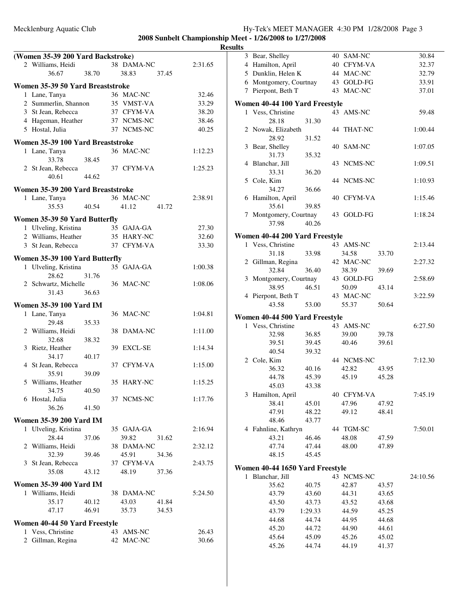|   | (Women 35-39 200 Yard Backstroke) |       |            |       |         |
|---|-----------------------------------|-------|------------|-------|---------|
|   | 2 Williams, Heidi                 |       | 38 DAMA-NC |       | 2:31.65 |
|   | 36.67                             | 38.70 | 38.83      | 37.45 |         |
|   |                                   |       |            |       |         |
|   | Women 35-39 50 Yard Breaststroke  |       |            |       |         |
|   | 1 Lane, Tanya                     |       | 36 MAC-NC  |       | 32.46   |
|   | 2 Summerlin, Shannon              |       | 35 VMST-VA |       | 33.29   |
|   | 3 St Jean, Rebecca                |       | 37 CFYM-VA |       | 38.20   |
|   | 4 Hageman, Heather                |       | 37 NCMS-NC |       | 38.46   |
|   | 5 Hostal, Julia                   |       | 37 NCMS-NC |       | 40.25   |
|   | Women 35-39 100 Yard Breaststroke |       |            |       |         |
|   | 1 Lane, Tanya                     |       | 36 MAC-NC  |       | 1:12.23 |
|   | 33.78                             | 38.45 |            |       |         |
|   | 2 St Jean, Rebecca                |       | 37 CFYM-VA |       | 1:25.23 |
|   | 40.61                             | 44.62 |            |       |         |
|   |                                   |       |            |       |         |
|   | Women 35-39 200 Yard Breaststroke |       |            |       |         |
|   | 1 Lane, Tanya                     |       | 36 MAC-NC  |       | 2:38.91 |
|   | 35.53                             | 40.54 | 41.12      | 41.72 |         |
|   | Women 35-39 50 Yard Butterfly     |       |            |       |         |
|   | 1 Ulveling, Kristina              |       | 35 GAJA-GA |       | 27.30   |
|   | 2 Williams, Heather               |       | 35 HARY-NC |       | 32.60   |
|   | 3 St Jean, Rebecca                |       | 37 CFYM-VA |       | 33.30   |
|   |                                   |       |            |       |         |
|   | Women 35-39 100 Yard Butterfly    |       |            |       |         |
|   | 1 Ulveling, Kristina              |       | 35 GAJA-GA |       | 1:00.38 |
|   | 28.62                             | 31.76 |            |       |         |
|   | 2 Schwartz, Michelle              |       | 36 MAC-NC  |       | 1:08.06 |
|   | 31.43                             | 36.63 |            |       |         |
|   | <b>Women 35-39 100 Yard IM</b>    |       |            |       |         |
|   | 1 Lane, Tanya                     |       | 36 MAC-NC  |       | 1:04.81 |
|   | 29.48                             | 35.33 |            |       |         |
|   | 2 Williams, Heidi                 |       | 38 DAMA-NC |       | 1:11.00 |
|   | 32.68                             | 38.32 |            |       |         |
|   | 3 Rietz, Heather                  |       | 39 EXCL-SE |       | 1:14.34 |
|   | 34.17                             | 40.17 |            |       |         |
|   | 4 St Jean, Rebecca                |       | 37 CFYM-VA |       | 1:15.00 |
|   | 35.91                             | 39.09 |            |       |         |
|   | 5 Williams, Heather               |       | 35 HARY-NC |       | 1:15.25 |
|   | 34.75                             | 40.50 |            |       |         |
|   | 6 Hostal, Julia                   |       | 37 NCMS-NC |       | 1:17.76 |
|   | 36.26                             | 41.50 |            |       |         |
|   | <b>Women 35-39 200 Yard IM</b>    |       |            |       |         |
| 1 | Ulveling, Kristina                |       | 35 GAJA-GA |       | 2:16.94 |
|   | 28.44                             | 37.06 | 39.82      | 31.62 |         |
|   | 2 Williams, Heidi                 |       | 38 DAMA-NC |       | 2:32.12 |
|   | 32.39                             | 39.46 | 45.91      | 34.36 |         |
|   | 3 St Jean, Rebecca                |       | 37 CFYM-VA |       | 2:43.75 |
|   | 35.08                             | 43.12 | 48.19      | 37.36 |         |
|   |                                   |       |            |       |         |
|   | <b>Women 35-39 400 Yard IM</b>    |       |            |       |         |
|   | 1 Williams, Heidi                 |       | 38 DAMA-NC |       | 5:24.50 |
|   | 35.17                             | 40.12 | 43.03      | 41.84 |         |
|   | 47.17                             | 46.91 | 35.73      | 34.53 |         |
|   | Women 40-44 50 Yard Freestyle     |       |            |       |         |
|   | 1 Vess, Christine                 |       | 43 AMS-NC  |       | 26.43   |
|   | 2 Gillman, Regina                 |       | 42 MAC-NC  |       | 30.66   |

| 3              | Bear, Shelley                   |                | 40 SAM-NC      |                | 30.84    |
|----------------|---------------------------------|----------------|----------------|----------------|----------|
| $\overline{4}$ | Hamilton, April                 |                | 40 CFYM-VA     |                | 32.37    |
|                | 5 Dunklin, Helen K              |                | 44 MAC-NC      |                | 32.79    |
|                | 6 Montgomery, Courtnay          |                | 43 GOLD-FG     |                | 33.91    |
| 7              | Pierpont, Beth T                |                | 43 MAC-NC      |                | 37.01    |
|                |                                 |                |                |                |          |
|                | Women 40-44 100 Yard Freestyle  |                |                |                |          |
|                | 1 Vess, Christine               |                | 43 AMS-NC      |                | 59.48    |
|                | 28.18<br>2 Nowak, Elizabeth     | 31.30          | 44 THAT-NC     |                | 1:00.44  |
|                | 28.92                           | 31.52          |                |                |          |
|                | 3 Bear, Shelley                 |                | 40 SAM-NC      |                | 1:07.05  |
|                | 31.73                           |                |                |                |          |
| 4              | Blanchar, Jill                  | 35.32          | 43 NCMS-NC     |                | 1:09.51  |
|                | 33.31                           | 36.20          |                |                |          |
|                | 5 Cole, Kim                     |                | 44 NCMS-NC     |                | 1:10.93  |
|                | 34.27                           | 36.66          |                |                |          |
|                | 6 Hamilton, April               |                | 40 CFYM-VA     |                | 1:15.46  |
|                | 35.61                           | 39.85          |                |                |          |
| 7              | Montgomery, Courtnay            |                | 43 GOLD-FG     |                | 1:18.24  |
|                | 37.98                           | 40.26          |                |                |          |
|                |                                 |                |                |                |          |
|                | Women 40-44 200 Yard Freestyle  |                |                |                |          |
|                | 1 Vess, Christine               |                | 43 AMS-NC      |                | 2:13.44  |
|                | 31.18                           | 33.98          | 34.58          | 33.70          |          |
|                | 2 Gillman, Regina               |                | 42 MAC-NC      |                | 2:27.32  |
|                | 32.84                           | 36.40          | 38.39          | 39.69          |          |
| 3              | Montgomery, Courtnay            |                | 43 GOLD-FG     |                | 2:58.69  |
|                | 38.95                           | 46.51          | 50.09          | 43.14          |          |
|                | 4 Pierpont, Beth T              |                | 43 MAC-NC      |                | 3:22.59  |
|                | 43.58                           | 53.00          | 55.37          | 50.64          |          |
|                | Women 40-44 500 Yard Freestyle  |                |                |                |          |
|                | 1 Vess, Christine               |                | 43 AMS-NC      |                | 6:27.50  |
|                | 32.98                           | 36.85          | 39.00          | 39.78          |          |
|                | 39.51                           | 39.45          | 40.46          | 39.61          |          |
|                | 40.54                           | 39.32          |                |                |          |
|                | 2 Cole, Kim                     |                | 44 NCMS-NC     |                | 7:12.30  |
|                | 36.32                           | 40.16          | 42.82          |                |          |
|                |                                 |                |                | 43.95          |          |
|                | 44.78                           | 45.39          | 45.19          | 45.28          |          |
|                | 45.03                           | 43.38          |                |                |          |
|                | 3 Hamilton, April               |                | 40 CFYM-VA     |                | 7:45.19  |
|                | 38.41                           | 45.01          | 47.96          | 47.92          |          |
|                | 47.91                           | 48.22          | 49.12          | 48.41          |          |
|                | 48.46                           | 43.77          |                |                |          |
|                | 4 Fahnline, Kathryn             |                | 44 TGM-SC      |                | 7:50.01  |
|                | 43.21                           | 46.46          | 48.08          | 47.59          |          |
|                | 47.74                           | 47.44          | 48.00          | 47.89          |          |
|                | 48.15                           | 45.45          |                |                |          |
|                |                                 |                |                |                |          |
|                | Women 40-44 1650 Yard Freestyle |                |                |                |          |
| 1              | Blanchar, Jill                  |                | 43 NCMS-NC     |                | 24:10.56 |
|                | 35.62                           | 40.75          | 42.87          | 43.57          |          |
|                | 43.79                           | 43.60          | 44.31          | 43.65          |          |
|                | 43.50                           | 43.73          | 43.52          | 43.68          |          |
|                | 43.79                           | 1:29.33        | 44.59          | 45.25          |          |
|                | 44.68                           | 44.74          | 44.95          | 44.68          |          |
|                | 45.20                           | 44.72          | 44.90          | 44.61          |          |
|                | 45.64<br>45.26                  | 45.09<br>44.74 | 45.26<br>44.19 | 45.02<br>41.37 |          |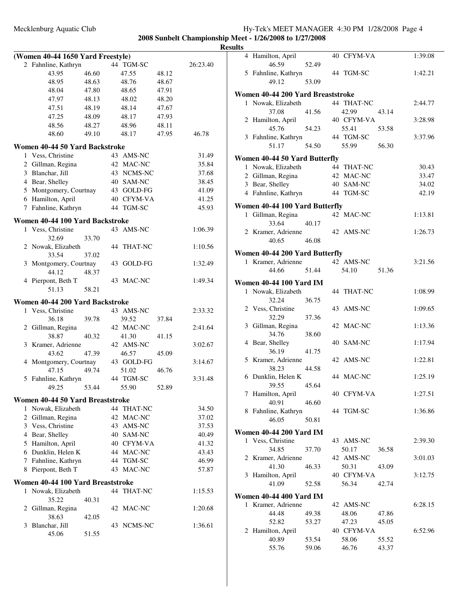|   | (Women 40-44 1650 Yard Freestyle)                    |       |    |                |       |                |
|---|------------------------------------------------------|-------|----|----------------|-------|----------------|
|   | 2 Fahnline, Kathryn                                  |       | 44 | TGM-SC         |       | 26:23.40       |
|   | 43.95                                                | 46.60 |    | 47.55          | 48.12 |                |
|   | 48.95                                                | 48.63 |    | 48.76          | 48.67 |                |
|   | 48.04                                                | 47.80 |    | 48.65          | 47.91 |                |
|   | 47.97                                                | 48.13 |    | 48.02          | 48.20 |                |
|   | 47.51                                                | 48.19 |    | 48.14          | 47.67 |                |
|   | 47.25                                                | 48.09 |    | 48.17          | 47.93 |                |
|   | 48.56                                                | 48.27 |    | 48.96          | 48.11 |                |
|   | 48.60                                                | 49.10 |    | 48.17          | 47.95 | 46.78          |
|   | Women 40-44 50 Yard Backstroke                       |       |    |                |       |                |
| 1 | Vess, Christine                                      |       |    | 43 AMS-NC      |       | 31.49          |
|   | 2 Gillman, Regina                                    |       |    | 42 MAC-NC      |       | 35.84          |
|   | 3 Blanchar, Jill                                     |       |    | 43 NCMS-NC     |       | 37.68          |
|   | 4 Bear, Shelley                                      |       |    | 40 SAM-NC      |       | 38.45          |
|   | 5 Montgomery, Courtnay                               |       |    | 43 GOLD-FG     |       | 41.09          |
|   | 6 Hamilton, April                                    |       |    | 40 CFYM-VA     |       | 41.25          |
|   | 7 Fahnline, Kathryn                                  |       |    | 44 TGM-SC      |       | 45.93          |
|   | Women 40-44 100 Yard Backstroke                      |       |    |                |       |                |
|   | 1 Vess, Christine                                    |       |    | 43 AMS-NC      |       | 1:06.39        |
|   | 32.69                                                | 33.70 |    |                |       |                |
| 2 | Nowak, Elizabeth                                     |       | 44 | <b>THAT-NC</b> |       | 1:10.56        |
|   | 33.54                                                | 37.02 |    |                |       |                |
| 3 | Montgomery, Courtnay                                 |       | 43 | GOLD-FG        |       | 1:32.49        |
|   | 44.12                                                | 48.37 |    |                |       |                |
| 4 | Pierpont, Beth T                                     |       | 43 | <b>MAC-NC</b>  |       | 1:49.34        |
|   | 51.13                                                | 58.21 |    |                |       |                |
|   | Women 40-44 200 Yard Backstroke                      |       |    |                |       |                |
| 1 | Vess, Christine                                      |       |    | 43 AMS-NC      |       | 2:33.32        |
|   | 36.18                                                | 39.78 |    | 39.52          | 37.84 |                |
| 2 | Gillman, Regina                                      |       |    | 42 MAC-NC      |       | 2:41.64        |
|   | 38.87                                                | 40.32 |    | 41.30          | 41.15 |                |
| 3 | Kramer, Adrienne                                     |       |    | 42 AMS-NC      |       | 3:02.67        |
|   | 43.62                                                | 47.39 |    | 46.57          | 45.09 |                |
|   | 4 Montgomery, Courtnay                               |       |    | 43 GOLD-FG     |       | 3:14.67        |
|   | 47.15                                                | 49.74 |    | 51.02          | 46.76 |                |
|   | 5 Fahnline, Kathryn                                  |       |    | 44 TGM-SC      |       | 3:31.48        |
|   | 49.25                                                | 53.44 |    | 55.90          | 52.89 |                |
|   |                                                      |       |    |                |       |                |
| 1 | Women 40-44 50 Yard Breaststroke<br>Nowak, Elizabeth |       |    | 44 THAT-NC     |       |                |
| 2 | Gillman, Regina                                      |       |    | 42 MAC-NC      |       | 34.50<br>37.02 |
|   | 3 Vess, Christine                                    |       |    |                |       |                |
|   |                                                      |       |    | 43 AMS-NC      |       | 37.53          |
|   | 4 Bear, Shelley                                      |       |    | 40 SAM-NC      |       | 40.49          |
|   | 5 Hamilton, April                                    |       |    | 40 CFYM-VA     |       | 41.32          |
|   | 6 Dunklin, Helen K                                   |       |    | 44 MAC-NC      |       | 43.43          |
|   | 7 Fahnline, Kathryn                                  |       |    | 44 TGM-SC      |       | 46.99          |
| 8 | Pierpont, Beth T                                     |       | 43 | MAC-NC         |       | 57.87          |
|   | Women 40-44 100 Yard Breaststroke                    |       |    |                |       |                |
| 1 | Nowak, Elizabeth                                     |       |    | 44 THAT-NC     |       | 1:15.53        |
|   | 35.22                                                | 40.31 |    |                |       |                |
| 2 | Gillman, Regina                                      |       |    | 42 MAC-NC      |       | 1:20.68        |
|   | 38.63                                                | 42.05 |    |                |       |                |
| 3 | Blanchar, Jill                                       |       |    | 43 NCMS-NC     |       | 1:36.61        |
|   | 45.06                                                | 51.55 |    |                |       |                |
|   |                                                      |       |    |                |       |                |

| ılts |   |                                   |       |            |       |         |
|------|---|-----------------------------------|-------|------------|-------|---------|
|      |   | 4 Hamilton, April<br>46.59        | 52.49 | 40 CFYM-VA |       | 1:39.08 |
|      |   | 5 Fahnline, Kathryn               |       | 44 TGM-SC  |       | 1:42.21 |
|      |   | 49.12                             | 53.09 |            |       |         |
|      |   | Women 40-44 200 Yard Breaststroke |       |            |       |         |
|      | 1 | Nowak, Elizabeth                  |       | 44 THAT-NC |       | 2:44.77 |
|      |   | 37.08                             | 41.56 | 42.99      | 43.14 |         |
|      |   | 2 Hamilton, April                 |       | 40 CFYM-VA |       | 3:28.98 |
|      |   | 45.76                             | 54.23 | 55.41      | 53.58 |         |
|      |   | 3 Fahnline, Kathryn               |       | 44 TGM-SC  |       | 3:37.96 |
|      |   | 51.17                             | 54.50 | 55.99      | 56.30 |         |
|      |   | Women 40-44 50 Yard Butterfly     |       |            |       |         |
|      |   | 1 Nowak, Elizabeth                |       | 44 THAT-NC |       | 30.43   |
|      |   |                                   |       |            |       |         |
|      |   | 2 Gillman, Regina                 |       | 42 MAC-NC  |       | 33.47   |
|      |   | 3 Bear, Shelley                   |       | 40 SAM-NC  |       | 34.02   |
|      |   | 4 Fahnline, Kathryn               |       | 44 TGM-SC  |       | 42.19   |
|      |   | Women 40-44 100 Yard Butterfly    |       |            |       |         |
|      |   | 1 Gillman, Regina                 |       | 42 MAC-NC  |       | 1:13.81 |
|      |   | 33.64                             | 40.17 |            |       |         |
|      |   | 2 Kramer, Adrienne                |       | 42 AMS-NC  |       | 1:26.73 |
|      |   | 40.65                             | 46.08 |            |       |         |
|      |   |                                   |       |            |       |         |
|      |   | Women 40-44 200 Yard Butterfly    |       |            |       |         |
|      |   | 1 Kramer, Adrienne                |       | 42 AMS-NC  |       | 3:21.56 |
|      |   | 44.66                             | 51.44 | 54.10      | 51.36 |         |
|      |   | <b>Women 40-44 100 Yard IM</b>    |       |            |       |         |
|      |   | 1 Nowak, Elizabeth                |       | 44 THAT-NC |       |         |
|      |   |                                   |       |            |       | 1:08.99 |
|      |   | 32.24                             | 36.75 |            |       |         |
|      |   | 2 Vess, Christine                 |       | 43 AMS-NC  |       | 1:09.65 |
|      |   | 32.29                             | 37.36 |            |       |         |
|      |   | 3 Gillman, Regina                 |       | 42 MAC-NC  |       | 1:13.36 |
|      |   | 34.76                             | 38.60 |            |       |         |
|      |   | 4 Bear, Shelley                   |       | 40 SAM-NC  |       | 1:17.94 |
|      |   | 36.19                             | 41.75 |            |       |         |
|      |   | 5 Kramer, Adrienne                |       | 42 AMS-NC  |       | 1:22.81 |
|      |   | 38.23                             | 44.58 |            |       |         |
|      |   | 6 Dunklin, Helen K                |       | 44 MAC-NC  |       | 1:25.19 |
|      |   | 39.55                             | 45.64 |            |       |         |
|      | 7 | Hamilton, April                   |       | 40 CFYM-VA |       | 1:27.51 |
|      |   | 40.91                             | 46.60 |            |       |         |
|      |   | 8 Fahnline, Kathryn               |       | 44 TGM-SC  |       | 1:36.86 |
|      |   | 46.05                             | 50.81 |            |       |         |
|      |   |                                   |       |            |       |         |
|      |   | <b>Women 40-44 200 Yard IM</b>    |       |            |       |         |
|      |   | 1 Vess, Christine                 |       | 43 AMS-NC  |       | 2:39.30 |
|      |   | 34.85                             | 37.70 | 50.17      | 36.58 |         |
|      |   | 2 Kramer, Adrienne                |       | 42 AMS-NC  |       | 3:01.03 |
|      |   | 41.30                             | 46.33 | 50.31      | 43.09 |         |
|      |   | 3 Hamilton, April                 |       | 40 CFYM-VA |       | 3:12.75 |
|      |   | 41.09                             | 52.58 | 56.34      | 42.74 |         |
|      |   |                                   |       |            |       |         |
|      |   | <b>Women 40-44 400 Yard IM</b>    |       |            |       |         |
|      |   | 1 Kramer, Adrienne                |       | 42 AMS-NC  |       | 6:28.15 |
|      |   | 44.48                             | 49.38 | 48.06      | 47.86 |         |
|      |   | 52.82                             | 53.27 | 47.23      | 45.05 |         |
|      |   | 2 Hamilton, April                 |       | 40 CFYM-VA |       | 6:52.96 |
|      |   | 40.89                             | 53.54 | 58.06      | 55.52 |         |
|      |   | 55.76                             | 59.06 | 46.76      | 43.37 |         |
|      |   |                                   |       |            |       |         |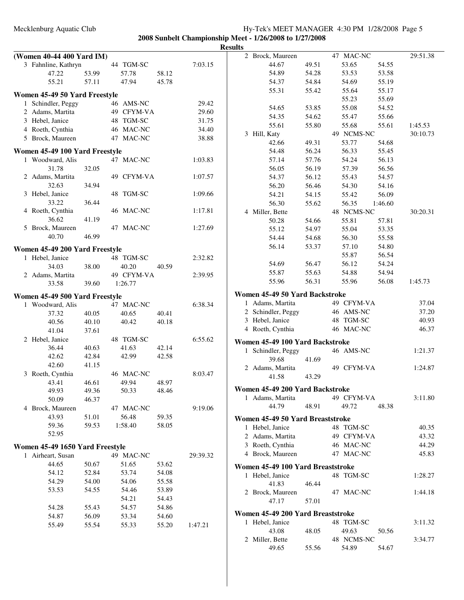## Mecklenburg Aquatic Club Hy-Tek's MEET MANAGER 4:30 PM 1/28/2008 Page 5 **2008 Sunbelt Championship Meet - 1/26/2008 to 1/27/2008**

|                                 |       |            |       |          | <b>Results</b>                    |       |            |         |          |
|---------------------------------|-------|------------|-------|----------|-----------------------------------|-------|------------|---------|----------|
| (Women 40-44 400 Yard IM)       |       |            |       |          | 2 Brock, Maureen                  |       | 47 MAC-NC  |         | 29:51.38 |
| 3 Fahnline, Kathryn             |       | 44 TGM-SC  |       | 7:03.15  | 44.67                             | 49.51 | 53.65      | 54.55   |          |
| 47.22                           | 53.99 | 57.78      | 58.12 |          | 54.89                             | 54.28 | 53.53      | 53.58   |          |
| 55.21                           | 57.11 | 47.94      | 45.78 |          | 54.37                             | 54.84 | 54.69      | 55.19   |          |
| Women 45-49 50 Yard Freestyle   |       |            |       |          | 55.31                             | 55.42 | 55.64      | 55.17   |          |
| 1 Schindler, Peggy              |       | 46 AMS-NC  |       | 29.42    |                                   |       | 55.23      | 55.69   |          |
| 2 Adams, Martita                |       | 49 CFYM-VA |       | 29.60    | 54.65                             | 53.85 | 55.08      | 54.52   |          |
| 3 Hebel, Janice                 |       | 48 TGM-SC  |       | 31.75    | 54.35                             | 54.62 | 55.47      | 55.66   |          |
| 4 Roeth, Cynthia                |       | 46 MAC-NC  |       | 34.40    | 55.61                             | 55.80 | 55.68      | 55.61   | 1:45.53  |
| 5 Brock, Maureen                |       | 47 MAC-NC  |       | 38.88    | 3 Hill, Katy                      |       | 49 NCMS-NC |         | 30:10.73 |
|                                 |       |            |       |          | 42.66                             | 49.31 | 53.77      | 54.68   |          |
| Women 45-49 100 Yard Freestyle  |       |            |       |          | 54.48                             | 56.24 | 56.33      | 55.45   |          |
| 1 Woodward, Alis                |       | 47 MAC-NC  |       | 1:03.83  | 57.14                             | 57.76 | 54.24      | 56.13   |          |
| 31.78                           | 32.05 |            |       |          | 56.05                             | 56.19 | 57.39      | 56.56   |          |
| 2 Adams, Martita                |       | 49 CFYM-VA |       | 1:07.57  | 54.37                             | 56.12 | 55.43      | 54.57   |          |
| 32.63                           | 34.94 |            |       |          | 56.20                             | 56.46 | 54.30      | 54.16   |          |
| 3 Hebel, Janice                 |       | 48 TGM-SC  |       | 1:09.66  | 54.21                             | 54.15 | 55.42      | 56.09   |          |
| 33.22                           | 36.44 |            |       |          | 56.30                             | 55.62 | 56.35      | 1:46.60 |          |
| 4 Roeth, Cynthia                |       | 46 MAC-NC  |       | 1:17.81  | 4 Miller, Bette                   |       | 48 NCMS-NC |         | 30:20.31 |
| 36.62                           | 41.19 |            |       |          | 50.28                             | 54.66 | 55.81      | 57.81   |          |
| 5 Brock, Maureen                |       | 47 MAC-NC  |       | 1:27.69  | 55.12                             | 54.97 | 55.04      | 53.35   |          |
| 40.70                           | 46.99 |            |       |          | 54.44                             | 54.68 | 56.30      | 55.58   |          |
| Women 45-49 200 Yard Freestyle  |       |            |       |          | 56.14                             | 53.37 | 57.10      | 54.80   |          |
| 1 Hebel, Janice                 |       | 48 TGM-SC  |       | 2:32.82  |                                   |       | 55.87      | 56.54   |          |
| 34.03                           | 38.00 | 40.20      | 40.59 |          | 54.69                             | 56.47 | 56.12      | 54.24   |          |
| 2 Adams, Martita                |       | 49 CFYM-VA |       | 2:39.95  | 55.87                             | 55.63 | 54.88      | 54.94   |          |
| 33.58                           | 39.60 | 1:26.77    |       |          | 55.96                             | 56.31 | 55.96      | 56.08   | 1:45.73  |
|                                 |       |            |       |          | Women 45-49 50 Yard Backstroke    |       |            |         |          |
| Women 45-49 500 Yard Freestyle  |       |            |       |          |                                   |       | 49 CFYM-VA |         | 37.04    |
| 1 Woodward, Alis                |       | 47 MAC-NC  |       | 6:38.34  | 1 Adams, Martita                  |       | 46 AMS-NC  |         | 37.20    |
| 37.32                           | 40.05 | 40.65      | 40.41 |          | 2 Schindler, Peggy                |       |            |         |          |
| 40.56                           | 40.10 | 40.42      | 40.18 |          | 3 Hebel, Janice                   |       | 48 TGM-SC  |         | 40.93    |
| 41.04                           | 37.61 |            |       |          | 4 Roeth, Cynthia                  |       | 46 MAC-NC  |         | 46.37    |
| 2 Hebel, Janice                 |       | 48 TGM-SC  |       | 6:55.62  | Women 45-49 100 Yard Backstroke   |       |            |         |          |
| 36.44                           | 40.63 | 41.63      | 42.14 |          | 1 Schindler, Peggy                |       | 46 AMS-NC  |         | 1:21.37  |
| 42.62                           | 42.84 | 42.99      | 42.58 |          | 39.68                             | 41.69 |            |         |          |
| 42.60                           | 41.15 |            |       |          | 2 Adams, Martita                  |       | 49 CFYM-VA |         | 1:24.87  |
| 3 Roeth, Cynthia                |       | 46 MAC-NC  |       | 8:03.47  | 41.58                             | 43.29 |            |         |          |
| 43.41                           | 46.61 | 49.94      | 48.97 |          | Women 45-49 200 Yard Backstroke   |       |            |         |          |
| 49.93                           | 49.36 | 50.33      | 48.46 |          | 1 Adams, Martita                  |       | 49 CFYM-VA |         | 3:11.80  |
| 50.09                           | 46.37 |            |       |          | 44.79                             | 48.91 | 49.72      | 48.38   |          |
| 4 Brock, Maureen                |       | 47 MAC-NC  |       | 9:19.06  |                                   |       |            |         |          |
| 43.93                           | 51.01 | 56.48      | 59.35 |          | Women 45-49 50 Yard Breaststroke  |       |            |         |          |
| 59.36                           | 59.53 | 1:58.40    | 58.05 |          | 1 Hebel, Janice                   |       | 48 TGM-SC  |         | 40.35    |
| 52.95                           |       |            |       |          | 2 Adams, Martita                  |       | 49 CFYM-VA |         | 43.32    |
| Women 45-49 1650 Yard Freestyle |       |            |       |          | 3 Roeth, Cynthia                  |       | 46 MAC-NC  |         | 44.29    |
| 1 Airheart, Susan               |       | 49 MAC-NC  |       | 29:39.32 | 4 Brock, Maureen                  |       | 47 MAC-NC  |         | 45.83    |
| 44.65                           | 50.67 | 51.65      | 53.62 |          | Women 45-49 100 Yard Breaststroke |       |            |         |          |
| 54.12                           | 52.84 | 53.74      | 54.08 |          | 1 Hebel, Janice                   |       | 48 TGM-SC  |         | 1:28.27  |
| 54.29                           | 54.00 | 54.06      | 55.58 |          | 41.83                             | 46.44 |            |         |          |
| 53.53                           | 54.55 | 54.46      | 53.89 |          | 2 Brock, Maureen                  |       |            |         | 1:44.18  |
|                                 |       | 54.21      | 54.43 |          |                                   |       | 47 MAC-NC  |         |          |
| 54.28                           | 55.43 | 54.57      | 54.86 |          | 47.17                             | 57.01 |            |         |          |
| 54.87                           | 56.09 | 53.34      | 54.60 |          | Women 45-49 200 Yard Breaststroke |       |            |         |          |
| 55.49                           | 55.54 | 55.33      | 55.20 | 1:47.21  | 1 Hebel, Janice                   |       | 48 TGM-SC  |         | 3:11.32  |
|                                 |       |            |       |          | 43.08                             | 48.05 | 49.63      | 50.56   |          |
|                                 |       |            |       |          | 2 Miller, Bette                   |       | 48 NCMS-NC |         | 3:34.77  |
|                                 |       |            |       |          | 49.65                             | 55.56 | 54.89      | 54.67   |          |
|                                 |       |            |       |          |                                   |       |            |         |          |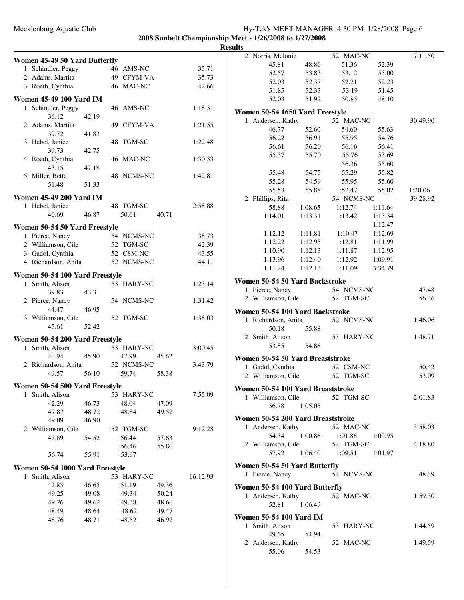## Mecklenburg Aquatic Club Hy-Tek's MEET MANAGER 4:30 PM 1/28/2008 Page 6 **2008 Sunbelt Championship Meet - 1/26/2008 to 1/27/2008**

|                                 |       |                     |       |          | <b>Results</b> |                                   |         |            |         |          |
|---------------------------------|-------|---------------------|-------|----------|----------------|-----------------------------------|---------|------------|---------|----------|
| Women 45-49 50 Yard Butterfly   |       |                     |       |          |                | 2 Norris, Melonie                 |         | 52 MAC-NC  |         | 17:11.50 |
| 1 Schindler, Peggy              |       | 46 AMS-NC           |       | 35.71    |                | 45.81                             | 48.86   | 51.36      | 52.39   |          |
| 2 Adams, Martita                |       | 49 CFYM-VA          |       | 35.73    |                | 52.57                             | 53.83   | 53.12      | 53.00   |          |
| 3 Roeth, Cynthia                |       | 46 MAC-NC           |       | 42.66    |                | 52.03                             | 52.37   | 52.21      | 52.23   |          |
|                                 |       |                     |       |          |                | 51.85                             | 52.33   | 53.19      | 51.45   |          |
| <b>Women 45-49 100 Yard IM</b>  |       |                     |       |          |                | 52.03                             | 51.92   | 50.85      | 48.10   |          |
| 1 Schindler, Peggy              |       | 46 AMS-NC           |       | 1:18.31  |                | Women 50-54 1650 Yard Freestyle   |         |            |         |          |
| 36.12                           | 42.19 |                     |       |          |                | 1 Andersen, Kathy                 |         | 52 MAC-NC  |         | 30:49.90 |
| 2 Adams, Martita                |       | 49 CFYM-VA          |       | 1:21.55  |                | 46.77                             | 52.60   | 54.60      | 55.63   |          |
| 39.72                           | 41.83 |                     |       |          |                | 56.22                             | 56.91   | 55.95      | 54.76   |          |
| 3 Hebel, Janice                 |       | 48 TGM-SC           |       | 1:22.48  |                | 56.61                             | 56.20   | 56.16      | 56.41   |          |
| 39.73                           | 42.75 |                     |       |          |                | 55.37                             | 55.70   | 55.76      | 53.69   |          |
| 4 Roeth, Cynthia<br>43.15       | 47.18 | 46 MAC-NC           |       | 1:30.33  |                |                                   |         | 56.36      | 55.60   |          |
| 5 Miller, Bette                 |       | 48 NCMS-NC          |       | 1:42.81  |                | 55.48                             | 54.75   | 55.29      | 55.82   |          |
| 51.48                           | 51.33 |                     |       |          |                | 55.28                             | 54.59   | 55.95      | 55.60   |          |
|                                 |       |                     |       |          |                | 55.53                             | 55.88   | 1:52.47    | 55.02   | 1:20.06  |
| <b>Women 45-49 200 Yard IM</b>  |       |                     |       |          |                | 2 Phillips, Rita                  |         | 54 NCMS-NC |         | 39:28.92 |
| 1 Hebel, Janice                 |       | 48 TGM-SC           |       | 2:58.88  |                | 58.88                             | 1:08.65 | 1:12.74    | 1:11.64 |          |
| 40.69                           | 46.87 | 50.61               | 40.71 |          |                | 1:14.01                           | 1:13.31 | 1:13.42    | 1:13.34 |          |
| Women 50-54 50 Yard Freestyle   |       |                     |       |          |                |                                   |         |            | 1:12.47 |          |
| 1 Pierce, Nancy                 |       | 54 NCMS-NC          |       | 38.73    |                | 1:12.12                           | 1:11.81 | 1:10.47    | 1:12.69 |          |
| 2 Williamson, Cile              |       | 52 TGM-SC           |       | 42.39    |                | 1:12.22                           | 1:12.95 | 1:12.81    | 1:11.99 |          |
| 3 Gadol, Cynthia                |       | 52 CSM-NC           |       | 43.55    |                | 1:10.90                           | 1:12.13 | 1:11.87    | 1:12.95 |          |
| 4 Richardson, Anita             |       | 52 NCMS-NC          |       | 44.11    |                | 1:13.96                           | 1:12.40 | 1:12.92    | 1:09.91 |          |
|                                 |       |                     |       |          |                | 1:11.24                           | 1:12.13 | 1:11.09    | 3:34.79 |          |
| Women 50-54 100 Yard Freestyle  |       |                     |       |          |                | Women 50-54 50 Yard Backstroke    |         |            |         |          |
| 1 Smith, Alison<br>39.83        | 43.31 | 53 HARY-NC          |       | 1:23.14  |                | 1 Pierce, Nancy                   |         | 54 NCMS-NC |         | 47.48    |
| 2 Pierce, Nancy                 |       | 54 NCMS-NC          |       | 1:31.42  |                | 2 Williamson, Cile                |         | 52 TGM-SC  |         | 56.46    |
| 44.47                           | 46.95 |                     |       |          |                |                                   |         |            |         |          |
| 3 Williamson, Cile              |       | 52 TGM-SC           |       | 1:38.03  |                | Women 50-54 100 Yard Backstroke   |         |            |         |          |
| 45.61                           | 52.42 |                     |       |          |                | 1 Richardson, Anita               |         | 52 NCMS-NC |         | 1:46.06  |
|                                 |       |                     |       |          |                | 50.18<br>2 Smith, Alison          | 55.88   | 53 HARY-NC |         | 1:48.71  |
| Women 50-54 200 Yard Freestyle  |       |                     |       |          |                | 53.85                             | 54.86   |            |         |          |
| 1 Smith, Alison                 |       | 53 HARY-NC          |       | 3:00.45  |                |                                   |         |            |         |          |
| 40.94                           | 45.90 | 47.99               | 45.62 |          |                | Women 50-54 50 Yard Breaststroke  |         |            |         |          |
| 2 Richardson, Anita<br>49.57    | 56.10 | 52 NCMS-NC<br>59.74 | 58.38 | 3:43.79  |                | 1 Gadol, Cynthia                  |         | 52 CSM-NC  |         | 50.42    |
|                                 |       |                     |       |          |                | 2 Williamson, Cile                |         | 52 TGM-SC  |         | 53.09    |
| Women 50-54 500 Yard Freestyle  |       |                     |       |          |                | Women 50-54 100 Yard Breaststroke |         |            |         |          |
| 1 Smith, Alison                 |       | 53 HARY-NC          |       | 7:55.09  |                | 1 Williamson, Cile                |         | 52 TGM-SC  |         | 2:01.83  |
| 42.29                           | 46.73 | 48.04               | 47.09 |          |                | 56.78                             | 1:05.05 |            |         |          |
| 47.87                           | 48.72 | 48.84               | 49.52 |          |                | Women 50-54 200 Yard Breaststroke |         |            |         |          |
| 49.09                           | 46.90 |                     |       |          |                | 1 Andersen, Kathy                 |         | 52 MAC-NC  |         | 3:58.03  |
| 2 Williamson, Cile              |       | 52 TGM-SC           |       | 9:12.28  |                | 54.34                             | 1:00.86 | 1:01.88    | 1:00.95 |          |
| 47.89                           | 54.52 | 56.44               | 57.63 |          |                | 2 Williamson, Cile                |         | 52 TGM-SC  |         | 4:18.80  |
|                                 |       | 56.46               | 55.80 |          |                | 57.92                             | 1:06.40 | 1:09.51    | 1:04.97 |          |
| 56.74                           | 55.91 | 53.97               |       |          |                |                                   |         |            |         |          |
| Women 50-54 1000 Yard Freestyle |       |                     |       |          |                | Women 50-54 50 Yard Butterfly     |         |            |         |          |
| 1 Smith, Alison                 |       | 53 HARY-NC          |       | 16:12.93 |                | 1 Pierce, Nancy                   |         | 54 NCMS-NC |         | 48.39    |
| 42.83                           | 46.65 | 51.19               | 49.36 |          |                | Women 50-54 100 Yard Butterfly    |         |            |         |          |
| 49.25                           | 49.08 | 49.34               | 50.24 |          |                | 1 Andersen, Kathy                 |         | 52 MAC-NC  |         | 1:59.30  |
| 49.26                           | 49.62 | 49.38               | 48.60 |          |                | 52.81                             | 1:06.49 |            |         |          |
| 48.49                           | 48.64 | 48.62               | 49.47 |          |                | <b>Women 50-54 100 Yard IM</b>    |         |            |         |          |
| 48.76                           | 48.71 | 48.52               | 46.92 |          |                | 1 Smith, Alison                   |         | 53 HARY-NC |         | 1:44.59  |
|                                 |       |                     |       |          |                | 49.65                             | 54.94   |            |         |          |
|                                 |       |                     |       |          |                | 2 Andersen, Kathy                 |         | 52 MAC-NC  |         | 1:49.59  |
|                                 |       |                     |       |          |                | 55.06                             | 54.53   |            |         |          |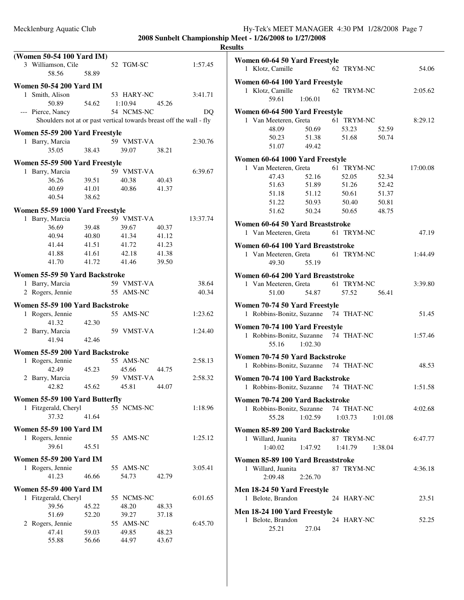|   | (Women 50-54 100 Yard IM)<br>3 Williamson, Cile<br>58.56            | 58.89 | 52 TGM-SC  |       | 1:57.45  |
|---|---------------------------------------------------------------------|-------|------------|-------|----------|
|   | <b>Women 50-54 200 Yard IM</b>                                      |       |            |       |          |
| 1 | Smith, Alison                                                       |       | 53 HARY-NC |       | 3:41.71  |
|   | 50.89                                                               | 54.62 | 1:10.94    | 45.26 |          |
|   | --- Pierce, Nancy                                                   |       | 54 NCMS-NC |       | DO       |
|   | Shoulders not at or past vertical towards breast off the wall - fly |       |            |       |          |
|   |                                                                     |       |            |       |          |
|   | Women 55-59 200 Yard Freestyle                                      |       |            |       |          |
|   | 1 Barry, Marcia                                                     |       | 59 VMST-VA |       | 2:30.76  |
|   | 35.05                                                               | 38.43 | 39.07      | 38.21 |          |
|   | Women 55-59 500 Yard Freestyle                                      |       |            |       |          |
|   | 1 Barry, Marcia                                                     |       | 59 VMST-VA |       | 6:39.67  |
|   | 36.26                                                               | 39.51 | 40.38      | 40.43 |          |
|   | 40.69                                                               | 41.01 | 40.86      | 41.37 |          |
|   | 40.54                                                               | 38.62 |            |       |          |
|   |                                                                     |       |            |       |          |
|   | Women 55-59 1000 Yard Freestyle                                     |       |            |       |          |
|   | 1 Barry, Marcia                                                     |       | 59 VMST-VA |       | 13:37.74 |
|   | 36.69                                                               | 39.48 | 39.67      | 40.37 |          |
|   | 40.94                                                               | 40.80 | 41.34      | 41.12 |          |
|   | 41.44                                                               | 41.51 | 41.72      | 41.23 |          |
|   | 41.88                                                               | 41.61 | 42.18      | 41.38 |          |
|   | 41.70                                                               | 41.72 | 41.46      | 39.50 |          |
|   | Women 55-59 50 Yard Backstroke                                      |       |            |       |          |
|   | 1 Barry, Marcia                                                     |       | 59 VMST-VA |       | 38.64    |
|   | 2 Rogers, Jennie                                                    |       | 55 AMS-NC  |       | 40.34    |
|   |                                                                     |       |            |       |          |
|   | Women 55-59 100 Yard Backstroke                                     |       |            |       |          |
|   | 1 Rogers, Jennie                                                    |       | 55 AMS-NC  |       | 1:23.62  |
|   | 41.32                                                               | 42.30 |            |       |          |
|   | 2 Barry, Marcia                                                     |       | 59 VMST-VA |       | 1:24.40  |
|   | 41.94                                                               | 42.46 |            |       |          |
|   | Women 55-59 200 Yard Backstroke                                     |       |            |       |          |
|   | 1 Rogers, Jennie                                                    |       | 55 AMS-NC  |       | 2:58.13  |
|   | 42.49                                                               | 45.23 | 45.66      | 44.75 |          |
|   | 2 Barry, Marcia                                                     |       | 59 VMST-VA |       | 2:58.32  |
|   | 42.82                                                               | 45.62 | 45.81      | 44.07 |          |
|   |                                                                     |       |            |       |          |
|   | Women 55-59 100 Yard Butterfly                                      |       |            |       |          |
|   | 1 Fitzgerald, Cheryl                                                |       | 55 NCMS-NC |       | 1:18.96  |
|   | 37.32                                                               | 41.64 |            |       |          |
|   | <b>Women 55-59 100 Yard IM</b>                                      |       |            |       |          |
|   | 1 Rogers, Jennie                                                    |       | 55 AMS-NC  |       | 1:25.12  |
|   | 39.61                                                               | 45.51 |            |       |          |
|   |                                                                     |       |            |       |          |
|   | <b>Women 55-59 200 Yard IM</b>                                      |       |            |       |          |
|   | 1 Rogers, Jennie                                                    |       | 55 AMS-NC  |       | 3:05.41  |
|   | 41.23                                                               | 46.66 | 54.73      | 42.79 |          |
|   | <b>Women 55-59 400 Yard IM</b>                                      |       |            |       |          |
|   | 1 Fitzgerald, Cheryl                                                |       | 55 NCMS-NC |       | 6:01.65  |
|   | 39.56                                                               | 45.22 | 48.20      | 48.33 |          |
|   | 51.69                                                               | 52.20 | 39.27      | 37.18 |          |
|   | 2 Rogers, Jennie                                                    |       | 55 AMS-NC  |       | 6:45.70  |
|   | 47.41                                                               | 59.03 | 49.85      | 48.23 |          |
|   | 55.88                                                               | 56.66 | 44.97      | 43.67 |          |
|   |                                                                     |       |            |       |          |

| ılts                                                    |                                  |          |
|---------------------------------------------------------|----------------------------------|----------|
| Women 60-64 50 Yard Freestyle                           |                                  |          |
| 1 Klotz, Camille                                        | 62 TRYM-NC                       | 54.06    |
| Women 60-64 100 Yard Freestyle                          |                                  |          |
| 1 Klotz, Camille                                        | 62 TRYM-NC                       | 2:05.62  |
| 1:06.01<br>59.61                                        |                                  |          |
| Women 60-64 500 Yard Freestyle                          |                                  |          |
| 1 Van Meeteren, Greta                                   | 61 TRYM-NC                       | 8:29.12  |
| 48.09<br>50.69                                          | 53.23<br>52.59                   |          |
| 51.38<br>50.23                                          | 51.68<br>50.74                   |          |
| 51.07<br>49.42                                          |                                  |          |
| Women 60-64 1000 Yard Freestyle                         |                                  |          |
| 1 Van Meeteren, Greta                                   | 61 TRYM-NC                       | 17:00.08 |
| 47.43<br>52.16                                          | 52.05<br>52.34                   |          |
| 51.63 51.89                                             | 51.26<br>52.42                   |          |
| 51.18<br>51.12<br>51.22<br>50.93                        | 50.61<br>51.37<br>50.40<br>50.81 |          |
| 51.62 50.24                                             | 50.65<br>48.75                   |          |
|                                                         |                                  |          |
| Women 60-64 50 Yard Breaststroke                        |                                  |          |
| 1 Van Meeteren, Greta 61 TRYM-NC                        |                                  | 47.19    |
| Women 60-64 100 Yard Breaststroke                       |                                  |          |
| 1 Van Meeteren, Greta 61 TRYM-NC                        |                                  | 1:44.49  |
| 49.30<br>55.19                                          |                                  |          |
| Women 60-64 200 Yard Breaststroke                       |                                  |          |
| 1 Van Meeteren, Greta                                   | 61 TRYM-NC                       | 3:39.80  |
| 51.00<br>54.87                                          | 57.52<br>56.41                   |          |
| Women 70-74 50 Yard Freestyle                           |                                  |          |
| 1 Robbins-Bonitz, Suzanne 74 THAT-NC                    |                                  | 51.45    |
| Women 70-74 100 Yard Freestyle                          |                                  |          |
| 1 Robbins-Bonitz, Suzanne 74 THAT-NC                    |                                  | 1:57.46  |
| 1:02.30<br>55.16                                        |                                  |          |
| Women 70-74 50 Yard Backstroke                          |                                  |          |
| 1 Robbins-Bonitz, Suzanne 74 THAT-NC                    |                                  | 48.53    |
| Women 70-74 100 Yard Backstroke                         |                                  |          |
| 1 Robbins-Bonitz, Suzanne 74 THAT-NC                    |                                  | 1:51.58  |
| Women 70-74 200 Yard Backstroke                         |                                  |          |
| 1 Robbins-Bonitz, Suzanne                               | 74 THAT-NC                       | 4:02.68  |
| 1:02.59<br>55.28                                        | 1:03.73<br>1:01.08               |          |
|                                                         |                                  |          |
| Women 85-89 200 Yard Backstroke<br>1 Willard, Juanita   | 87 TRYM-NC                       | 6:47.77  |
| 1:40.02<br>1:47.92                                      | 1:41.79<br>1:38.04               |          |
|                                                         |                                  |          |
| Women 85-89 100 Yard Breaststroke<br>1 Willard, Juanita | 87 TRYM-NC                       | 4:36.18  |
| 2:09.48<br>2:26.70                                      |                                  |          |
|                                                         |                                  |          |
| Men 18-24 50 Yard Freestyle                             |                                  |          |
| 1 Belote, Brandon                                       | 24 HARY-NC                       | 23.51    |
| Men 18-24 100 Yard Freestyle                            |                                  |          |
| 1 Belote, Brandon                                       | 24 HARY-NC                       | 52.25    |
| 25.21<br>27.04                                          |                                  |          |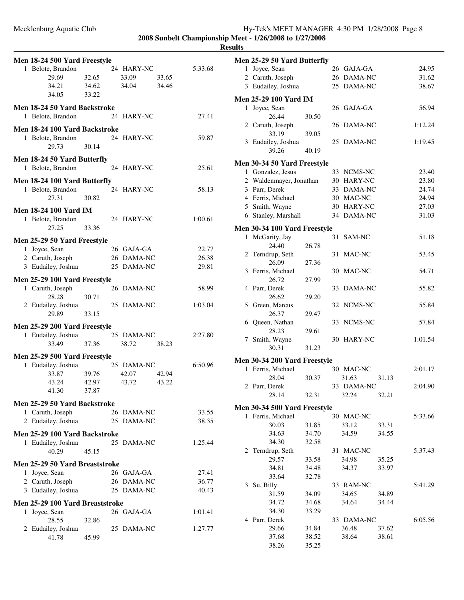| Mecklenburg Aquatic Club |  |  | Hy-Tek's MEET MANAGER 4:30 PM 1/28/2008 Page 8 |  |  |
|--------------------------|--|--|------------------------------------------------|--|--|
|                          |  |  |                                                |  |  |

| Men 18-24 500 Yard Freestyle                       |       |                |         |
|----------------------------------------------------|-------|----------------|---------|
| 1 Belote, Brandon                                  |       | 24 HARY-NC     | 5:33.68 |
| 29.69                                              | 32.65 | 33.09<br>33.65 |         |
| 34.21 34.62                                        |       | 34.04<br>34.46 |         |
| 34.05                                              | 33.22 |                |         |
| <b>Men 18-24 50 Yard Backstroke</b>                |       |                |         |
| 1 Belote, Brandon                                  |       | 24 HARY-NC     | 27.41   |
| Men 18-24 100 Yard Backstroke                      |       |                |         |
| 1 Belote, Brandon                                  |       | 24 HARY-NC     | 59.87   |
| 29.73                                              | 30.14 |                |         |
| Men 18-24 50 Yard Butterfly                        |       |                |         |
| 1 Belote, Brandon                                  |       | 24 HARY-NC     | 25.61   |
| Men 18-24 100 Yard Butterfly                       |       |                |         |
| 1 Belote, Brandon                                  |       | 24 HARY-NC     | 58.13   |
| 27.31                                              | 30.82 |                |         |
| <b>Men 18-24 100 Yard IM</b>                       |       |                |         |
| 1 Belote, Brandon                                  |       | 24 HARY-NC     | 1:00.61 |
| 27.25                                              | 33.36 |                |         |
| Men 25-29 50 Yard Freestyle                        |       |                |         |
| 1 Joyce, Sean                                      |       | 26 GAJA-GA     | 22.77   |
| 2 Caruth, Joseph                                   |       | 26 DAMA-NC     | 26.38   |
| 3 Eudailey, Joshua                                 |       | 25 DAMA-NC     | 29.81   |
|                                                    |       |                |         |
| Men 25-29 100 Yard Freestyle                       |       |                |         |
| 1 Caruth, Joseph                                   |       | 26 DAMA-NC     | 58.99   |
| 28.28                                              | 30.71 |                |         |
| 2 Eudailey, Joshua<br>29.89                        | 33.15 | 25 DAMA-NC     | 1:03.04 |
|                                                    |       |                |         |
| Men 25-29 200 Yard Freestyle<br>1 Eudailey, Joshua |       | 25 DAMA-NC     | 2:27.80 |
| 33.49                                              | 37.36 | 38.72<br>38.23 |         |
|                                                    |       |                |         |
| Men 25-29 500 Yard Freestyle                       |       |                |         |
| 1 Eudailey, Joshua                                 |       | 25 DAMA-NC     | 6:50.96 |
| 33.87                                              | 39.76 | 42.07<br>42.94 |         |
| 43.24                                              | 42.97 | 43.72<br>43.22 |         |
| 41.30                                              | 37.87 |                |         |
| Men 25-29 50 Yard Backstroke                       |       |                |         |
| 1 Caruth, Joseph                                   |       | 26 DAMA-NC     | 33.55   |
| 2 Eudailey, Joshua                                 |       | 25 DAMA-NC     | 38.35   |
| Men 25-29 100 Yard Backstroke                      |       |                |         |
| 1 Eudailey, Joshua                                 |       | 25 DAMA-NC     | 1:25.44 |
| 40.29                                              | 45.15 |                |         |
| Men 25-29 50 Yard Breaststroke                     |       |                |         |
| 1 Joyce, Sean                                      |       | 26 GAJA-GA     | 27.41   |
| 2 Caruth, Joseph                                   |       | 26 DAMA-NC     | 36.77   |
| 3 Eudailey, Joshua                                 |       | 25 DAMA-NC     | 40.43   |
| Men 25-29 100 Yard Breaststroke                    |       |                |         |
| 1 Joyce, Sean                                      |       | 26 GAJA-GA     | 1:01.41 |
| 28.55                                              | 32.86 |                |         |
| 2 Eudailey, Joshua                                 |       | 25 DAMA-NC     | 1:27.77 |
| 41.78                                              | 45.99 |                |         |
|                                                    |       |                |         |

|              | Men 25-29 50 Yard Butterfly         |       |    |                |       |         |
|--------------|-------------------------------------|-------|----|----------------|-------|---------|
|              | 1 Joyce, Sean                       |       |    | 26 GAJA-GA     |       | 24.95   |
|              | 2 Caruth, Joseph                    |       |    | 26 DAMA-NC     |       | 31.62   |
|              | 3 Eudailey, Joshua                  |       |    | 25 DAMA-NC     |       | 38.67   |
|              | <b>Men 25-29 100 Yard IM</b>        |       |    |                |       |         |
| 1            | Joyce, Sean                         |       |    | 26 GAJA-GA     |       | 56.94   |
|              | 26.44                               | 30.50 |    |                |       |         |
|              | 2 Caruth, Joseph                    |       | 26 | <b>DAMA-NC</b> |       | 1:12.24 |
|              | 33.19                               | 39.05 |    |                |       |         |
|              | 3 Eudailey, Joshua                  |       | 25 | DAMA-NC        |       | 1:19.45 |
|              | 39.26                               | 40.19 |    |                |       |         |
|              | <b>Men 30-34 50 Yard Freestyle</b>  |       |    |                |       |         |
|              | 1 Gonzalez, Jesus                   |       |    | 33 NCMS-NC     |       | 23.40   |
|              | 2 Waldenmayer, Jonathan             |       |    | 30 HARY-NC     |       | 23.80   |
|              | 3 Parr, Derek                       |       |    | 33 DAMA-NC     |       | 24.74   |
|              | 4 Ferris, Michael                   |       |    | 30 MAC-NC      |       | 24.94   |
|              | 5 Smith, Wayne                      |       |    | 30 HARY-NC     |       | 27.03   |
|              | 6 Stanley, Marshall                 |       |    | 34 DAMA-NC     |       | 31.03   |
|              |                                     |       |    |                |       |         |
|              | <b>Men 30-34 100 Yard Freestyle</b> |       |    |                |       |         |
| $\mathbf{1}$ | McGarity, Jay                       |       | 31 | SAM-NC         |       | 51.18   |
|              | 24.40                               | 26.78 |    |                |       |         |
| 2            | Terndrup, Seth                      |       | 31 | MAC-NC         |       | 53.45   |
|              | 26.09                               | 27.36 |    |                |       |         |
|              | 3 Ferris, Michael                   |       |    | 30 MAC-NC      |       | 54.71   |
|              | 26.72                               | 27.99 |    |                |       |         |
|              | 4 Parr, Derek<br>26.62              |       | 33 | DAMA-NC        |       | 55.82   |
|              |                                     | 29.20 |    | 32 NCMS-NC     |       | 55.84   |
|              | 5 Green, Marcus<br>26.37            | 29.47 |    |                |       |         |
|              | 6 Queen, Nathan                     |       |    | 33 NCMS-NC     |       | 57.84   |
|              | 28.23                               | 29.61 |    |                |       |         |
|              | 7 Smith, Wayne                      |       |    | 30 HARY-NC     |       | 1:01.54 |
|              | 30.31                               | 31.23 |    |                |       |         |
|              |                                     |       |    |                |       |         |
|              | <b>Men 30-34 200 Yard Freestyle</b> |       |    |                |       |         |
|              | 1 Ferris, Michael                   |       |    | 30 MAC-NC      |       | 2:01.17 |
|              | 28.04                               | 30.37 |    | 31.63          | 31.13 |         |
|              | 2 Parr, Derek                       |       |    | 33 DAMA-NC     |       | 2:04.90 |
|              | 28.14                               | 32.31 |    | 32.24          | 32.21 |         |
|              | <b>Men 30-34 500 Yard Freestyle</b> |       |    |                |       |         |
|              | 1 Ferris, Michael                   |       |    | 30 MAC-NC      |       | 5:33.66 |
|              | 30.03                               | 31.85 |    | 33.12          | 33.31 |         |
|              | 34.63                               | 34.70 |    | 34.59          | 34.55 |         |
|              | 34.30                               | 32.58 |    |                |       |         |
| 2            | Terndrup, Seth                      |       |    | 31 MAC-NC      |       | 5:37.43 |
|              | 29.57                               | 33.58 |    | 34.98          | 35.25 |         |
|              | 34.81                               | 34.48 |    | 34.37          | 33.97 |         |
|              | 33.64                               | 32.78 |    |                |       |         |
| 3            | Su, Billy                           |       |    | 33 RAM-NC      |       | 5:41.29 |
|              | 31.59                               | 34.09 |    | 34.65          | 34.89 |         |
|              | 34.72                               | 34.68 |    | 34.64          | 34.44 |         |
|              | 34.30                               | 33.29 |    |                |       |         |
|              | 4 Parr, Derek                       |       |    | 33 DAMA-NC     |       | 6:05.56 |
|              | 29.66                               | 34.84 |    | 36.48          | 37.62 |         |
|              | 37.68                               | 38.52 |    | 38.64          | 38.61 |         |
|              | 38.26                               | 35.25 |    |                |       |         |
|              |                                     |       |    |                |       |         |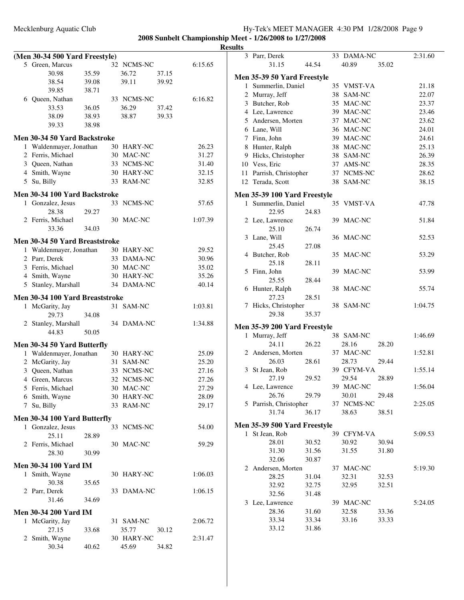33 DAMA-NC 2:31.60

31.15 44.54 40.89 35.02

|                                 |       |            |       |         | -------- |                                                |       |
|---------------------------------|-------|------------|-------|---------|----------|------------------------------------------------|-------|
| (Men 30-34 500 Yard Freestyle)  |       |            |       |         |          | 3 Parr, Derek                                  |       |
| 5 Green, Marcus                 |       | 32 NCMS-NC |       | 6:15.65 |          | 31.15                                          | 44.54 |
| 30.98                           | 35.59 | 36.72      | 37.15 |         |          |                                                |       |
| 38.54                           | 39.08 | 39.11      | 39.92 |         |          | Men 35-39 50 Yard Freestyle                    |       |
| 39.85                           | 38.71 |            |       |         |          | 1 Summerlin, Daniel                            |       |
| 6 Queen, Nathan                 |       | 33 NCMS-NC |       | 6:16.82 |          | 2 Murray, Jeff                                 |       |
| 33.53                           | 36.05 | 36.29      | 37.42 |         |          | 3 Butcher, Rob                                 |       |
| 38.09                           | 38.93 | 38.87      | 39.33 |         |          | 4 Lee, Lawrence                                |       |
| 39.33                           | 38.98 |            |       |         |          | 5 Andersen, Morten                             |       |
|                                 |       |            |       |         |          | 6 Lane, Will                                   |       |
| Men 30-34 50 Yard Backstroke    |       |            |       |         |          | 7 Finn, John                                   |       |
| 1 Waldenmayer, Jonathan         |       | 30 HARY-NC |       | 26.23   |          | 8 Hunter, Ralph                                |       |
| 2 Ferris, Michael               |       | 30 MAC-NC  |       | 31.27   |          | 9 Hicks, Christopher                           |       |
| 3 Queen, Nathan                 |       | 33 NCMS-NC |       | 31.40   |          | 10 Vess, Eric                                  |       |
| 4 Smith, Wayne                  |       | 30 HARY-NC |       | 32.15   |          | 11 Parrish, Christopher                        |       |
| 5 Su, Billy                     |       | 33 RAM-NC  |       | 32.85   |          | 12 Terada, Scott                               |       |
| Men 30-34 100 Yard Backstroke   |       |            |       |         |          |                                                |       |
|                                 |       | 33 NCMS-NC |       | 57.65   |          | Men 35-39 100 Yard Freestyle                   |       |
| 1 Gonzalez, Jesus<br>28.38      |       |            |       |         |          | 1 Summerlin, Daniel                            |       |
|                                 | 29.27 |            |       |         |          | 22.95                                          | 24.83 |
| 2 Ferris, Michael               |       | 30 MAC-NC  |       | 1:07.39 |          | 2 Lee, Lawrence                                |       |
| 33.36                           | 34.03 |            |       |         |          | 25.10                                          | 26.74 |
| Men 30-34 50 Yard Breaststroke  |       |            |       |         |          | 3 Lane, Will                                   |       |
| 1 Waldenmayer, Jonathan         |       | 30 HARY-NC |       | 29.52   |          | 25.45                                          | 27.08 |
| 2 Parr, Derek                   |       | 33 DAMA-NC |       | 30.96   |          | 4 Butcher, Rob                                 |       |
| 3 Ferris, Michael               |       | 30 MAC-NC  |       | 35.02   |          | 25.18                                          | 28.11 |
| 4 Smith, Wayne                  |       | 30 HARY-NC |       | 35.26   |          | 5 Finn, John                                   |       |
| 5 Stanley, Marshall             |       | 34 DAMA-NC |       | 40.14   |          | 25.55                                          | 28.44 |
|                                 |       |            |       |         |          | 6 Hunter, Ralph                                |       |
| Men 30-34 100 Yard Breaststroke |       |            |       |         |          | 27.23                                          | 28.51 |
| 1 McGarity, Jay                 |       | 31 SAM-NC  |       | 1:03.81 |          | 7 Hicks, Christopher                           |       |
| 29.73                           | 34.08 |            |       |         |          | 29.38                                          | 35.37 |
| 2 Stanley, Marshall             |       | 34 DAMA-NC |       | 1:34.88 |          |                                                |       |
| 44.83                           | 50.05 |            |       |         |          | Men 35-39 200 Yard Freestyle<br>1 Murray, Jeff |       |
|                                 |       |            |       |         |          |                                                |       |
| Men 30-34 50 Yard Butterfly     |       |            |       |         |          | 24.11                                          | 26.22 |
| 1 Waldenmayer, Jonathan         |       | 30 HARY-NC |       | 25.09   |          | 2 Andersen, Morten                             |       |
| 2 McGarity, Jay                 |       | 31 SAM-NC  |       | 25.20   |          | 26.03                                          | 28.61 |
| 3 Queen, Nathan                 |       | 33 NCMS-NC |       | 27.16   |          | 3 St Jean, Rob                                 |       |
| 4 Green, Marcus                 |       | 32 NCMS-NC |       | 27.26   |          | 27.19                                          | 29.52 |
| 5 Ferris, Michael               |       | 30 MAC-NC  |       | 27.29   |          | 4 Lee, Lawrence                                |       |
| 6 Smith, Wayne                  |       | 30 HARY-NC |       | 28.09   |          | 26.76                                          | 29.79 |
| 7 Su, Billy                     |       | 33 RAM-NC  |       | 29.17   |          | 5 Parrish, Christopher                         |       |
|                                 |       |            |       |         |          | 31.74                                          | 36.17 |
| Men 30-34 100 Yard Butterfly    |       |            |       |         |          | Men 35-39 500 Yard Freestyle                   |       |
| 1 Gonzalez, Jesus               |       | 33 NCMS-NC |       | 54.00   |          | 1 St Jean, Rob                                 |       |
| 25.11                           | 28.89 |            |       |         |          | 28.01                                          | 30.52 |
| 2 Ferris, Michael               |       | 30 MAC-NC  |       | 59.29   |          | 31.30                                          | 31.56 |
| 28.30                           | 30.99 |            |       |         |          | 32.06                                          | 30.87 |
| Men 30-34 100 Yard IM           |       |            |       |         |          |                                                |       |
| 1 Smith, Wayne                  |       | 30 HARY-NC |       | 1:06.03 |          | 2 Andersen, Morten                             |       |
| 30.38                           | 35.65 |            |       |         |          | 28.25                                          | 31.04 |
| 2 Parr, Derek                   |       | 33 DAMA-NC |       | 1:06.15 |          | 32.92                                          | 32.75 |
| 31.46                           | 34.69 |            |       |         |          | 32.56                                          | 31.48 |
|                                 |       |            |       |         |          | 3 Lee, Lawrence                                |       |
| <b>Men 30-34 200 Yard IM</b>    |       |            |       |         |          | 28.36                                          | 31.60 |
| 1 McGarity, Jay                 |       | 31 SAM-NC  |       | 2:06.72 |          | 33.34                                          | 33.34 |
| 27.15                           | 33.68 | 35.77      | 30.12 |         |          | 33.12                                          | 31.86 |
| 2 Smith, Wayne                  |       | 30 HARY-NC |       | 2:31.47 |          |                                                |       |
| 30.34                           | 40.62 | 45.69      | 34.82 |         |          |                                                |       |
|                                 |       |            |       |         |          |                                                |       |

|              | len 35-39 50 Yard Freestyle  |       |    |            |       |         |
|--------------|------------------------------|-------|----|------------|-------|---------|
| $\mathbf{1}$ | Summerlin, Daniel            |       |    | 35 VMST-VA |       | 21.18   |
|              | 2 Murray, Jeff               |       |    | 38 SAM-NC  |       | 22.07   |
|              | 3 Butcher, Rob               |       |    | 35 MAC-NC  |       | 23.37   |
|              | 4 Lee, Lawrence              |       |    | 39 MAC-NC  |       | 23.46   |
|              | 5 Andersen, Morten           |       |    | 37 MAC-NC  |       | 23.62   |
|              | 6 Lane, Will                 |       |    | 36 MAC-NC  |       | 24.01   |
|              | 7 Finn, John                 |       |    | 39 MAC-NC  |       | 24.61   |
| 8            | Hunter, Ralph                |       |    | 38 MAC-NC  |       | 25.13   |
| 9            | Hicks, Christopher           |       |    | 38 SAM-NC  |       | 26.39   |
| 10           | Vess, Eric                   |       |    | 37 AMS-NC  |       | 28.35   |
| 11           | Parrish, Christopher         |       |    | 37 NCMS-NC |       | 28.62   |
| 12           | Terada, Scott                |       |    | 38 SAM-NC  |       | 38.15   |
|              |                              |       |    |            |       |         |
|              | len 35-39 100 Yard Freestyle |       |    |            |       |         |
|              | 1 Summerlin, Daniel          |       |    | 35 VMST-VA |       | 47.78   |
|              | 22.95                        | 24.83 |    |            |       |         |
|              | 2 Lee, Lawrence              |       |    | 39 MAC-NC  |       | 51.84   |
|              | 25.10                        | 26.74 |    |            |       |         |
|              | 3 Lane, Will                 |       |    | 36 MAC-NC  |       | 52.53   |
|              | 25.45                        | 27.08 |    |            |       |         |
| 4            | Butcher, Rob                 |       | 35 | MAC-NC     |       | 53.29   |
|              | 25.18                        | 28.11 |    |            |       |         |
|              | 5 Finn, John                 |       |    | 39 MAC-NC  |       | 53.99   |
|              | 25.55                        | 28.44 |    |            |       |         |
| 6            | Hunter, Ralph                |       | 38 | MAC-NC     |       | 55.74   |
|              | 27.23                        | 28.51 |    |            |       |         |
|              | 7 Hicks, Christopher         |       |    | 38 SAM-NC  |       | 1:04.75 |
|              | 29.38                        | 35.37 |    |            |       |         |
|              | Ien 35-39 200 Yard Freestyle |       |    |            |       |         |
|              | 1 Murray, Jeff               |       |    | 38 SAM-NC  |       | 1:46.69 |
|              | 24.11                        | 26.22 |    | 28.16      | 28.20 |         |
|              | 2 Andersen, Morten           |       |    | 37 MAC-NC  |       | 1:52.81 |
|              | 26.03                        | 28.61 |    | 28.73      | 29.44 |         |
| 3            | St Jean, Rob                 |       |    | 39 CFYM-VA |       | 1:55.14 |
|              | 27.19                        | 29.52 |    | 29.54      | 28.89 |         |
|              | 4 Lee, Lawrence              |       |    | 39 MAC-NC  |       | 1:56.04 |
|              | 26.76                        | 29.79 |    | 30.01      | 29.48 |         |
|              | 5 Parrish, Christopher       |       |    | 37 NCMS-NC |       | 2:25.05 |
|              | 31.74 36.17                  |       |    | 38.63      | 38.51 |         |
|              |                              |       |    |            |       |         |
|              | Ien 35-39 500 Yard Freestyle |       |    |            |       |         |
| 1            | St Jean, Rob                 |       |    | 39 CFYM-VA |       | 5:09.53 |
|              | 28.01                        | 30.52 |    | 30.92      | 30.94 |         |
|              | 31.30                        | 31.56 |    | 31.55      | 31.80 |         |
|              | 32.06                        | 30.87 |    |            |       |         |
| 2            | Andersen, Morten             |       |    | 37 MAC-NC  |       | 5:19.30 |
|              | 28.25                        | 31.04 |    | 32.31      | 32.53 |         |
|              | 32.92                        | 32.75 |    | 32.95      | 32.51 |         |
|              | 32.56                        | 31.48 |    |            |       |         |
| 3            | Lee, Lawrence                |       |    | 39 MAC-NC  |       | 5:24.05 |
|              | 28.36                        | 31.60 |    | 32.58      | 33.36 |         |
|              | 33.34                        | 33.34 |    | 33.16      | 33.33 |         |
|              |                              |       |    |            |       |         |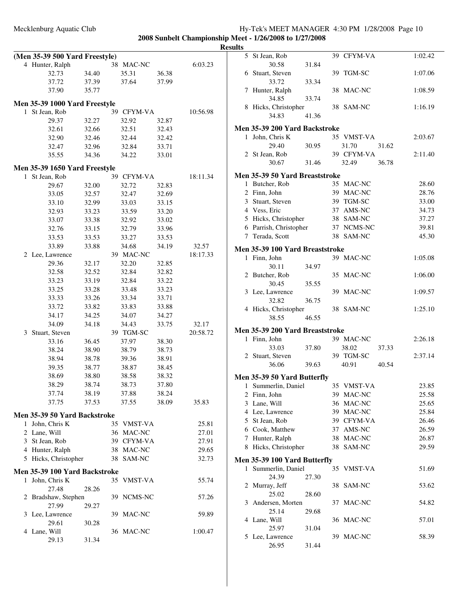|   | (Men 35-39 500 Yard Freestyle)                |       |            |       |          |
|---|-----------------------------------------------|-------|------------|-------|----------|
|   | 4 Hunter, Ralph                               |       | 38 MAC-NC  |       | 6:03.23  |
|   | 32.73                                         | 34.40 | 35.31      | 36.38 |          |
|   | 37.72                                         | 37.39 | 37.64      | 37.99 |          |
|   | 37.90                                         | 35.77 |            |       |          |
|   | Men 35-39 1000 Yard Freestyle                 |       |            |       |          |
| 1 | St Jean, Rob                                  |       | 39 CFYM-VA |       | 10:56.98 |
|   | 29.37                                         | 32.27 | 32.92      | 32.87 |          |
|   | 32.61                                         | 32.66 | 32.51      | 32.43 |          |
|   | 32.90                                         | 32.46 | 32.44      | 32.42 |          |
|   | 32.47                                         | 32.96 | 32.84      | 33.71 |          |
|   | 35.55                                         | 34.36 | 34.22      | 33.01 |          |
|   |                                               |       |            |       |          |
| 1 | Men 35-39 1650 Yard Freestyle<br>St Jean, Rob |       | 39 CFYM-VA |       | 18:11.34 |
|   | 29.67                                         | 32.00 | 32.72      | 32.83 |          |
|   | 33.05                                         | 32.57 | 32.47      | 32.69 |          |
|   | 33.10                                         | 32.99 | 33.03      | 33.15 |          |
|   | 32.93                                         | 33.23 | 33.59      | 33.20 |          |
|   | 33.07                                         | 33.38 | 32.92      | 33.02 |          |
|   | 32.76                                         | 33.15 | 32.79      | 33.96 |          |
|   | 33.53                                         | 33.53 | 33.27      | 33.53 |          |
|   | 33.89                                         | 33.88 | 34.68      | 34.19 | 32.57    |
| 2 | Lee, Lawrence                                 |       | 39 MAC-NC  |       | 18:17.33 |
|   | 29.36                                         | 32.17 | 32.20      | 32.85 |          |
|   | 32.58                                         | 32.52 | 32.84      | 32.82 |          |
|   | 33.23                                         | 33.19 | 32.84      | 33.22 |          |
|   | 33.25                                         | 33.28 | 33.48      | 33.23 |          |
|   | 33.33                                         | 33.26 | 33.34      | 33.71 |          |
|   | 33.72                                         | 33.82 | 33.83      | 33.88 |          |
|   | 34.17                                         | 34.25 | 34.07      | 34.27 |          |
|   | 34.09                                         | 34.18 | 34.43      | 33.75 | 32.17    |
| 3 | Stuart, Steven                                |       | 39 TGM-SC  |       | 20:58.72 |
|   | 33.16                                         | 36.45 | 37.97      | 38.30 |          |
|   | 38.24                                         | 38.90 | 38.79      | 38.73 |          |
|   | 38.94                                         | 38.78 | 39.36      | 38.91 |          |
|   | 39.35                                         | 38.77 | 38.87      | 38.45 |          |
|   | 38.69                                         | 38.80 | 38.58      | 38.32 |          |
|   | 38.29                                         | 38.74 | 38.73      | 37.80 |          |
|   | 37.74                                         | 38.19 | 37.88      | 38.24 |          |
|   | 37.75                                         | 37.53 | 37.55      | 38.09 | 35.83    |
|   | Men 35-39 50 Yard Backstroke                  |       |            |       |          |
| 1 | John, Chris K                                 |       | 35 VMST-VA |       | 25.81    |
|   | 2 Lane, Will                                  |       | 36 MAC-NC  |       | 27.01    |
|   | 3 St Jean, Rob                                |       | 39 CFYM-VA |       | 27.91    |
|   | 4 Hunter, Ralph                               |       | 38 MAC-NC  |       | 29.65    |
|   | 5 Hicks, Christopher                          |       | 38 SAM-NC  |       | 32.73    |
|   |                                               |       |            |       |          |
|   | Men 35-39 100 Yard Backstroke                 |       |            |       |          |
| 1 | John, Chris K                                 |       | 35 VMST-VA |       | 55.74    |
| 2 | 27.48                                         | 28.26 | 39 NCMS-NC |       |          |
|   | Bradshaw, Stephen<br>27.99                    | 29.27 |            |       | 57.26    |
| 3 | Lee, Lawrence                                 |       | 39 MAC-NC  |       | 59.89    |
|   | 29.61                                         | 30.28 |            |       |          |
|   | 4 Lane, Will                                  |       | 36 MAC-NC  |       | 1:00.47  |
|   | 29.13                                         | 31.34 |            |       |          |
|   |                                               |       |            |       |          |

| 5 | St Jean, Rob                                      |       |    | 39 CFYM-VA | 1:02.42 |  |
|---|---------------------------------------------------|-------|----|------------|---------|--|
|   | 30.58                                             | 31.84 |    |            |         |  |
| 6 | Stuart, Steven                                    |       |    | 39 TGM-SC  | 1:07.06 |  |
|   | 33.72                                             | 33.34 |    |            |         |  |
| 7 | Hunter, Ralph                                     |       |    | 38 MAC-NC  | 1:08.59 |  |
|   | 34.85                                             | 33.74 |    |            |         |  |
| 8 | Hicks, Christopher<br>34.83                       | 41.36 |    | 38 SAM-NC  | 1:16.19 |  |
|   |                                                   |       |    |            |         |  |
|   | Men 35-39 200 Yard Backstroke                     |       |    |            |         |  |
| 1 | John, Chris K                                     |       |    | 35 VMST-VA | 2:03.67 |  |
|   | 29.40                                             | 30.95 |    | 31.70      | 31.62   |  |
|   | 2 St Jean, Rob                                    |       |    | 39 CFYM-VA | 2:11.40 |  |
|   | 30.67                                             | 31.46 |    | 32.49      | 36.78   |  |
|   | Men 35-39 50 Yard Breaststroke                    |       |    |            |         |  |
|   | 1 Butcher, Rob                                    |       |    | 35 MAC-NC  | 28.60   |  |
|   | 2 Finn, John                                      |       |    | 39 MAC-NC  | 28.76   |  |
|   | 3 Stuart, Steven                                  |       |    | 39 TGM-SC  | 33.00   |  |
|   | 4 Vess, Eric                                      |       |    | 37 AMS-NC  | 34.73   |  |
|   | 5 Hicks, Christopher                              |       |    | 38 SAM-NC  | 37.27   |  |
|   | 6 Parrish, Christopher                            |       |    | 37 NCMS-NC | 39.81   |  |
| 7 | Terada, Scott                                     |       |    | 38 SAM-NC  | 45.30   |  |
|   | Men 35-39 100 Yard Breaststroke                   |       |    |            |         |  |
|   | 1 Finn, John                                      |       |    | 39 MAC-NC  | 1:05.08 |  |
|   | 30.11                                             | 34.97 |    |            |         |  |
|   | 2 Butcher, Rob                                    |       |    | 35 MAC-NC  | 1:06.00 |  |
|   | 30.45                                             | 35.55 |    |            |         |  |
|   | 3 Lee, Lawrence                                   |       | 39 | MAC-NC     | 1:09.57 |  |
|   | 32.82                                             | 36.75 |    |            |         |  |
|   |                                                   |       |    |            |         |  |
|   | 4 Hicks, Christopher                              |       |    | 38 SAM-NC  | 1:25.10 |  |
|   | 38.55                                             | 46.55 |    |            |         |  |
|   | Men 35-39 200 Yard Breaststroke                   |       |    |            |         |  |
|   | 1 Finn, John                                      |       |    | 39 MAC-NC  | 2:26.18 |  |
|   | 33.03                                             | 37.80 |    | 38.02      | 37.33   |  |
|   | 2 Stuart, Steven                                  |       |    | 39 TGM-SC  | 2:37.14 |  |
|   | 36.06                                             | 39.63 |    | 40.91      | 40.54   |  |
|   | Men 35-39 50 Yard Butterfly                       |       |    |            |         |  |
| 1 | Summerlin, Daniel                                 |       |    | 35 VMST-VA | 23.85   |  |
|   | 2 Finn, John                                      |       |    | 39 MAC-NC  | 25.58   |  |
| 3 | Lane, Will                                        |       |    | 36 MAC-NC  | 25.65   |  |
|   | 4 Lee, Lawrence                                   |       |    | 39 MAC-NC  | 25.84   |  |
|   | 5 St Jean, Rob                                    |       |    | 39 CFYM-VA | 26.46   |  |
|   | 6 Cook, Matthew                                   |       |    | 37 AMS-NC  | 26.59   |  |
| 7 | Hunter, Ralph                                     |       |    | 38 MAC-NC  | 26.87   |  |
| 8 | Hicks, Christopher                                |       | 38 | SAM-NC     | 29.59   |  |
|   |                                                   |       |    |            |         |  |
| 1 | Men 35-39 100 Yard Butterfly<br>Summerlin, Daniel |       |    | 35 VMST-VA | 51.69   |  |
|   | 24.39                                             | 27.30 |    |            |         |  |
| 2 | Murray, Jeff                                      |       | 38 | SAM-NC     | 53.62   |  |
|   | 25.02                                             | 28.60 |    |            |         |  |
| 3 | Andersen, Morten                                  |       |    | 37 MAC-NC  | 54.82   |  |
|   | 25.14                                             | 29.68 |    |            |         |  |
|   | 4 Lane, Will                                      |       |    | 36 MAC-NC  | 57.01   |  |
|   | 25.97                                             | 31.04 |    |            |         |  |
|   | 5 Lee, Lawrence<br>26.95                          | 31.44 |    | 39 MAC-NC  | 58.39   |  |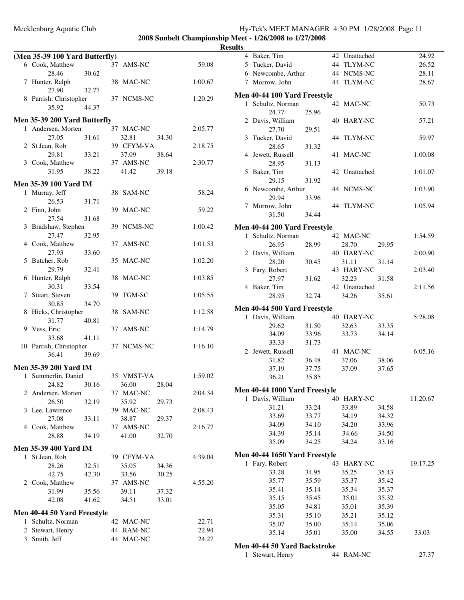|   | (Men 35-39 100 Yard Butterfly)   |       |    |            |       |         |
|---|----------------------------------|-------|----|------------|-------|---------|
|   | 6 Cook, Matthew                  |       |    | 37 AMS-NC  |       | 59.08   |
|   | 28.46                            | 30.62 |    |            |       |         |
|   | 7 Hunter, Ralph<br>27.90         | 32.77 |    | 38 MAC-NC  |       | 1:00.67 |
|   | 8 Parrish, Christopher           |       |    | 37 NCMS-NC |       | 1:20.29 |
|   | 35.92                            | 44.37 |    |            |       |         |
|   | Men 35-39 200 Yard Butterfly     |       |    |            |       |         |
|   | 1 Andersen, Morten               |       |    | 37 MAC-NC  |       | 2:05.77 |
|   | 27.05                            | 31.61 |    | 32.81      | 34.30 |         |
|   | 2 St Jean, Rob                   |       |    | 39 CFYM-VA |       | 2:18.75 |
|   | 29.81                            | 33.21 |    | 37.09      | 38.64 |         |
|   | 3 Cook, Matthew                  |       |    | 37 AMS-NC  |       | 2:30.77 |
|   | 31.95                            | 38.22 |    | 41.42      | 39.18 |         |
|   | Men 35-39 100 Yard IM            |       |    |            |       |         |
| 1 | Murray, Jeff                     |       |    | 38 SAM-NC  |       | 58.24   |
|   | 26.53                            | 31.71 |    |            |       |         |
|   | 2 Finn, John                     |       |    | 39 MAC-NC  |       | 59.22   |
|   | 27.54                            | 31.68 |    |            |       |         |
| 3 | Bradshaw, Stephen                |       |    | 39 NCMS-NC |       | 1:00.42 |
|   | 27.47                            | 32.95 |    |            |       |         |
|   | 4 Cook, Matthew                  |       | 37 | AMS-NC     |       | 1:01.53 |
|   | 27.93                            | 33.60 |    |            |       |         |
|   | 5 Butcher, Rob                   |       |    | 35 MAC-NC  |       | 1:02.20 |
|   | 29.79                            | 32.41 |    |            |       |         |
|   | 6 Hunter, Ralph                  |       | 38 | MAC-NC     |       | 1:03.85 |
|   | 30.31                            | 33.54 |    |            |       |         |
|   | 7 Stuart, Steven                 |       | 39 | TGM-SC     |       | 1:05.55 |
|   | 30.85                            | 34.70 |    |            |       |         |
|   | 8 Hicks, Christopher             |       |    | 38 SAM-NC  |       | 1:12.58 |
|   | 31.77                            | 40.81 |    |            |       |         |
|   | 9 Vess, Eric                     |       | 37 | AMS-NC     |       | 1:14.79 |
|   | 33.68                            | 41.11 |    |            |       |         |
|   | 10 Parrish, Christopher<br>36.41 |       |    | 37 NCMS-NC |       | 1:16.10 |
|   |                                  | 39.69 |    |            |       |         |
|   | <b>Men 35-39 200 Yard IM</b>     |       |    |            |       |         |
|   | 1 Summerlin, Daniel              |       |    | 35 VMST-VA |       | 1:59.02 |
|   | 24.82                            | 30.16 |    | 36.00      | 28.04 |         |
|   | 2 Andersen, Morten               |       |    | 37 MAC-NC  |       | 2:04.34 |
|   | 26.50                            | 32.19 |    | 35.92      | 29.73 |         |
|   | 3 Lee, Lawrence                  |       |    | 39 MAC-NC  |       | 2:08.43 |
|   | 27.08                            | 33.11 |    | 38.87      | 29.37 |         |
|   | 4 Cook, Matthew                  |       |    | 37 AMS-NC  |       | 2:16.77 |
|   | 28.88                            | 34.19 |    | 41.00      | 32.70 |         |
|   | <b>Men 35-39 400 Yard IM</b>     |       |    |            |       |         |
|   | 1 St Jean, Rob                   |       |    | 39 CFYM-VA |       | 4:39.04 |
|   | 28.26                            | 32.51 |    | 35.05      | 34.36 |         |
|   | 42.75                            | 42.30 |    | 33.56      | 30.25 |         |
|   | 2 Cook, Matthew                  |       |    | 37 AMS-NC  |       | 4:55.20 |
|   | 31.99                            | 35.56 |    | 39.11      | 37.32 |         |
|   | 42.08                            | 41.62 |    | 34.51      | 33.01 |         |
|   | Men 40-44 50 Yard Freestyle      |       |    |            |       |         |
|   | 1 Schultz, Norman                |       |    | 42 MAC-NC  |       | 22.71   |
|   | 2 Stewart, Henry                 |       |    | 44 RAM-NC  |       | 22.94   |
|   | 3 Smith, Jeff                    |       |    | 44 MAC-NC  |       | 24.27   |
|   |                                  |       |    |            |       |         |

|              | 4 Baker, Tim                        |                |    | 42 Unattached |       | 24.92    |
|--------------|-------------------------------------|----------------|----|---------------|-------|----------|
|              | 5 Tucker, David                     |                |    | 44 TLYM-NC    |       | 26.52    |
|              | 6 Newcombe, Arthur                  |                |    | 44 NCMS-NC    |       | 28.11    |
|              | 7 Morrow, John                      |                |    | 44 TLYM-NC    |       | 28.67    |
|              |                                     |                |    |               |       |          |
|              | <b>Men 40-44 100 Yard Freestyle</b> |                |    |               |       |          |
| $\mathbf{1}$ | Schultz, Norman                     |                |    | 42 MAC-NC     |       | 50.73    |
|              | 24.77                               | 25.96          |    |               |       |          |
|              | 2 Davis, William                    |                |    | 40 HARY-NC    |       | 57.21    |
|              | 27.70                               | 29.51          |    |               |       |          |
|              | 3 Tucker, David                     |                |    | 44 TLYM-NC    |       | 59.97    |
|              | 28.65                               | 31.32          |    |               |       |          |
| 4            | Jewett, Russell                     |                |    | 41 MAC-NC     |       | 1:00.08  |
|              | 28.95                               | 31.13          |    |               |       |          |
|              | 5 Baker, Tim                        |                |    | 42 Unattached |       | 1:01.07  |
|              | 29.15                               | 31.92          |    |               |       |          |
|              | 6 Newcombe, Arthur                  |                |    | 44 NCMS-NC    |       | 1:03.90  |
|              | 29.94                               | 33.96          |    |               |       |          |
|              | 7 Morrow, John                      |                |    | 44 TLYM-NC    |       | 1:05.94  |
|              | 31.50                               | 34.44          |    |               |       |          |
|              | <b>Men 40-44 200 Yard Freestyle</b> |                |    |               |       |          |
| $\mathbf{1}$ | Schultz, Norman                     |                |    | 42 MAC-NC     |       | 1:54.59  |
|              | 26.95                               | 28.99          |    | 28.70         | 29.95 |          |
|              | 2 Davis, William                    |                |    | 40 HARY-NC    |       | 2:00.90  |
|              | 28.20                               | 30.45          |    | 31.11         | 31.14 |          |
|              | 3 Fary, Robert                      |                |    | 43 HARY-NC    |       | 2:03.40  |
|              | 27.97                               | 31.62          |    | 32.23         | 31.58 |          |
|              | 4 Baker, Tim                        |                |    | 42 Unattached |       | 2:11.56  |
|              | 28.95                               | 32.74          |    | 34.26         | 35.61 |          |
|              | <b>Men 40-44 500 Yard Freestyle</b> |                |    |               |       |          |
|              |                                     |                |    |               |       |          |
|              | 1 Davis, William                    |                |    | 40 HARY-NC    |       | 5:28.08  |
|              | 29.62                               | 31.50          |    | 32.63         | 33.35 |          |
|              | 34.09                               | 33.96          |    | 33.73         | 34.14 |          |
|              | 33.33                               | 31.73          |    |               |       |          |
|              | 2 Jewett, Russell                   |                |    | 41 MAC-NC     |       | 6:05.16  |
|              | 31.82                               | 36.48          |    | 37.06         | 38.06 |          |
|              | 37.19<br>36.21                      | 37.75<br>35.85 |    | 37.09         | 37.65 |          |
|              |                                     |                |    |               |       |          |
|              | Men 40-44 1000 Yard Freestyle       |                |    |               |       |          |
|              | 1 Davis, William                    |                |    | 40 HARY-NC    |       | 11:20.67 |
|              | 31.21                               | 33.24          |    | 33.89         | 34.58 |          |
|              | 33.69                               | 33.77          |    | 34.19         | 34.32 |          |
|              | 34.09                               | 34.10          |    | 34.20         | 33.96 |          |
|              | 34.39                               | 35.14          |    | 34.66         | 34.50 |          |
|              | 35.09                               | 34.25          |    | 34.24         | 33.16 |          |
|              | Men 40-44 1650 Yard Freestyle       |                |    |               |       |          |
| 1            | Fary, Robert                        |                |    | 43 HARY-NC    |       | 19:17.25 |
|              | 33.28                               | 34.95          |    | 35.25         | 35.43 |          |
|              | 35.77                               | 35.59          |    | 35.37         | 35.42 |          |
|              | 35.41                               | 35.14          |    | 35.34         | 35.37 |          |
|              | 35.15                               | 35.45          |    | 35.01         | 35.32 |          |
|              | 35.05                               | 34.81          |    | 35.01         | 35.39 |          |
|              | 35.31                               | 35.10          |    | 35.21         | 35.12 |          |
|              | 35.07                               | 35.00          |    | 35.14         | 35.06 |          |
|              | 35.14                               | 35.01          |    | 35.00         | 34.55 | 33.03    |
|              |                                     |                |    |               |       |          |
|              | <b>Men 40-44 50 Yard Backstroke</b> |                | 44 |               |       |          |
| 1            | Stewart, Henry                      |                |    | RAM-NC        |       | 27.37    |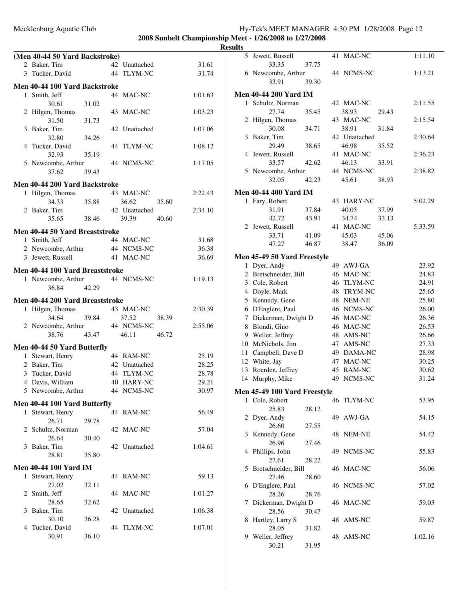|                | (Men 40-44 50 Yard Backstroke)          |       |    |               |       |         |
|----------------|-----------------------------------------|-------|----|---------------|-------|---------|
|                | 2 Baker, Tim                            |       |    | 42 Unattached |       | 31.61   |
|                | 3 Tucker, David                         |       |    | 44 TLYM-NC    |       | 31.74   |
|                |                                         |       |    |               |       |         |
|                | Men 40-44 100 Yard Backstroke           |       |    | 44 MAC-NC     |       | 1:01.63 |
| 1              | Smith, Jeff                             |       |    |               |       |         |
|                | 30.61                                   | 31.02 |    |               |       |         |
|                | 2 Hilgen, Thomas<br>31.50               |       |    | 43 MAC-NC     |       | 1:03.23 |
|                | 3 Baker, Tim                            | 31.73 | 42 | Unattached    |       | 1:07.06 |
|                | 32.80                                   | 34.26 |    |               |       |         |
|                | 4 Tucker, David                         |       |    | 44 TLYM-NC    |       | 1:08.12 |
|                | 32.93                                   | 35.19 |    |               |       |         |
|                | 5 Newcombe, Arthur                      |       |    | 44 NCMS-NC    |       | 1:17.05 |
|                | 37.62                                   | 39.43 |    |               |       |         |
|                |                                         |       |    |               |       |         |
|                | Men 40-44 200 Yard Backstroke           |       |    |               |       |         |
| 1              | Hilgen, Thomas                          |       |    | 43 MAC-NC     |       | 2:22.43 |
|                | 34.33                                   | 35.88 |    | 36.62         | 35.60 |         |
|                | 2 Baker, Tim                            |       |    | 42 Unattached |       | 2:34.10 |
|                | 35.65                                   | 38.46 |    | 39.39         | 40.60 |         |
|                | <b>Men 40-44 50 Yard Breaststroke</b>   |       |    |               |       |         |
|                | 1 Smith, Jeff                           |       |    | 44 MAC-NC     |       | 31.68   |
|                | 2 Newcombe, Arthur                      |       |    | 44 NCMS-NC    |       | 36.38   |
|                | 3 Jewett, Russell                       |       |    | 41 MAC-NC     |       | 36.69   |
|                | Men 40-44 100 Yard Breaststroke         |       |    |               |       |         |
|                | 1 Newcombe, Arthur                      |       |    | 44 NCMS-NC    |       | 1:19.13 |
|                | 36.84                                   | 42.29 |    |               |       |         |
|                |                                         |       |    |               |       |         |
|                | Men 40-44 200 Yard Breaststroke         |       |    |               |       |         |
| 1              | Hilgen, Thomas                          |       |    | 43 MAC-NC     |       | 2:30.39 |
|                | 34.64                                   | 39.84 |    | 37.52         | 38.39 |         |
|                | 2 Newcombe, Arthur                      |       |    | 44 NCMS-NC    |       | 2:55.06 |
|                | 38.76                                   | 43.47 |    | 46.11         | 46.72 |         |
|                | Men 40-44 50 Yard Butterfly             |       |    |               |       |         |
|                | 1 Stewart, Henry                        |       |    | 44 RAM-NC     |       | 25.19   |
|                | 2 Baker, Tim                            |       |    | 42 Unattached |       | 28.25   |
|                | 3 Tucker, David                         |       |    | 44 TLYM-NC    |       | 28.78   |
|                | 4 Davis, William                        |       |    | 40 HARY-NC    |       | 29.21   |
|                | 5 Newcombe, Arthur                      |       |    | 44 NCMS-NC    |       | 30.97   |
|                | Men 40-44 100 Yard Butterfly            |       |    |               |       |         |
| 1              | Stewart, Henry                          |       |    | 44 RAM-NC     |       | 56.49   |
|                | 26.71                                   | 29.78 |    |               |       |         |
|                | 2 Schultz, Norman                       |       |    | 42 MAC-NC     |       | 57.04   |
|                | 26.64                                   | 30.40 |    |               |       |         |
| 3              | Baker, Tim                              |       |    | 42 Unattached |       | 1:04.61 |
|                | 28.81                                   | 35.80 |    |               |       |         |
|                |                                         |       |    |               |       |         |
| 1              | Men 40-44 100 Yard IM<br>Stewart, Henry |       |    | 44 RAM-NC     |       | 59.13   |
|                | 27.02                                   |       |    |               |       |         |
| $\overline{2}$ | Smith, Jeff                             | 32.11 |    | 44 MAC-NC     |       | 1:01.27 |
|                | 28.65                                   | 32.62 |    |               |       |         |
| 3              | Baker, Tim                              |       |    | 42 Unattached |       | 1:06.38 |
|                | 30.10                                   | 36.28 |    |               |       |         |
| 4              | Tucker, David                           |       |    | 44 TLYM-NC    |       | 1:07.01 |
|                | 30.91                                   | 36.10 |    |               |       |         |
|                |                                         |       |    |               |       |         |

| ılts         |                                     |       |    |               |       |         |
|--------------|-------------------------------------|-------|----|---------------|-------|---------|
| 5            | Jewett, Russell                     |       | 41 | MAC-NC        |       | 1:11.10 |
|              | 33.35                               | 37.75 |    |               |       |         |
|              | 6 Newcombe, Arthur                  |       |    | 44 NCMS-NC    |       | 1:13.21 |
|              | 33.91                               | 39.30 |    |               |       |         |
|              | <b>Men 40-44 200 Yard IM</b>        |       |    |               |       |         |
| $\mathbf{1}$ | Schultz, Norman                     |       |    | 42 MAC-NC     |       | 2:11.55 |
|              | 27.74                               | 35.45 |    | 38.93         | 29.43 |         |
| 2            | Hilgen, Thomas                      |       |    | 43 MAC-NC     |       | 2:15.54 |
|              | 30.08                               | 34.71 |    | 38.91         | 31.84 |         |
| 3            | Baker, Tim                          |       |    | 42 Unattached |       | 2:30.64 |
|              | 29.49                               | 38.65 |    | 46.98         | 35.52 |         |
| 4            | Jewett, Russell                     |       |    | 41 MAC-NC     |       | 2:36.23 |
|              | 33.57                               | 42.62 |    | 46.13         | 33.91 |         |
|              | 5 Newcombe, Arthur                  |       |    | 44 NCMS-NC    |       | 2:38.82 |
|              | 32.05                               | 42.23 |    | 45.61         | 38.93 |         |
|              | <b>Men 40-44 400 Yard IM</b>        |       |    |               |       |         |
| 1            | Fary, Robert                        |       |    | 43 HARY-NC    |       | 5:02.29 |
|              | 31.91                               | 37.84 |    | 40.05         | 37.99 |         |
|              | 42.72                               | 43.91 |    | 34.74         | 33.13 |         |
| 2            | Jewett, Russell                     |       |    | 41 MAC-NC     |       | 5:33.59 |
|              | 33.71                               | 41.09 |    | 45.03         | 45.06 |         |
|              | 47.27                               | 46.87 |    | 38.47         | 36.09 |         |
|              | Men 45-49 50 Yard Freestyle         |       |    |               |       |         |
| 1            | Dyer, Andy                          |       |    | 49 AWJ-GA     |       | 23.92   |
| 2            | Bretschneider, Bill                 |       |    | 46 MAC-NC     |       | 24.83   |
| 3            | Cole, Robert                        |       |    | 46 TLYM-NC    |       | 24.91   |
|              | 4 Doyle, Mark                       |       |    | 48 TRYM-NC    |       | 25.65   |
|              | 5 Kennedy, Gene                     |       |    | 48 NEM-NE     |       | 25.80   |
|              | 6 D'Englere, Paul                   |       |    | 46 NCMS-NC    |       | 26.00   |
| 7            | Dickerman, Dwight D                 |       |    | 46 MAC-NC     |       | 26.36   |
| 8            | Biondi, Gino                        |       |    | 46 MAC-NC     |       | 26.53   |
| 9            | Weller, Jeffrey                     |       |    | 48 AMS-NC     |       | 26.66   |
| 10           | McNichols, Jim                      |       |    | 47 AMS-NC     |       | 27.33   |
| 11           | Campbell, Dave D                    |       |    | 49 DAMA-NC    |       | 28.98   |
| 12           | White, Jay                          |       | 47 | MAC-NC        |       | 30.25   |
| 13           | Roerden, Jeffrey                    |       |    | 45 RAM-NC     |       | 30.62   |
| 14           | Murphy, Mike                        |       |    | 49 NCMS-NC    |       | 31.24   |
|              | <b>Men 45-49 100 Yard Freestyle</b> |       |    |               |       |         |
|              | 1 Cole, Robert                      |       |    | 46 TLYM-NC    |       | 53.95   |
|              | 25.83                               | 28.12 |    |               |       |         |
|              | 2 Dyer, Andy                        |       |    | 49 AWJ-GA     |       | 54.15   |
|              | 26.60                               | 27.55 |    |               |       |         |
| 3            | Kennedy, Gene                       |       |    | 48 NEM-NE     |       | 54.42   |
|              | 26.96                               | 27.46 |    |               |       |         |
|              | 4 Phillips, John                    |       |    | 49 NCMS-NC    |       | 55.83   |
|              | 27.61                               | 28.22 |    |               |       |         |
| 5            | Bretschneider, Bill                 |       |    | 46 MAC-NC     |       | 56.06   |
|              | 27.46                               | 28.60 |    |               |       |         |
| 6            | D'Englere, Paul                     |       |    | 46 NCMS-NC    |       | 57.02   |
|              | 28.26                               | 28.76 |    |               |       |         |
| 7            | Dickerman, Dwight D                 |       |    | 46 MAC-NC     |       | 59.03   |
|              | 28.56                               | 30.47 |    |               |       |         |
| 8            | Hartley, Larry S                    |       |    | 48 AMS-NC     |       | 59.87   |
|              | 28.05                               | 31.82 |    |               |       |         |
| 9            | Weller, Jeffrey                     |       |    | 48 AMS-NC     |       | 1:02.16 |
|              | 30.21                               | 31.95 |    |               |       |         |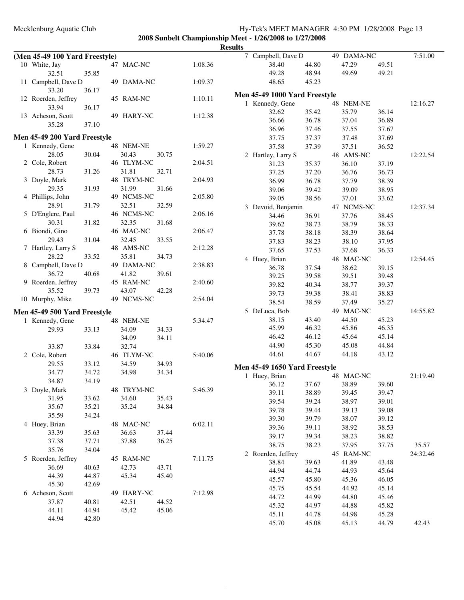**2008 Sunbelt Championship Meet - 1/26/2008 to 1/27/2008**

|                                     |       |            |       |         | <b>Results</b> |                               |       |            |       |          |
|-------------------------------------|-------|------------|-------|---------|----------------|-------------------------------|-------|------------|-------|----------|
| (Men 45-49 100 Yard Freestyle)      |       |            |       |         |                | 7 Campbell, Dave D            |       | 49 DAMA-NC |       | 7:51.00  |
| 10 White, Jay                       |       | 47 MAC-NC  |       | 1:08.36 |                | 38.40                         | 44.80 | 47.29      | 49.51 |          |
| 32.51                               | 35.85 |            |       |         |                | 49.28                         | 48.94 | 49.69      | 49.21 |          |
| 11 Campbell, Dave D                 |       | 49 DAMA-NC |       | 1:09.37 |                | 48.65                         | 45.23 |            |       |          |
| 33.20                               | 36.17 |            |       |         |                | Men 45-49 1000 Yard Freestyle |       |            |       |          |
| 12 Roerden, Jeffrey                 |       | 45 RAM-NC  |       | 1:10.11 |                | 1 Kennedy, Gene               |       | 48 NEM-NE  |       | 12:16.27 |
| 33.94                               | 36.17 |            |       |         |                | 32.62                         | 35.42 | 35.79      | 36.14 |          |
| 13 Acheson, Scott                   |       | 49 HARY-NC |       | 1:12.38 |                | 36.66                         | 36.78 | 37.04      | 36.89 |          |
| 35.28                               | 37.10 |            |       |         |                | 36.96                         | 37.46 | 37.55      | 37.67 |          |
| Men 45-49 200 Yard Freestyle        |       |            |       |         |                | 37.75                         | 37.37 | 37.48      | 37.69 |          |
| 1 Kennedy, Gene                     |       | 48 NEM-NE  |       | 1:59.27 |                | 37.58                         | 37.39 | 37.51      | 36.52 |          |
| 28.05                               | 30.04 | 30.43      | 30.75 |         |                | 2 Hartley, Larry S            |       | 48 AMS-NC  |       | 12:22.54 |
| 2 Cole, Robert                      |       | 46 TLYM-NC |       | 2:04.51 |                | 31.23                         | 35.37 | 36.10      | 37.19 |          |
| 28.73                               | 31.26 | 31.81      | 32.71 |         |                | 37.25                         | 37.20 | 36.76      | 36.73 |          |
| 3 Doyle, Mark                       |       | 48 TRYM-NC |       | 2:04.93 |                | 36.99                         | 36.78 | 37.79      | 38.39 |          |
| 29.35                               | 31.93 | 31.99      | 31.66 |         |                | 39.06                         | 39.42 | 39.09      | 38.95 |          |
| 4 Phillips, John                    |       | 49 NCMS-NC |       | 2:05.80 |                | 39.05                         | 38.56 | 37.01      | 33.62 |          |
| 28.91                               | 31.79 | 32.51      | 32.59 |         |                | 3 Devoid, Benjamin            |       | 47 NCMS-NC |       | 12:37.34 |
| 5 D'Englere, Paul                   |       | 46 NCMS-NC |       | 2:06.16 |                | 34.46                         | 36.91 | 37.76      | 38.45 |          |
| 30.31                               | 31.82 | 32.35      | 31.68 |         |                | 39.62                         | 38.73 | 38.79      | 38.33 |          |
| 6 Biondi, Gino                      |       | 46 MAC-NC  |       | 2:06.47 |                | 37.78                         | 38.18 | 38.39      | 38.64 |          |
| 29.43                               | 31.04 | 32.45      | 33.55 |         |                | 37.83                         | 38.23 | 38.10      | 37.95 |          |
| 7 Hartley, Larry S                  |       | 48 AMS-NC  |       | 2:12.28 |                | 37.65                         | 37.53 | 37.68      | 36.33 |          |
| 28.22                               | 33.52 | 35.81      | 34.73 |         |                | 4 Huey, Brian                 |       | 48 MAC-NC  |       | 12:54.45 |
| 8 Campbell, Dave D                  |       | 49 DAMA-NC |       | 2:38.83 |                | 36.78                         | 37.54 | 38.62      | 39.15 |          |
| 36.72                               | 40.68 | 41.82      | 39.61 |         |                | 39.25                         | 39.58 | 39.51      | 39.48 |          |
| 9 Roerden, Jeffrey                  |       | 45 RAM-NC  |       | 2:40.60 |                | 39.82                         | 40.34 | 38.77      | 39.37 |          |
| 35.52                               | 39.73 | 43.07      | 42.28 |         |                | 39.73                         | 39.38 | 38.41      | 38.83 |          |
| 10 Murphy, Mike                     |       | 49 NCMS-NC |       | 2:54.04 |                | 38.54                         | 38.59 | 37.49      | 35.27 |          |
| <b>Men 45-49 500 Yard Freestyle</b> |       |            |       |         |                | 5 DeLuca, Bob                 |       | 49 MAC-NC  |       | 14:55.82 |
| 1 Kennedy, Gene                     |       | 48 NEM-NE  |       | 5:34.47 |                | 38.15                         | 43.40 | 44.50      | 45.23 |          |
| 29.93                               | 33.13 | 34.09      | 34.33 |         |                | 45.99                         | 46.32 | 45.86      | 46.35 |          |
|                                     |       | 34.09      | 34.11 |         |                | 46.42                         | 46.12 | 45.64      | 45.14 |          |
| 33.87                               | 33.84 | 32.74      |       |         |                | 44.90                         | 45.30 | 45.08      | 44.84 |          |
| 2 Cole, Robert                      |       | 46 TLYM-NC |       | 5:40.06 |                | 44.61                         | 44.67 | 44.18      | 43.12 |          |
| 29.55                               | 33.12 | 34.59      | 34.93 |         |                | Men 45-49 1650 Yard Freestyle |       |            |       |          |
| 34.77                               | 34.72 | 34.98      | 34.34 |         |                | 1 Huey, Brian                 |       | 48 MAC-NC  |       | 21:19.40 |
| 34.87                               | 34.19 |            |       |         |                | 36.12                         | 37.67 | 38.89      | 39.60 |          |
| 3 Doyle, Mark                       |       | 48 TRYM-NC |       | 5:46.39 |                | 39.11                         | 38.89 | 39.45      | 39.47 |          |
| 31.95                               | 33.62 | 34.60      | 35.43 |         |                | 39.54                         | 39.24 | 38.97      | 39.01 |          |
| 35.67                               | 35.21 | 35.24      | 34.84 |         |                | 39.78                         | 39.44 | 39.13      | 39.08 |          |
| 35.59                               | 34.24 |            |       |         |                | 39.30                         | 39.79 | 38.07      | 39.12 |          |
| 4 Huey, Brian                       |       | 48 MAC-NC  |       | 6:02.11 |                | 39.36                         | 39.11 | 38.92      | 38.53 |          |
| 33.39                               | 35.63 | 36.63      | 37.44 |         |                | 39.17                         | 39.34 | 38.23      | 38.82 |          |
| 37.38                               | 37.71 | 37.88      | 36.25 |         |                | 38.75                         | 38.23 | 37.95      | 37.75 | 35.57    |
| 35.76                               | 34.04 |            |       |         |                | 2 Roerden, Jeffrey            |       | 45 RAM-NC  |       | 24:32.46 |
| 5 Roerden, Jeffrey                  |       | 45 RAM-NC  |       | 7:11.75 |                | 38.84                         | 39.63 | 41.89      | 43.48 |          |
| 36.69                               | 40.63 | 42.73      | 43.71 |         |                | 44.94                         | 44.74 | 44.93      | 45.64 |          |
| 44.39                               | 44.87 | 45.34      | 45.40 |         |                | 45.57                         | 45.80 | 45.36      | 46.05 |          |
| 45.30                               | 42.69 |            |       |         |                | 45.75                         | 45.54 | 44.92      | 45.14 |          |
| 6 Acheson, Scott                    |       | 49 HARY-NC |       | 7:12.98 |                | 44.72                         | 44.99 | 44.80      | 45.46 |          |
| 37.87                               | 40.81 | 42.51      | 44.52 |         |                | 45.32                         | 44.97 | 44.88      | 45.82 |          |
| 44.11                               | 44.94 | 45.42      | 45.06 |         |                | 45.11                         | 44.78 | 44.98      | 45.28 |          |
| 44.94                               | 42.80 |            |       |         |                | 45.70                         | 45.08 | 45.13      | 44.79 | 42.43    |
|                                     |       |            |       |         |                |                               |       |            |       |          |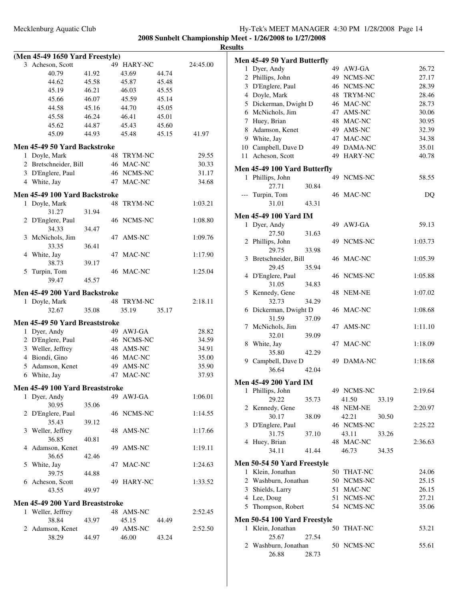| 2008 Sunbelt Championship Meet - 1/26/2008 to 1/27/2008 |
|---------------------------------------------------------|
| <b>Results</b>                                          |
|                                                         |

|              | (Men 45-49 1650 Yard Freestyle)              |       |                      |       |          |
|--------------|----------------------------------------------|-------|----------------------|-------|----------|
|              | 3 Acheson, Scott                             |       | 49 HARY-NC           |       | 24:45.00 |
|              | 40.79                                        | 41.92 | 43.69                | 44.74 |          |
|              | 44.62                                        | 45.58 | 45.87                | 45.48 |          |
|              | 45.19                                        | 46.21 | 46.03                | 45.55 |          |
|              | 45.66                                        | 46.07 | 45.59                | 45.14 |          |
|              | 44.58                                        | 45.16 | 44.70                | 45.05 |          |
|              | 45.58                                        | 46.24 | 46.41                | 45.01 |          |
|              | 45.62                                        | 44.87 | 45.43                | 45.60 |          |
|              | 45.09                                        | 44.93 | 45.48                | 45.15 | 41.97    |
|              | Men 45-49 50 Yard Backstroke                 |       |                      |       |          |
|              | 1 Doyle, Mark                                |       | 48<br><b>TRYM-NC</b> |       | 29.55    |
|              | 2 Bretschneider, Bill                        |       | 46 MAC-NC            |       | 30.33    |
|              | 3 D'Englere, Paul                            |       | 46 NCMS-NC           |       | 31.17    |
|              | 4 White, Jay                                 |       | 47<br>MAC-NC         |       | 34.68    |
|              |                                              |       |                      |       |          |
| 1            | Men 45-49 100 Yard Backstroke<br>Doyle, Mark |       | TRYM-NC<br>48        |       | 1:03.21  |
|              | 31.27                                        | 31.94 |                      |       |          |
|              | 2 D'Englere, Paul                            |       | 46 NCMS-NC           |       | 1:08.80  |
|              | 34.33                                        | 34.47 |                      |       |          |
|              | 3 McNichols, Jim                             |       | 47<br>AMS-NC         |       | 1:09.76  |
|              | 33.35                                        | 36.41 |                      |       |          |
|              | 4 White, Jay                                 |       | MAC-NC<br>47         |       | 1:17.90  |
|              | 38.73                                        | 39.17 |                      |       |          |
| 5            | Turpin, Tom                                  |       | 46 MAC-NC            |       | 1:25.04  |
|              | 39.47                                        | 45.57 |                      |       |          |
|              | Men 45-49 200 Yard Backstroke                |       |                      |       |          |
|              | 1 Doyle, Mark                                |       | 48 TRYM-NC           |       | 2:18.11  |
|              | 32.67                                        | 35.08 | 35.19                | 35.17 |          |
|              |                                              |       |                      |       |          |
|              | Men 45-49 50 Yard Breaststroke               |       |                      |       |          |
| $\mathbf{1}$ | Dyer, Andy                                   |       | 49 AWJ-GA            |       | 28.82    |
|              | 2 D'Englere, Paul                            |       | 46 NCMS-NC           |       | 34.59    |
|              | 3 Weller, Jeffrey                            |       | 48 AMS-NC            |       | 34.91    |
|              | 4 Biondi, Gino                               |       | 46 MAC-NC            |       | 35.00    |
|              | 5 Adamson, Kenet                             |       | 49 AMS-NC            |       | 35.90    |
|              | 6 White, Jay                                 |       | 47 MAC-NC            |       | 37.93    |
|              | Men 45-49 100 Yard Breaststroke              |       |                      |       |          |
|              | 1 Dyer, Andy                                 |       | 49 AWJ-GA            |       | 1:06.01  |
|              | 30.95                                        | 35.06 |                      |       |          |
| 2            | D'Englere, Paul                              |       | 46 NCMS-NC           |       | 1:14.55  |
|              | 35.43                                        | 39.12 |                      |       |          |
|              | 3 Weller, Jeffrey                            |       | AMS-NC<br>48         |       | 1:17.66  |
|              | 36.85                                        | 40.81 |                      |       |          |
|              | 4 Adamson, Kenet                             |       | 49 AMS-NC            |       | 1:19.11  |
|              | 36.65                                        | 42.46 |                      |       |          |
|              | 5 White, Jay                                 |       | 47 MAC-NC            |       | 1:24.63  |
|              | 39.75                                        | 44.88 |                      |       |          |
|              | 6 Acheson, Scott                             |       | 49 HARY-NC           |       | 1:33.52  |
|              | 43.55                                        | 49.97 |                      |       |          |
|              | Men 45-49 200 Yard Breaststroke              |       |                      |       |          |
|              | 1 Weller, Jeffrey                            |       | 48 AMS-NC            |       | 2:52.45  |
|              | 38.84                                        | 43.97 | 45.15                | 44.49 |          |
|              | 2 Adamson, Kenet                             |       | 49 AMS-NC            |       | 2:52.50  |
|              | 38.29                                        | 44.97 | 46.00                | 43.24 |          |
|              |                                              |       |                      |       |          |

|              | Men 45-49 50 Yard Butterfly  |       |    |               |       |         |
|--------------|------------------------------|-------|----|---------------|-------|---------|
| $\mathbf{1}$ | Dyer, Andy                   |       |    | 49 AWJ-GA     |       | 26.72   |
|              | 2 Phillips, John             |       |    | 49 NCMS-NC    |       | 27.17   |
|              | 3 D'Englere, Paul            |       |    | 46 NCMS-NC    |       | 28.39   |
|              | 4 Doyle, Mark                |       |    | 48 TRYM-NC    |       | 28.46   |
|              | 5 Dickerman, Dwight D        |       |    | 46 MAC-NC     |       | 28.73   |
|              | 6 McNichols, Jim             |       |    | 47 AMS-NC     |       | 30.06   |
|              | 7 Huey, Brian                |       |    | 48 MAC-NC     |       | 30.95   |
|              | 8 Adamson, Kenet             |       |    | 49 AMS-NC     |       | 32.39   |
|              | 9 White, Jay                 |       |    | 47 MAC-NC     |       | 34.38   |
|              | 10 Campbell, Dave D          |       |    | 49 DAMA-NC    |       | 35.01   |
| 11           | Acheson, Scott               |       |    | 49 HARY-NC    |       | 40.78   |
|              | Men 45-49 100 Yard Butterfly |       |    |               |       |         |
|              | 1 Phillips, John             |       |    | 49 NCMS-NC    |       | 58.55   |
|              | 27.71                        | 30.84 |    |               |       |         |
|              | Turpin, Tom                  |       |    | 46 MAC-NC     |       | DQ      |
|              | 31.01                        | 43.31 |    |               |       |         |
|              | <b>Men 45-49 100 Yard IM</b> |       |    |               |       |         |
| $\mathbf{1}$ | Dyer, Andy                   |       |    | 49 AWJ-GA     |       | 59.13   |
|              | 27.50                        | 31.63 |    |               |       |         |
|              | 2 Phillips, John             |       | 49 | NCMS-NC       |       | 1:03.73 |
|              | 29.75                        | 33.98 |    |               |       |         |
| 3            | Bretschneider, Bill          |       |    | 46 MAC-NC     |       | 1:05.39 |
|              | 29.45                        | 35.94 |    |               |       |         |
| 4            | D'Englere, Paul              |       |    | 46 NCMS-NC    |       | 1:05.88 |
|              | 31.05                        | 34.83 |    |               |       |         |
|              | 5 Kennedy, Gene              |       | 48 | <b>NEM-NE</b> |       | 1:07.02 |
|              | 32.73                        | 34.29 |    |               |       |         |
|              | 6 Dickerman, Dwight D        |       |    | 46 MAC-NC     |       | 1:08.68 |
|              | 31.59                        | 37.09 |    |               |       |         |
|              | 7 McNichols, Jim             |       | 47 | AMS-NC        |       | 1:11.10 |
|              | 32.01                        | 39.09 |    |               |       |         |
| 8            | White, Jay                   |       |    | 47 MAC-NC     |       | 1:18.09 |
|              | 35.80                        | 42.29 |    |               |       |         |
|              | 9 Campbell, Dave D           |       |    | 49 DAMA-NC    |       | 1:18.68 |
|              | 36.64                        | 42.04 |    |               |       |         |
|              | <b>Men 45-49 200 Yard IM</b> |       |    |               |       |         |
| 1            | Phillips, John               |       |    | 49 NCMS-NC    |       | 2:19.64 |
|              | 29.22                        | 35.73 |    | 41.50         | 33.19 |         |
|              | 2 Kennedy, Gene              |       |    | 48 NEM-NE     |       | 2:20.97 |
|              | 30.17                        | 38.09 |    | 42.21         | 30.50 |         |
| 3            | D'Englere, Paul              |       |    | 46 NCMS-NC    |       | 2:25.22 |
|              | 31.75                        | 37.10 |    | 43.11         | 33.26 |         |
| 4            | Huey, Brian                  |       |    | 48 MAC-NC     |       | 2:36.63 |
|              | 34.11                        | 41.44 |    | 46.73         | 34.35 |         |
|              | Men 50-54 50 Yard Freestyle  |       |    |               |       |         |
|              | 1 Klein, Jonathan            |       | 50 | THAT-NC       |       | 24.06   |
|              | 2 Washburn, Jonathan         |       |    | 50 NCMS-NC    |       | 25.15   |
|              | 3 Shields, Larry             |       | 51 | MAC-NC        |       | 26.15   |
|              | 4 Lee, Doug                  |       | 51 | NCMS-NC       |       | 27.21   |
| 5            | Thompson, Robert             |       |    | 54 NCMS-NC    |       | 35.06   |
|              | Men 50-54 100 Yard Freestyle |       |    |               |       |         |
| 1            | Klein, Jonathan              |       | 50 | THAT-NC       |       | 53.21   |
|              | 25.67                        | 27.54 |    |               |       |         |
|              | 2 Washburn, Jonathan         |       |    | 50 NCMS-NC    |       | 55.61   |
|              | 26.88                        | 28.73 |    |               |       |         |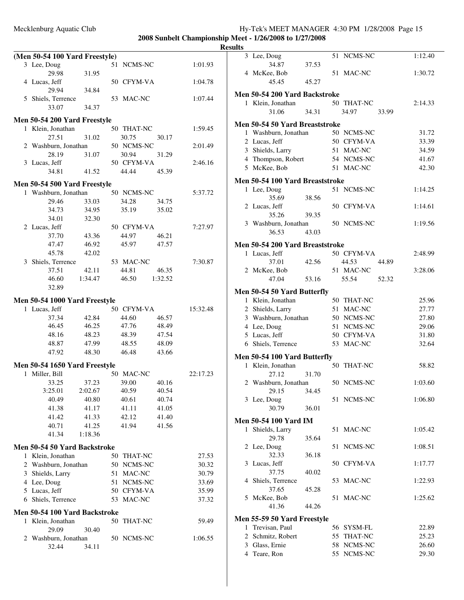|   | (Men 50-54 100 Yard Freestyle) |         |    |            |         |          |
|---|--------------------------------|---------|----|------------|---------|----------|
|   | 3 Lee, Doug                    |         |    | 51 NCMS-NC |         | 1:01.93  |
|   | 29.98                          | 31.95   |    |            |         |          |
|   | 4 Lucas, Jeff                  |         |    | 50 CFYM-VA |         | 1:04.78  |
|   | 29.94                          | 34.84   |    |            |         |          |
|   | 5 Shiels, Terrence             |         |    | 53 MAC-NC  |         | 1:07.44  |
|   | 33.07                          | 34.37   |    |            |         |          |
|   |                                |         |    |            |         |          |
|   | Men 50-54 200 Yard Freestyle   |         |    |            |         |          |
|   | 1 Klein, Jonathan              |         |    | 50 THAT-NC |         | 1:59.45  |
|   | 27.51                          | 31.02   |    | 30.75      | 30.17   |          |
|   | 2 Washburn, Jonathan           |         |    | 50 NCMS-NC |         | 2:01.49  |
|   | 28.19                          | 31.07   |    | 30.94      | 31.29   |          |
|   | 3 Lucas, Jeff                  |         |    | 50 CFYM-VA |         | 2:46.16  |
|   | 34.81                          | 41.52   |    | 44.44      | 45.39   |          |
|   | Men 50-54 500 Yard Freestyle   |         |    |            |         |          |
|   | 1 Washburn, Jonathan           |         |    | 50 NCMS-NC |         | 5:37.72  |
|   | 29.46                          | 33.03   |    | 34.28      | 34.75   |          |
|   | 34.73                          | 34.95   |    | 35.19      | 35.02   |          |
|   | 34.01                          | 32.30   |    |            |         |          |
|   | 2 Lucas, Jeff                  |         |    | 50 CFYM-VA |         | 7:27.97  |
|   | 37.70                          | 43.36   |    | 44.97      | 46.21   |          |
|   | 47.47                          | 46.92   |    | 45.97      | 47.57   |          |
|   | 45.78                          | 42.02   |    |            |         |          |
|   | 3 Shiels, Terrence             |         |    | 53 MAC-NC  |         | 7:30.87  |
|   | 37.51                          | 42.11   |    | 44.81      | 46.35   |          |
|   | 46.60                          | 1:34.47 |    | 46.50      | 1:32.52 |          |
|   | 32.89                          |         |    |            |         |          |
|   |                                |         |    |            |         |          |
|   | Men 50-54 1000 Yard Freestyle  |         |    |            |         |          |
|   | 1 Lucas, Jeff                  |         |    | 50 CFYM-VA |         | 15:32.48 |
|   | 37.34                          | 42.84   |    | 44.60      | 46.57   |          |
|   | 46.45                          | 46.25   |    | 47.76      | 48.49   |          |
|   | 48.16                          | 48.23   |    | 48.39      | 47.54   |          |
|   | 48.87                          | 47.99   |    | 48.55      | 48.09   |          |
|   | 47.92                          | 48.30   |    | 46.48      | 43.66   |          |
|   | Men 50-54 1650 Yard Freestyle  |         |    |            |         |          |
|   | 1 Miller, Bill                 |         |    | 50 MAC-NC  |         | 22:17.23 |
|   | 33.25                          | 37.23   |    | 39.00      | 40.16   |          |
|   | 3:25.01                        | 2:02.67 |    | 40.59      | 40.54   |          |
|   | 40.49                          | 40.80   |    | 40.61      | 40.74   |          |
|   | 41.38                          | 41.17   |    | 41.11      | 41.05   |          |
|   | 41.42                          | 41.33   |    | 42.12      | 41.40   |          |
|   | 40.71                          | 41.25   |    | 41.94      | 41.56   |          |
|   | 41.34                          | 1:18.36 |    |            |         |          |
|   |                                |         |    |            |         |          |
|   | Men 50-54 50 Yard Backstroke   |         |    |            |         |          |
|   | 1 Klein, Jonathan              |         |    | 50 THAT-NC |         | 27.53    |
|   | 2 Washburn, Jonathan           |         |    | 50 NCMS-NC |         | 30.32    |
|   | 3 Shields, Larry               |         |    | 51 MAC-NC  |         | 30.79    |
|   | 4 Lee, Doug                    |         |    | 51 NCMS-NC |         | 33.69    |
|   | 5 Lucas, Jeff                  |         |    | 50 CFYM-VA |         | 35.99    |
|   | 6 Shiels, Terrence             |         | 53 | MAC-NC     |         | 37.32    |
|   | Men 50-54 100 Yard Backstroke  |         |    |            |         |          |
| 1 | Klein, Jonathan                |         | 50 | THAT-NC    |         | 59.49    |
|   | 29.09                          | 30.40   |    |            |         |          |
|   | 2 Washburn, Jonathan           |         |    | 50 NCMS-NC |         | 1:06.55  |
|   | 32.44                          | 34.11   |    |            |         |          |
|   |                                |         |    |            |         |          |

| ᄖᄖ |                                                  |       |    |                     |       |         |
|----|--------------------------------------------------|-------|----|---------------------|-------|---------|
|    | 3 Lee, Doug                                      |       |    | 51 NCMS-NC          |       | 1:12.40 |
|    | 34.87<br>4 McKee, Bob                            | 37.53 |    | 51 MAC-NC           |       | 1:30.72 |
|    | 45.45                                            | 45.27 |    |                     |       |         |
|    |                                                  |       |    |                     |       |         |
|    | Men 50-54 200 Yard Backstroke                    |       |    |                     |       |         |
|    | 1 Klein, Jonathan                                |       |    | 50 THAT-NC          |       | 2:14.33 |
|    | 31.06                                            | 34.31 |    | 34.97               | 33.99 |         |
|    | Men 50-54 50 Yard Breaststroke                   |       |    |                     |       |         |
|    | 1 Washburn, Jonathan                             |       |    | 50 NCMS-NC          |       | 31.72   |
|    | 2 Lucas, Jeff                                    |       |    | 50 CFYM-VA          |       | 33.39   |
|    | 3 Shields, Larry                                 |       |    | 51 MAC-NC           |       | 34.59   |
|    | 4 Thompson, Robert                               |       |    | 54 NCMS-NC          |       | 41.67   |
|    | 5 McKee, Bob                                     |       |    | 51 MAC-NC           |       | 42.30   |
|    | Men 50-54 100 Yard Breaststroke                  |       |    |                     |       |         |
|    | 1 Lee, Doug                                      |       |    | 51 NCMS-NC          |       | 1:14.25 |
|    | 35.69                                            | 38.56 |    |                     |       |         |
|    | 2 Lucas, Jeff                                    |       |    | 50 CFYM-VA          |       | 1:14.61 |
|    | 35.26                                            | 39.35 |    |                     |       | 1:19.56 |
|    | 3 Washburn, Jonathan<br>36.53                    | 43.03 |    | 50 NCMS-NC          |       |         |
|    |                                                  |       |    |                     |       |         |
|    | Men 50-54 200 Yard Breaststroke                  |       |    |                     |       |         |
|    | 1 Lucas, Jeff<br>37.01                           | 42.56 |    | 50 CFYM-VA<br>44.53 |       | 2:48.99 |
|    | 2 McKee, Bob                                     |       |    | 51 MAC-NC           | 44.89 | 3:28.06 |
|    | 47.04                                            | 53.16 |    | 55.54               | 52.32 |         |
|    |                                                  |       |    |                     |       |         |
|    | Men 50-54 50 Yard Butterfly<br>1 Klein, Jonathan |       |    | 50 THAT-NC          |       | 25.96   |
|    | 2 Shields, Larry                                 |       | 51 | MAC-NC              |       | 27.77   |
|    | 3 Washburn, Jonathan                             |       |    | 50 NCMS-NC          |       | 27.80   |
|    | 4 Lee, Doug                                      |       |    | 51 NCMS-NC          |       | 29.06   |
|    | 5 Lucas, Jeff                                    |       |    | 50 CFYM-VA          |       | 31.80   |
|    | 6 Shiels, Terrence                               |       |    | 53 MAC-NC           |       | 32.64   |
|    | Men 50-54 100 Yard Butterfly                     |       |    |                     |       |         |
|    | 1 Klein, Jonathan                                |       |    | 50 THAT-NC          |       | 58.82   |
|    | 27.12                                            | 31.70 |    |                     |       |         |
|    | 2 Washburn, Jonathan                             |       |    | 50 NCMS-NC          |       | 1:03.60 |
|    | 29.15                                            | 34.45 |    |                     |       |         |
|    | 3 Lee, Doug                                      |       |    | 51 NCMS-NC          |       | 1:06.80 |
|    | 30.79                                            | 36.01 |    |                     |       |         |
|    | <b>Men 50-54 100 Yard IM</b>                     |       |    |                     |       |         |
|    | 1 Shields, Larry                                 |       |    | 51 MAC-NC           |       | 1:05.42 |
|    | 29.78                                            | 35.64 |    |                     |       |         |
|    | 2 Lee, Doug                                      |       | 51 | NCMS-NC             |       | 1:08.51 |
|    | 32.33                                            | 36.18 |    |                     |       |         |
|    | 3 Lucas, Jeff                                    |       |    | 50 CFYM-VA          |       | 1:17.77 |
|    | 37.75                                            | 40.02 |    | 53 MAC-NC           |       | 1:22.93 |
|    | 4 Shiels, Terrence<br>37.65                      | 45.28 |    |                     |       |         |
|    | 5 McKee, Bob                                     |       |    | 51 MAC-NC           |       | 1:25.62 |
|    | 41.36                                            | 44.26 |    |                     |       |         |
|    | <b>Men 55-59 50 Yard Freestyle</b>               |       |    |                     |       |         |
| 1  | Trevisan, Paul                                   |       |    | 56 SYSM-FL          |       | 22.89   |
|    | 2 Schmitz, Robert                                |       |    | 55 THAT-NC          |       | 25.23   |
|    | 3 Glass, Ernie                                   |       |    | 58 NCMS-NC          |       | 26.60   |
|    | 4 Teare, Ron                                     |       |    | 55 NCMS-NC          |       | 29.30   |
|    |                                                  |       |    |                     |       |         |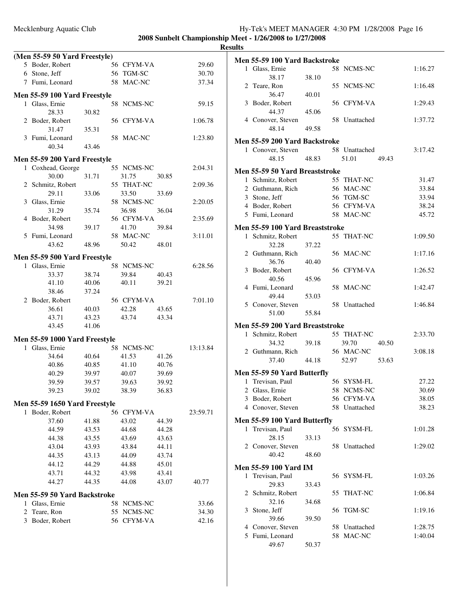**Results**

|              | (Men 55-59 50 Yard Freestyle)       |       |    |            |       |          |
|--------------|-------------------------------------|-------|----|------------|-------|----------|
|              | 5 Boder, Robert                     |       |    | 56 CFYM-VA |       | 29.60    |
|              | 6 Stone, Jeff                       |       |    | 56 TGM-SC  |       | 30.70    |
|              | 7 Fumi, Leonard                     |       |    | 58 MAC-NC  |       | 37.34    |
|              |                                     |       |    |            |       |          |
|              | Men 55-59 100 Yard Freestyle        |       |    |            |       |          |
| $\mathbf{1}$ | Glass, Ernie                        |       |    | 58 NCMS-NC |       | 59.15    |
|              | 28.33                               | 30.82 |    |            |       |          |
|              | 2 Boder, Robert                     |       |    | 56 CFYM-VA |       | 1:06.78  |
|              | 31.47                               | 35.31 |    |            |       |          |
|              | 3 Fumi, Leonard                     |       |    | 58 MAC-NC  |       | 1:23.80  |
|              | 40.34                               | 43.46 |    |            |       |          |
|              | Men 55-59 200 Yard Freestyle        |       |    |            |       |          |
|              | 1 Coxhead, George                   |       |    | 55 NCMS-NC |       | 2:04.31  |
|              | 30.00                               | 31.71 |    | 31.75      | 30.85 |          |
|              | 2 Schmitz, Robert                   |       |    | 55 THAT-NC |       | 2:09.36  |
|              | 29.11                               | 33.06 |    | 33.50      | 33.69 |          |
| 3            | Glass, Ernie                        |       |    | 58 NCMS-NC |       | 2:20.05  |
|              | 31.29                               | 35.74 |    | 36.98      | 36.04 |          |
| 4            | Boder, Robert                       |       |    | 56 CFYM-VA |       | 2:35.69  |
|              | 34.98                               | 39.17 |    | 41.70      | 39.84 |          |
| 5            | Fumi, Leonard                       |       |    | 58 MAC-NC  |       | 3:11.01  |
|              | 43.62                               | 48.96 |    | 50.42      | 48.01 |          |
|              | Men 55-59 500 Yard Freestyle        |       |    |            |       |          |
| 1            | Glass, Ernie                        |       |    | 58 NCMS-NC |       | 6:28.56  |
|              | 33.37                               | 38.74 |    | 39.84      | 40.43 |          |
|              | 41.10                               | 40.06 |    | 40.11      | 39.21 |          |
|              | 38.46                               | 37.24 |    |            |       |          |
|              | 2 Boder, Robert                     |       |    | 56 CFYM-VA |       | 7:01.10  |
|              | 36.61                               | 40.03 |    | 42.28      | 43.65 |          |
|              | 43.71                               | 43.23 |    | 43.74      | 43.34 |          |
|              | 43.45                               | 41.06 |    |            |       |          |
|              | Men 55-59 1000 Yard Freestyle       |       |    |            |       |          |
| 1            | Glass, Ernie                        |       |    | 58 NCMS-NC |       | 13:13.84 |
|              | 34.64                               | 40.64 |    | 41.53      | 41.26 |          |
|              | 40.86                               | 40.85 |    | 41.10      | 40.76 |          |
|              | 40.29                               | 39.97 |    | 40.07      | 39.69 |          |
|              | 39.59                               | 39.57 |    | 39.63      | 39.92 |          |
|              | 39.23                               | 39.02 |    | 38.39      | 36.83 |          |
|              | Men 55-59 1650 Yard Freestyle       |       |    |            |       |          |
|              | 1 Boder, Robert                     |       |    | 56 CFYM-VA |       | 23:59.71 |
|              | 37.60                               | 41.88 |    | 43.02      | 44.39 |          |
|              | 44.59                               | 43.53 |    | 44.68      | 44.28 |          |
|              | 44.38                               | 43.55 |    | 43.69      | 43.63 |          |
|              | 43.04                               | 43.93 |    | 43.84      | 44.11 |          |
|              | 44.35                               | 43.13 |    | 44.09      | 43.74 |          |
|              | 44.12                               | 44.29 |    | 44.88      | 45.01 |          |
|              | 43.71                               | 44.32 |    | 43.98      | 43.41 |          |
|              | 44.27                               | 44.35 |    | 44.08      | 43.07 | 40.77    |
|              | <b>Men 55-59 50 Yard Backstroke</b> |       |    |            |       |          |
| 1            | Glass, Ernie                        |       |    | 58 NCMS-NC |       | 33.66    |
| 2            | Teare, Ron                          |       | 55 | NCMS-NC    |       | 34.30    |
| 3            | Boder, Robert                       |       |    | 56 CFYM-VA |       | 42.16    |
|              |                                     |       |    |            |       |          |
|              |                                     |       |    |            |       |          |

|   | Men 55-59 100 Yard Backstroke         |       |                        |       |         |
|---|---------------------------------------|-------|------------------------|-------|---------|
|   | 1 Glass, Ernie<br>38.17               | 38.10 | 58 NCMS-NC             |       | 1:16.27 |
|   | 2 Teare, Ron<br>36.47                 | 40.01 | 55 NCMS-NC             |       | 1:16.48 |
|   | 3 Boder, Robert<br>44.37              | 45.06 | 56 CFYM-VA             |       | 1:29.43 |
|   | 4 Conover, Steven<br>48.14            | 49.58 | 58 Unattached          |       | 1:37.72 |
|   |                                       |       |                        |       |         |
|   | Men 55-59 200 Yard Backstroke         |       |                        |       |         |
|   | 1 Conover, Steven<br>48.15            | 48.83 | 58 Unattached<br>51.01 | 49.43 | 3:17.42 |
|   | <b>Men 55-59 50 Yard Breaststroke</b> |       |                        |       |         |
|   | 1 Schmitz, Robert                     |       | 55 THAT-NC             |       | 31.47   |
|   | 2 Guthmann, Rich                      |       | 56 MAC-NC              |       | 33.84   |
|   | 3 Stone, Jeff                         |       | 56 TGM-SC              |       | 33.94   |
|   | 4 Boder, Robert                       |       | 56 CFYM-VA             |       | 38.24   |
|   | 5 Fumi, Leonard                       |       | 58 MAC-NC              |       | 45.72   |
|   | Men 55-59 100 Yard Breaststroke       |       |                        |       |         |
|   | 1 Schmitz, Robert<br>32.28            | 37.22 | 55 THAT-NC             |       | 1:09.50 |
|   | 2 Guthmann, Rich<br>36.76             | 40.40 | 56 MAC-NC              |       | 1:17.16 |
|   | 3 Boder, Robert<br>40.56              | 45.96 | 56 CFYM-VA             |       | 1:26.52 |
|   | 4 Fumi, Leonard<br>49.44              | 53.03 | 58 MAC-NC              |       | 1:42.47 |
|   | 5 Conover, Steven<br>51.00            | 55.84 | 58 Unattached          |       | 1:46.84 |
|   |                                       |       |                        |       |         |
|   | Men 55-59 200 Yard Breaststroke       |       |                        |       |         |
|   | 1 Schmitz, Robert                     |       | 55 THAT-NC             |       | 2:33.70 |
|   | 34.32                                 | 39.18 | 39.70                  | 40.50 |         |
|   | 2 Guthmann, Rich                      |       | 56 MAC-NC              |       | 3:08.18 |
|   | 37.40                                 | 44.18 | 52.97                  | 53.63 |         |
|   | Men 55-59 50 Yard Butterfly           |       |                        |       |         |
|   | 1 Trevisan, Paul                      |       | 56 SYSM-FL             |       | 27.22   |
|   | 2 Glass, Ernie                        |       | 58 NCMS-NC             |       | 30.69   |
|   | 3 Boder, Robert                       |       | 56 CFYM-VA             |       | 38.05   |
|   | 4 Conover, Steven                     |       | 58 Unattached          |       | 38.23   |
|   | Men 55-59 100 Yard Butterfly          |       |                        |       |         |
|   | 1 Trevisan, Paul<br>28.15             | 33.13 | 56 SYSM-FL             |       | 1:01.28 |
|   | 2 Conover, Steven                     |       | 58 Unattached          |       | 1:29.02 |
|   | 40.42                                 | 48.60 |                        |       |         |
|   | <b>Men 55-59 100 Yard IM</b>          |       |                        |       |         |
|   | 1 Trevisan, Paul                      |       | 56 SYSM-FL             |       | 1:03.26 |
| 2 | 29.83<br>Schmitz, Robert              | 33.43 | 55 THAT-NC             |       | 1:06.84 |
|   | 32.16                                 | 34.68 |                        |       |         |
| 3 | Stone, Jeff<br>39.66                  | 39.50 | 56 TGM-SC              |       | 1:19.16 |
|   | 4 Conover, Steven                     |       | 58 Unattached          |       | 1:28.75 |
|   | 5 Fumi, Leonard<br>49.67              | 50.37 | 58 MAC-NC              |       | 1:40.04 |
|   |                                       |       |                        |       |         |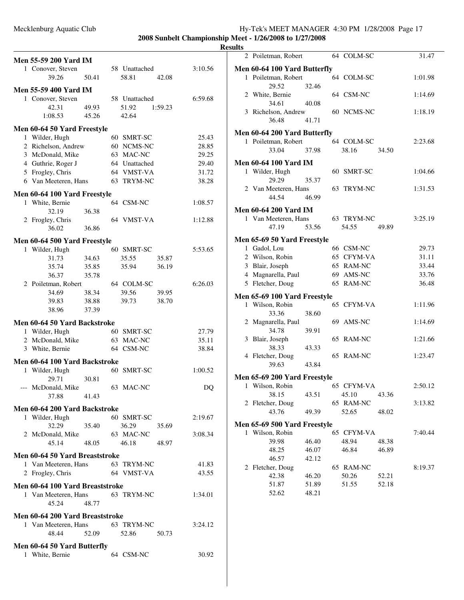| <b>Men 55-59 200 Yard IM</b>                            |                |                            |         |                |
|---------------------------------------------------------|----------------|----------------------------|---------|----------------|
| 1 Conover, Steven                                       |                | 58 Unattached              |         | 3:10.56        |
| 39.26                                                   | 50.41          | 58.81                      | 42.08   |                |
| <b>Men 55-59 400 Yard IM</b>                            |                |                            |         |                |
| 1 Conover, Steven                                       |                | 58 Unattached              |         | 6:59.68        |
| 42.31                                                   | 49.93          | 51.92                      | 1:59.23 |                |
| 1:08.53                                                 | 45.26          | 42.64                      |         |                |
|                                                         |                |                            |         |                |
| Men 60-64 50 Yard Freestyle                             |                |                            |         |                |
| 1 Wilder, Hugh                                          |                | 60 SMRT-SC                 |         | 25.43          |
| 2 Richelson, Andrew                                     |                | 60 NCMS-NC                 |         | 28.85          |
| 3 McDonald, Mike                                        |                | 63 MAC-NC<br>64 Unattached |         | 29.25          |
| 4 Guthrie, Roger J<br>5 Frogley, Chris                  |                | 64 VMST-VA                 |         | 29.40<br>31.72 |
| 6 Van Meeteren, Hans                                    |                | 63 TRYM-NC                 |         | 38.28          |
|                                                         |                |                            |         |                |
| Men 60-64 100 Yard Freestyle                            |                |                            |         |                |
| 1 White, Bernie                                         |                | 64 CSM-NC                  |         | 1:08.57        |
| 32.19                                                   | 36.38          |                            |         |                |
| 2 Frogley, Chris                                        |                | 64 VMST-VA                 |         | 1:12.88        |
| 36.02                                                   | 36.86          |                            |         |                |
| Men 60-64 500 Yard Freestyle                            |                |                            |         |                |
| 1 Wilder, Hugh                                          |                | 60 SMRT-SC                 |         | 5:53.65        |
| 31.73                                                   | 34.63          | 35.55                      | 35.87   |                |
| 35.74                                                   | 35.85          | 35.94                      | 36.19   |                |
| 36.37                                                   | 35.78          |                            |         |                |
| 2 Poiletman, Robert                                     |                | 64 COLM-SC                 |         | 6:26.03        |
| 34.69                                                   | 38.34          | 39.56                      | 39.95   |                |
| 39.83<br>38.96                                          | 38.88<br>37.39 | 39.73                      | 38.70   |                |
|                                                         |                |                            |         |                |
| Men 60-64 50 Yard Backstroke                            |                |                            |         |                |
| 1 Wilder, Hugh                                          |                | 60 SMRT-SC                 |         | 27.79          |
| 2 McDonald, Mike                                        |                | 63 MAC-NC                  |         | 35.11          |
| 3 White, Bernie                                         |                | 64 CSM-NC                  |         | 38.84          |
| Men 60-64 100 Yard Backstroke                           |                |                            |         |                |
| 1 Wilder, Hugh                                          |                | 60 SMRT-SC                 |         | 1:00.52        |
| 29.71                                                   | 30.81          |                            |         |                |
| --- McDonald, Mike                                      |                | 63 MAC-NC                  |         | DQ             |
| 37.88                                                   | 41.43          |                            |         |                |
| Men 60-64 200 Yard Backstroke                           |                |                            |         |                |
| 1 Wilder, Hugh                                          |                | 60 SMRT-SC                 |         | 2:19.67        |
| 32.29                                                   | 35.40          | 36.29                      | 35.69   |                |
| 2 McDonald, Mike                                        |                | 63 MAC-NC                  |         | 3:08.34        |
| 45.14                                                   | 48.05          | 46.18                      | 48.97   |                |
| Men 60-64 50 Yard Breaststroke                          |                |                            |         |                |
| 1 Van Meeteren, Hans                                    |                | 63 TRYM-NC                 |         | 41.83          |
| 2 Frogley, Chris                                        |                | 64 VMST-VA                 |         | 43.55          |
|                                                         |                |                            |         |                |
| Men 60-64 100 Yard Breaststroke<br>1 Van Meeteren, Hans |                | 63 TRYM-NC                 |         |                |
| 45.24                                                   | 48.77          |                            |         | 1:34.01        |
|                                                         |                |                            |         |                |
| Men 60-64 200 Yard Breaststroke                         |                |                            |         |                |
| 1 Van Meeteren, Hans                                    |                | 63 TRYM-NC                 |         | 3:24.12        |
| 48.44                                                   | 52.09          | 52.86                      | 50.73   |                |
| Men 60-64 50 Yard Butterfly                             |                |                            |         |                |
| 1 White, Bernie                                         |                | 64 CSM-NC                  |         | 30.92          |

| . |                                         |       |    |            |       |         |
|---|-----------------------------------------|-------|----|------------|-------|---------|
|   | 2 Poiletman, Robert                     |       |    | 64 COLM-SC |       | 31.47   |
|   | Men 60-64 100 Yard Butterfly            |       |    |            |       |         |
|   | 1 Poiletman, Robert                     |       |    | 64 COLM-SC |       | 1:01.98 |
|   | 29.52                                   | 32.46 |    |            |       |         |
|   | 2 White, Bernie                         |       |    | 64 CSM-NC  |       | 1:14.69 |
|   | 34.61                                   | 40.08 |    |            |       |         |
|   | 3 Richelson, Andrew                     |       |    | 60 NCMS-NC |       | 1:18.19 |
|   | 36.48                                   | 41.71 |    |            |       |         |
|   | Men 60-64 200 Yard Butterfly            |       |    |            |       |         |
|   | 1 Poiletman, Robert                     |       |    | 64 COLM-SC |       | 2:23.68 |
|   | 33.04                                   | 37.98 |    | 38.16      | 34.50 |         |
|   |                                         |       |    |            |       |         |
|   | Men 60-64 100 Yard IM<br>1 Wilder, Hugh |       |    | 60 SMRT-SC |       | 1:04.66 |
|   | 29.29                                   | 35.37 |    |            |       |         |
|   | 2 Van Meeteren, Hans                    |       |    | 63 TRYM-NC |       | 1:31.53 |
|   | 44.54                                   | 46.99 |    |            |       |         |
|   |                                         |       |    |            |       |         |
|   | <b>Men 60-64 200 Yard IM</b>            |       |    |            |       |         |
|   | 1 Van Meeteren, Hans                    |       |    | 63 TRYM-NC |       | 3:25.19 |
|   | 47.19                                   | 53.56 |    | 54.55      | 49.89 |         |
|   | Men 65-69 50 Yard Freestyle             |       |    |            |       |         |
|   | 1 Gadol, Lou                            |       |    | 66 CSM-NC  |       | 29.73   |
|   | 2 Wilson, Robin                         |       |    | 65 CFYM-VA |       | 31.11   |
|   | 3 Blair, Joseph                         |       |    | 65 RAM-NC  |       | 33.44   |
|   | 4 Magnarella, Paul                      |       |    | 69 AMS-NC  |       | 33.76   |
|   | 5 Fletcher, Doug                        |       |    | 65 RAM-NC  |       | 36.48   |
|   | <b>Men 65-69 100 Yard Freestyle</b>     |       |    |            |       |         |
|   | 1 Wilson, Robin                         |       |    | 65 CFYM-VA |       | 1:11.96 |
|   | 33.36                                   | 38.60 |    |            |       |         |
|   | 2 Magnarella, Paul                      |       |    | 69 AMS-NC  |       | 1:14.69 |
|   | 34.78                                   | 39.91 |    |            |       |         |
|   | 3 Blair, Joseph                         |       | 65 | RAM-NC     |       | 1:21.66 |
|   | 38.33                                   | 43.33 |    |            |       |         |
|   | 4 Fletcher, Doug                        |       |    | 65 RAM-NC  |       | 1:23.47 |
|   | 39.63                                   | 43.84 |    |            |       |         |
|   | Men 65-69 200 Yard Freestyle            |       |    |            |       |         |
| 1 | Wilson, Robin                           |       |    | 65 CFYM-VA |       | 2:50.12 |
|   | 38.15                                   | 43.51 |    | 45.10      | 43.36 |         |
|   | 2 Fletcher, Doug                        |       |    | 65 RAM-NC  |       | 3:13.82 |
|   | 43.76                                   | 49.39 |    | 52.65      | 48.02 |         |
|   | Men 65-69 500 Yard Freestyle            |       |    |            |       |         |
|   | 1 Wilson, Robin                         |       |    | 65 CFYM-VA |       | 7:40.44 |
|   | 39.98                                   | 46.40 |    | 48.94      | 48.38 |         |
|   | 48.25                                   | 46.07 |    | 46.84      | 46.89 |         |
|   | 46.57                                   | 42.12 |    |            |       |         |
|   | 2 Fletcher, Doug                        |       |    | 65 RAM-NC  |       | 8:19.37 |
|   | 42.38                                   | 46.20 |    | 50.26      | 52.21 |         |
|   | 51.87                                   | 51.89 |    | 51.55      | 52.18 |         |
|   | 52.62                                   | 48.21 |    |            |       |         |
|   |                                         |       |    |            |       |         |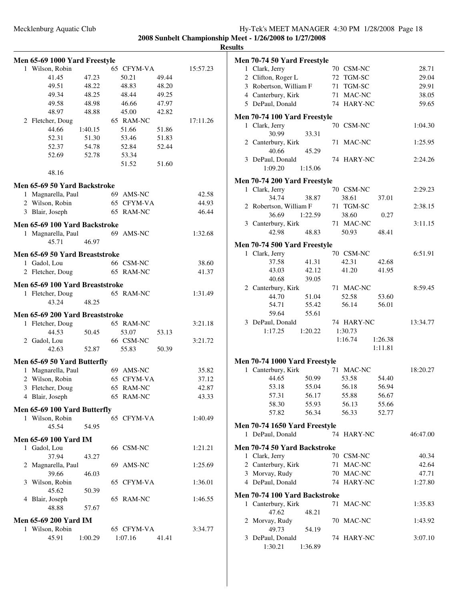| 1 Magnarella, Paul<br>45.71<br>Men 65-69 50 Yard Breaststroke<br>Gadol, Lou<br>2 Fletcher, Doug<br>Men 65-69 100 Yard Breaststroke<br>1 Fletcher, Doug<br>43.24<br>Men 65-69 200 Yard Breaststroke<br>1 Fletcher, Doug<br>44.53<br>2 Gadol, Lou<br>42.63<br>Men 65-69 50 Yard Butterfly<br>1 Magnarella, Paul<br>Wilson, Robin<br>2<br>3 Fletcher, Doug<br>4 Blair, Joseph<br>Men 65-69 100 Yard Butterfly<br>1 Wilson, Robin<br>45.54<br><b>Men 65-69 100 Yard IM</b><br>1 Gadol, Lou<br>37.94<br>2 Magnarella, Paul<br>39.66<br>3 Wilson, Robin<br>45.62<br>4 Blair, Joseph<br>48.88 | 46.97<br>48.25<br>50.45<br>52.87<br>54.95<br>43.27<br>46.03<br>50.39<br>57.67                       | 69                                                       | 66 CSM-NC<br>65 RAM-NC<br>65 RAM-NC<br>65 RAM-NC<br>53.07<br>66 CSM-NC<br>55.83<br>69 AMS-NC<br>65 CFYM-VA<br>65 RAM-NC<br>65 RAM-NC<br>65 CFYM-VA<br>66 CSM-NC<br>AMS-NC<br>65 CFYM-VA<br>65 RAM-NC | 53.13<br>50.39                                                                                                   | 38.60<br>41.37<br>1:31.49<br>3:21.18<br>3:21.72<br>35.82<br>37.12<br>42.87<br>43.33<br>1:40.49<br>1:21.21<br>1:25.69<br>1:36.01<br>1:46.55 |
|----------------------------------------------------------------------------------------------------------------------------------------------------------------------------------------------------------------------------------------------------------------------------------------------------------------------------------------------------------------------------------------------------------------------------------------------------------------------------------------------------------------------------------------------------------------------------------------|-----------------------------------------------------------------------------------------------------|----------------------------------------------------------|------------------------------------------------------------------------------------------------------------------------------------------------------------------------------------------------------|------------------------------------------------------------------------------------------------------------------|--------------------------------------------------------------------------------------------------------------------------------------------|
|                                                                                                                                                                                                                                                                                                                                                                                                                                                                                                                                                                                        |                                                                                                     |                                                          |                                                                                                                                                                                                      |                                                                                                                  |                                                                                                                                            |
|                                                                                                                                                                                                                                                                                                                                                                                                                                                                                                                                                                                        |                                                                                                     |                                                          |                                                                                                                                                                                                      |                                                                                                                  |                                                                                                                                            |
|                                                                                                                                                                                                                                                                                                                                                                                                                                                                                                                                                                                        |                                                                                                     |                                                          |                                                                                                                                                                                                      |                                                                                                                  |                                                                                                                                            |
|                                                                                                                                                                                                                                                                                                                                                                                                                                                                                                                                                                                        |                                                                                                     |                                                          |                                                                                                                                                                                                      |                                                                                                                  |                                                                                                                                            |
|                                                                                                                                                                                                                                                                                                                                                                                                                                                                                                                                                                                        |                                                                                                     |                                                          |                                                                                                                                                                                                      |                                                                                                                  |                                                                                                                                            |
|                                                                                                                                                                                                                                                                                                                                                                                                                                                                                                                                                                                        |                                                                                                     |                                                          |                                                                                                                                                                                                      |                                                                                                                  |                                                                                                                                            |
|                                                                                                                                                                                                                                                                                                                                                                                                                                                                                                                                                                                        |                                                                                                     |                                                          |                                                                                                                                                                                                      |                                                                                                                  |                                                                                                                                            |
|                                                                                                                                                                                                                                                                                                                                                                                                                                                                                                                                                                                        |                                                                                                     |                                                          |                                                                                                                                                                                                      |                                                                                                                  |                                                                                                                                            |
|                                                                                                                                                                                                                                                                                                                                                                                                                                                                                                                                                                                        |                                                                                                     |                                                          |                                                                                                                                                                                                      |                                                                                                                  |                                                                                                                                            |
|                                                                                                                                                                                                                                                                                                                                                                                                                                                                                                                                                                                        |                                                                                                     |                                                          |                                                                                                                                                                                                      |                                                                                                                  |                                                                                                                                            |
|                                                                                                                                                                                                                                                                                                                                                                                                                                                                                                                                                                                        |                                                                                                     |                                                          |                                                                                                                                                                                                      |                                                                                                                  |                                                                                                                                            |
|                                                                                                                                                                                                                                                                                                                                                                                                                                                                                                                                                                                        |                                                                                                     |                                                          |                                                                                                                                                                                                      |                                                                                                                  |                                                                                                                                            |
|                                                                                                                                                                                                                                                                                                                                                                                                                                                                                                                                                                                        |                                                                                                     |                                                          |                                                                                                                                                                                                      |                                                                                                                  |                                                                                                                                            |
|                                                                                                                                                                                                                                                                                                                                                                                                                                                                                                                                                                                        |                                                                                                     |                                                          |                                                                                                                                                                                                      |                                                                                                                  |                                                                                                                                            |
|                                                                                                                                                                                                                                                                                                                                                                                                                                                                                                                                                                                        |                                                                                                     |                                                          |                                                                                                                                                                                                      |                                                                                                                  |                                                                                                                                            |
|                                                                                                                                                                                                                                                                                                                                                                                                                                                                                                                                                                                        |                                                                                                     |                                                          |                                                                                                                                                                                                      |                                                                                                                  |                                                                                                                                            |
|                                                                                                                                                                                                                                                                                                                                                                                                                                                                                                                                                                                        |                                                                                                     |                                                          |                                                                                                                                                                                                      |                                                                                                                  |                                                                                                                                            |
|                                                                                                                                                                                                                                                                                                                                                                                                                                                                                                                                                                                        |                                                                                                     |                                                          |                                                                                                                                                                                                      |                                                                                                                  |                                                                                                                                            |
|                                                                                                                                                                                                                                                                                                                                                                                                                                                                                                                                                                                        |                                                                                                     |                                                          |                                                                                                                                                                                                      |                                                                                                                  |                                                                                                                                            |
|                                                                                                                                                                                                                                                                                                                                                                                                                                                                                                                                                                                        |                                                                                                     |                                                          |                                                                                                                                                                                                      |                                                                                                                  |                                                                                                                                            |
|                                                                                                                                                                                                                                                                                                                                                                                                                                                                                                                                                                                        |                                                                                                     |                                                          |                                                                                                                                                                                                      |                                                                                                                  |                                                                                                                                            |
|                                                                                                                                                                                                                                                                                                                                                                                                                                                                                                                                                                                        |                                                                                                     |                                                          | 69 AMS-NC                                                                                                                                                                                            |                                                                                                                  | 1:32.68                                                                                                                                    |
| Men 65-69 100 Yard Backstroke                                                                                                                                                                                                                                                                                                                                                                                                                                                                                                                                                          |                                                                                                     |                                                          |                                                                                                                                                                                                      |                                                                                                                  |                                                                                                                                            |
| 3 Blair, Joseph                                                                                                                                                                                                                                                                                                                                                                                                                                                                                                                                                                        |                                                                                                     | 65                                                       | <b>RAM-NC</b>                                                                                                                                                                                        |                                                                                                                  | 46.44                                                                                                                                      |
|                                                                                                                                                                                                                                                                                                                                                                                                                                                                                                                                                                                        |                                                                                                     |                                                          |                                                                                                                                                                                                      |                                                                                                                  | 44.93                                                                                                                                      |
|                                                                                                                                                                                                                                                                                                                                                                                                                                                                                                                                                                                        |                                                                                                     |                                                          |                                                                                                                                                                                                      |                                                                                                                  | 42.58                                                                                                                                      |
|                                                                                                                                                                                                                                                                                                                                                                                                                                                                                                                                                                                        |                                                                                                     |                                                          |                                                                                                                                                                                                      |                                                                                                                  |                                                                                                                                            |
|                                                                                                                                                                                                                                                                                                                                                                                                                                                                                                                                                                                        |                                                                                                     |                                                          |                                                                                                                                                                                                      | 51.60                                                                                                            |                                                                                                                                            |
| 52.69                                                                                                                                                                                                                                                                                                                                                                                                                                                                                                                                                                                  | 52.78                                                                                               |                                                          |                                                                                                                                                                                                      |                                                                                                                  |                                                                                                                                            |
| 52.37                                                                                                                                                                                                                                                                                                                                                                                                                                                                                                                                                                                  | 54.78                                                                                               |                                                          |                                                                                                                                                                                                      | 52.44                                                                                                            |                                                                                                                                            |
| 52.31                                                                                                                                                                                                                                                                                                                                                                                                                                                                                                                                                                                  | 51.30                                                                                               |                                                          |                                                                                                                                                                                                      | 51.83                                                                                                            |                                                                                                                                            |
|                                                                                                                                                                                                                                                                                                                                                                                                                                                                                                                                                                                        |                                                                                                     |                                                          |                                                                                                                                                                                                      |                                                                                                                  |                                                                                                                                            |
|                                                                                                                                                                                                                                                                                                                                                                                                                                                                                                                                                                                        |                                                                                                     |                                                          |                                                                                                                                                                                                      |                                                                                                                  | 17:11.26                                                                                                                                   |
|                                                                                                                                                                                                                                                                                                                                                                                                                                                                                                                                                                                        |                                                                                                     |                                                          |                                                                                                                                                                                                      |                                                                                                                  |                                                                                                                                            |
|                                                                                                                                                                                                                                                                                                                                                                                                                                                                                                                                                                                        |                                                                                                     |                                                          |                                                                                                                                                                                                      |                                                                                                                  |                                                                                                                                            |
| 49.51                                                                                                                                                                                                                                                                                                                                                                                                                                                                                                                                                                                  | 48.22                                                                                               |                                                          |                                                                                                                                                                                                      | 48.20                                                                                                            |                                                                                                                                            |
| 41.45                                                                                                                                                                                                                                                                                                                                                                                                                                                                                                                                                                                  | 47.23                                                                                               |                                                          |                                                                                                                                                                                                      | 49.44                                                                                                            |                                                                                                                                            |
|                                                                                                                                                                                                                                                                                                                                                                                                                                                                                                                                                                                        |                                                                                                     |                                                          |                                                                                                                                                                                                      |                                                                                                                  | 15:57.23                                                                                                                                   |
|                                                                                                                                                                                                                                                                                                                                                                                                                                                                                                                                                                                        |                                                                                                     |                                                          |                                                                                                                                                                                                      |                                                                                                                  |                                                                                                                                            |
|                                                                                                                                                                                                                                                                                                                                                                                                                                                                                                                                                                                        | 1 Wilson, Robin<br>49.34<br>49.58<br>48.97<br>2 Fletcher, Doug<br>44.66<br>48.16<br>2 Wilson, Robin | 48.25<br>48.98<br>48.88<br>1:40.15<br>1 Magnarella, Paul | Men 65-69 1000 Yard Freestyle<br>Men 65-69 50 Yard Backstroke                                                                                                                                        | 50.21<br>48.83<br>48.44<br>46.66<br>45.00<br>65 RAM-NC<br>51.66<br>53.46<br>52.84<br>53.34<br>51.52<br>69 AMS-NC | 65 CFYM-VA<br>49.25<br>47.97<br>42.82<br>51.86<br>65 CFYM-VA                                                                               |

|   | Men 70-74 50 Yard Freestyle         |         |            |         |          |
|---|-------------------------------------|---------|------------|---------|----------|
|   | 1 Clark, Jerry                      |         | 70 CSM-NC  |         | 28.71    |
|   | 2 Clifton, Roger L                  |         | 72 TGM-SC  |         | 29.04    |
|   | 3 Robertson, William F              |         | 71 TGM-SC  |         | 29.91    |
|   | 4 Canterbury, Kirk                  |         | 71 MAC-NC  |         | 38.05    |
|   | 5 DePaul, Donald                    |         | 74 HARY-NC |         | 59.65    |
|   | Men 70-74 100 Yard Freestyle        |         |            |         |          |
|   | 1 Clark, Jerry                      |         | 70 CSM-NC  |         | 1:04.30  |
|   | 30.99                               | 33.31   |            |         |          |
|   | 2 Canterbury, Kirk                  |         | 71 MAC-NC  |         | 1:25.95  |
|   | 40.66                               | 45.29   |            |         |          |
|   | 3 DePaul, Donald                    |         | 74 HARY-NC |         | 2:24.26  |
|   | 1:09.20                             | 1:15.06 |            |         |          |
|   | <b>Men 70-74 200 Yard Freestyle</b> |         |            |         |          |
|   | 1 Clark, Jerry                      |         | 70 CSM-NC  |         | 2:29.23  |
|   | 34.74                               | 38.87   | 38.61      | 37.01   |          |
|   | 2 Robertson, William F              |         | 71 TGM-SC  |         | 2:38.15  |
|   | 36.69                               | 1:22.59 | 38.60      | 0.27    |          |
|   | 3 Canterbury, Kirk                  |         | 71 MAC-NC  |         | 3:11.15  |
|   | 42.98                               | 48.83   | 50.93      | 48.41   |          |
|   |                                     |         |            |         |          |
|   | <b>Men 70-74 500 Yard Freestyle</b> |         |            |         |          |
|   | 1 Clark, Jerry                      |         | 70 CSM-NC  |         | 6:51.91  |
|   | 37.58                               | 41.31   | 42.31      | 42.68   |          |
|   | 43.03                               | 42.12   | 41.20      | 41.95   |          |
|   | 40.68                               | 39.05   |            |         |          |
|   | 2 Canterbury, Kirk                  |         | 71 MAC-NC  |         | 8:59.45  |
|   | 44.70                               | 51.04   | 52.58      | 53.60   |          |
|   | 54.71                               | 55.42   | 56.14      | 56.01   |          |
|   | 59.64                               | 55.61   |            |         |          |
|   | 3 DePaul, Donald                    |         | 74 HARY-NC |         | 13:34.77 |
|   | 1:17.25                             | 1:20.22 | 1:30.73    |         |          |
|   |                                     |         | 1:16.74    | 1:26.38 |          |
|   |                                     |         |            | 1:11.81 |          |
|   | Men 70-74 1000 Yard Freestyle       |         |            |         |          |
|   | 1 Canterbury, Kirk                  |         | 71 MAC-NC  |         | 18:20.27 |
|   | 44.65                               | 50.99   | 53.58      | 54.40   |          |
|   | 53.18                               | 55.04   | 56.18      | 56.94   |          |
|   | 57.31                               | 56.17   | 55.88      | 56.67   |          |
|   | 58.30                               | 55.93   | 56.13      | 55.66   |          |
|   | 57.82                               | 56.34   | 56.33      | 52.77   |          |
|   | Men 70-74 1650 Yard Freestyle       |         |            |         |          |
|   | 1 DePaul, Donald                    |         | 74 HARY-NC |         | 46:47.00 |
|   | <b>Men 70-74 50 Yard Backstroke</b> |         |            |         |          |
|   | 1 Clark, Jerry                      |         | 70 CSM-NC  |         | 40.34    |
|   | 2 Canterbury, Kirk                  |         | 71 MAC-NC  |         | 42.64    |
|   | 3 Morvay, Rudy                      |         | 70 MAC-NC  |         | 47.71    |
|   | 4 DePaul, Donald                    |         | 74 HARY-NC |         | 1:27.80  |
|   |                                     |         |            |         |          |
|   | Men 70-74 100 Yard Backstroke       |         | 71 MAC-NC  |         | 1:35.83  |
|   | 1 Canterbury, Kirk<br>47.62         |         |            |         |          |
|   |                                     | 48.21   |            |         |          |
| 2 | Morvay, Rudy<br>49.73               |         | 70 MAC-NC  |         | 1:43.92  |
| 3 | DePaul, Donald                      | 54.19   | 74 HARY-NC |         | 3:07.10  |
|   | 1:30.21                             | 1:36.89 |            |         |          |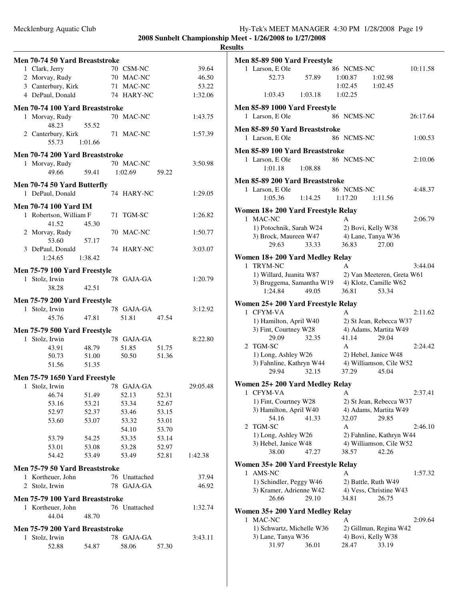| Men 70-74 50 Yard Breaststroke      |                |                             |                |                |
|-------------------------------------|----------------|-----------------------------|----------------|----------------|
| 1 Clark, Jerry                      |                | 70 CSM-NC                   |                | 39.64          |
| 2 Morvay, Rudy                      |                | 70 MAC-NC                   |                | 46.50          |
| 3 Canterbury, Kirk                  |                | 71 MAC-NC                   |                | 53.22          |
| 4 DePaul, Donald                    |                | 74 HARY-NC                  |                | 1:32.06        |
| Men 70-74 100 Yard Breaststroke     |                |                             |                |                |
| 1 Morvay, Rudy                      |                | 70 MAC-NC                   |                | 1:43.75        |
| 48.23                               | 55.52          |                             |                |                |
| 2 Canterbury, Kirk                  |                | 71 MAC-NC                   |                | 1:57.39        |
| 55.73                               | 1:01.66        |                             |                |                |
| Men 70-74 200 Yard Breaststroke     |                |                             |                |                |
| 1 Morvay, Rudy                      |                | 70 MAC-NC                   |                | 3:50.98        |
| 49.66                               | 59.41          | 1:02.69                     | 59.22          |                |
| Men 70-74 50 Yard Butterfly         |                |                             |                |                |
| 1 DePaul, Donald                    |                | 74 HARY-NC                  |                | 1:29.05        |
| <b>Men 70-74 100 Yard IM</b>        |                |                             |                |                |
| 1 Robertson, William F              |                | 71 TGM-SC                   |                | 1:26.82        |
| 41.52                               | 45.30          |                             |                |                |
| 2 Morvay, Rudy                      |                | 70 MAC-NC                   |                | 1:50.77        |
| 53.60                               | 57.17          |                             |                |                |
| 3 DePaul, Donald                    |                | 74 HARY-NC                  |                | 3:03.07        |
| 1:24.65                             | 1:38.42        |                             |                |                |
| Men 75-79 100 Yard Freestyle        |                |                             |                |                |
| 1 Stolz, Irwin                      |                | 78 GAJA-GA                  |                | 1:20.79        |
| 38.28                               | 42.51          |                             |                |                |
| Men 75-79 200 Yard Freestyle        |                |                             |                |                |
| 1 Stolz, Irwin                      |                | 78 GAJA-GA                  |                | 3:12.92        |
| 45.76                               | 47.81          | 51.81                       | 47.54          |                |
| Men 75-79 500 Yard Freestyle        |                |                             |                |                |
| 1 Stolz, Irwin                      |                | 78 GAJA-GA                  |                | 8:22.80        |
| 43.91                               | 48.79          | 51.85                       | 51.75          |                |
| 50.73                               | 51.00          | 50.50                       | 51.36          |                |
| 51.56                               | 51.35          |                             |                |                |
| Men 75-79 1650 Yard Freestyle       |                |                             |                |                |
| 1 Stolz, Irwin 78 GAJA-GA           |                |                             |                | 29:05.48       |
| 46.74                               | 51.49          | 52.13                       | 52.31          |                |
| 53.16                               | 53.21          | 53.34                       | 52.67          |                |
| 52.97                               | 52.37          | 53.46                       | 53.15          |                |
| 53.60                               | 53.07          | 53.32                       | 53.01          |                |
|                                     |                | 54.10                       | 53.70          |                |
| 53.79<br>53.01                      | 54.25<br>53.08 | 53.35<br>53.28              | 53.14<br>52.97 |                |
| 54.42                               | 53.49          | 53.49                       | 52.81          | 1:42.38        |
|                                     |                |                             |                |                |
| Men 75-79 50 Yard Breaststroke      |                |                             |                |                |
| 1 Kortheuer, John<br>2 Stolz, Irwin |                | 76 Unattached<br>78 GAJA-GA |                | 37.94<br>46.92 |
|                                     |                |                             |                |                |
| Men 75-79 100 Yard Breaststroke     |                |                             |                |                |
| 1 Kortheuer, John                   |                | 76 Unattached               |                | 1:32.74        |
| 44.04                               | 48.70          |                             |                |                |
| Men 75-79 200 Yard Breaststroke     |                |                             |                |                |
| 1 Stolz, Irwin                      |                | 78 GAJA-GA                  |                | 3:43.11        |
| 52.88                               | 54.87          | 58.06                       | 57.30          |                |

|                                 | <b>Men 85-89 500 Yard Freestyle</b>         |         |                     |                                |          |
|---------------------------------|---------------------------------------------|---------|---------------------|--------------------------------|----------|
|                                 | 1 Larson, E Ole                             |         | 86 NCMS-NC          |                                | 10:11.58 |
|                                 | 52.73                                       | 57.89   | 1:00.87             | 1:02.98                        |          |
|                                 |                                             |         | 1:02.45             | 1:02.45                        |          |
|                                 | 1:03.43                                     | 1:03.18 | 1:02.25             |                                |          |
|                                 | Men 85-89 1000 Yard Freestyle               |         |                     |                                |          |
|                                 | 1 Larson, E Ole                             |         | 86 NCMS-NC          |                                | 26:17.64 |
|                                 | Men 85-89 50 Yard Breaststroke              |         |                     |                                |          |
|                                 | 1 Larson, E Ole                             |         | 86 NCMS-NC          |                                | 1:00.53  |
|                                 | Men 85-89 100 Yard Breaststroke             |         |                     |                                |          |
|                                 | 1 Larson, E Ole                             |         | 86 NCMS-NC          |                                | 2:10.06  |
|                                 | 1:01.18                                     | 1:08.88 |                     |                                |          |
|                                 | Men 85-89 200 Yard Breaststroke             |         |                     |                                |          |
|                                 | 1 Larson, E Ole                             |         | 86 NCMS-NC          |                                | 4:48.37  |
|                                 | 1:05.36                                     | 1:14.25 | 1:17.20             | 1:11.56                        |          |
|                                 | Women 18+200 Yard Freestyle Relay           |         |                     |                                |          |
|                                 | 1 MAC-NC                                    |         | A                   |                                | 2:06.79  |
|                                 | 1) Potochnik, Sarah W24                     |         | 2) Bovi, Kelly W38  |                                |          |
|                                 | 3) Brock, Maureen W47                       |         | 4) Lane, Tanya W36  |                                |          |
|                                 | 29.63                                       | 33.33   | 36.83               | 27.00                          |          |
|                                 |                                             |         |                     |                                |          |
|                                 | Women 18+200 Yard Medley Relay<br>1 TRYM-NC |         |                     |                                |          |
|                                 | 1) Willard, Juanita W87                     |         | A                   | 2) Van Meeteren, Greta W61     | 3:44.04  |
|                                 | 3) Bruggema, Samantha W19                   |         |                     | 4) Klotz, Camille W62          |          |
|                                 | 1:24.84                                     | 49.05   | 36.81               | 53.34                          |          |
|                                 |                                             |         |                     |                                |          |
|                                 | Women 25+ 200 Yard Freestyle Relay          |         |                     |                                |          |
|                                 | 1 CFYM-VA                                   |         | A                   |                                | 2:11.62  |
|                                 | 1) Hamilton, April W40                      |         |                     | 2) St Jean, Rebecca W37        |          |
|                                 | 3) Fint, Courtney W28<br>29.09              | 32.35   | 41.14               | 4) Adams, Martita W49<br>29.04 |          |
|                                 | 2 TGM-SC                                    |         | A                   |                                | 2:24.42  |
|                                 | 1) Long, Ashley W26                         |         |                     | 2) Hebel, Janice W48           |          |
|                                 | 3) Fahnline, Kathryn W44                    |         |                     | 4) Williamson, Cile W52        |          |
|                                 | 29.94                                       | 32.15   | 37.29               | 45.04                          |          |
|                                 |                                             |         |                     |                                |          |
| 1                               | Women 25+ 200 Yard Medley Relay<br>CFYM-VA  |         |                     |                                | 2:37.41  |
|                                 | 1) Fint, Courtney W28                       |         | А                   | 2) St Jean, Rebecca W37        |          |
|                                 | 3) Hamilton, April W40                      |         |                     | 4) Adams, Martita W49          |          |
|                                 | 54.16                                       | 41.33   | 32.07               | 29.85                          |          |
| 2                               | TGM-SC                                      |         | А                   |                                | 2:46.10  |
|                                 | 1) Long, Ashley W26                         |         |                     | 2) Fahnline, Kathryn W44       |          |
|                                 | 3) Hebel, Janice W48                        |         |                     | 4) Williamson, Cile W52        |          |
|                                 | 38.00                                       | 47.27   | 38.57               | 42.26                          |          |
|                                 | Women 35+ 200 Yard Freestyle Relay          |         |                     |                                |          |
| 1                               | AMS-NC                                      |         | А                   |                                | 1:57.32  |
|                                 | 1) Schindler, Peggy W46                     |         | 2) Battle, Ruth W49 |                                |          |
|                                 | 3) Kramer, Adrienne W42                     |         |                     | 4) Vess, Christine W43         |          |
|                                 | 26.66                                       | 29.10   | 34.81               | 26.75                          |          |
| Women 35+ 200 Yard Medley Relay |                                             |         |                     |                                |          |
|                                 | 1 MAC-NC                                    |         | А                   |                                | 2:09.64  |
|                                 | 1) Schwartz, Michelle W36                   |         |                     | 2) Gillman, Regina W42         |          |
|                                 | 3) Lane, Tanya W36                          |         | 4) Bovi, Kelly W38  |                                |          |
|                                 | 31.97                                       | 36.01   | 28.47               | 33.19                          |          |
|                                 |                                             |         |                     |                                |          |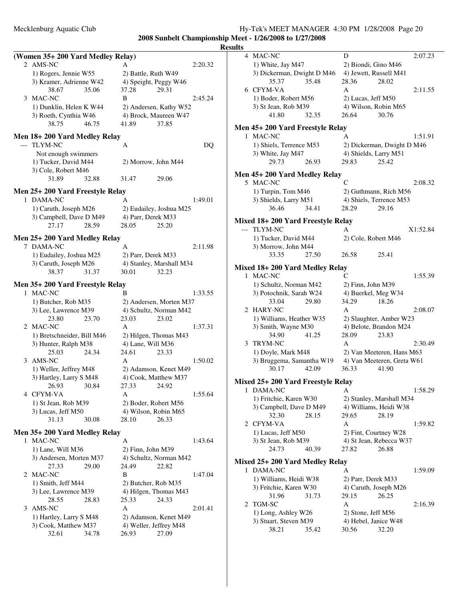**2008 Sunbelt Championship Meet - 1/26/2008 to 1/27/2008**  $\frac{\rho \text{N}}{\text{results}}$ 

|       |                                  |                          |         | $\mathbf{R}$ |
|-------|----------------------------------|--------------------------|---------|--------------|
|       | (Women 35+200 Yard Medley Relay) |                          |         |              |
|       | 2 AMS-NC                         | А                        | 2:20.32 |              |
|       | 1) Rogers, Jennie W55            | 2) Battle, Ruth W49      |         |              |
|       | 3) Kramer, Adrienne W42          | 4) Speight, Peggy W46    |         |              |
|       | 38.67<br>35.06                   | 37.28<br>29.31           |         |              |
| 3     | MAC-NC                           | B                        | 2:45.24 |              |
|       | 1) Dunklin, Helen K W44          | 2) Andersen, Kathy W52   |         |              |
|       | 3) Roeth, Cynthia W46            | 4) Brock, Maureen W47    |         |              |
|       | 38.75<br>46.75                   | 41.89<br>37.85           |         |              |
|       | Men 18+200 Yard Medley Relay     |                          |         |              |
| $---$ | <b>TLYM-NC</b>                   | А                        | DQ      |              |
|       | Not enough swimmers              |                          |         |              |
|       | 1) Tucker, David M44             | 2) Morrow, John M44      |         |              |
|       | 3) Cole, Robert M46              |                          |         |              |
|       | 31.89<br>32.88                   | 31.47<br>29.06           |         |              |
|       |                                  |                          |         |              |
|       | Men 25+ 200 Yard Freestyle Relay |                          |         |              |
| 1     | DAMA-NC                          | A                        | 1:49.01 |              |
|       | 1) Caruth, Joseph M26            | 2) Eudailey, Joshua M25  |         |              |
|       | 3) Campbell, Dave D M49          | 4) Parr, Derek M33       |         |              |
|       | 28.59<br>27.17                   | 28.05<br>25.20           |         |              |
|       | Men 25+ 200 Yard Medley Relay    |                          |         |              |
|       | 7 DAMA-NC                        | А                        | 2:11.98 |              |
|       | 1) Eudailey, Joshua M25          | 2) Parr, Derek M33       |         |              |
|       | 3) Caruth, Joseph M26            | 4) Stanley, Marshall M34 |         |              |
|       | 38.37<br>31.37                   | 30.01<br>32.23           |         |              |
|       |                                  |                          |         |              |
|       | Men 35+ 200 Yard Freestyle Relay |                          |         |              |
| 1     | <b>MAC-NC</b>                    | в                        | 1:33.55 |              |
|       | 1) Butcher, Rob M35              | 2) Andersen, Morten M37  |         |              |
|       | 3) Lee, Lawrence M39             | 4) Schultz, Norman M42   |         |              |
|       | 23.80<br>23.70                   | 23.03<br>23.02           |         |              |
| 2     | <b>MAC-NC</b>                    | A                        | 1:37.31 |              |
|       | 1) Bretschneider, Bill M46       | 2) Hilgen, Thomas M43    |         |              |
|       | 3) Hunter, Ralph M38             | 4) Lane, Will M36        |         |              |
|       | 25.03<br>24.34                   | 24.61<br>23.33           |         |              |
| 3     | AMS-NC                           | A                        | 1:50.02 |              |
|       | 1) Weller, Jeffrey M48           | 2) Adamson, Kenet M49    |         |              |
|       | 3) Hartley, Larry S M48          | 4) Cook, Matthew M37     |         |              |
|       | 26.93<br>30.84                   | 27.33<br>24.92           |         |              |
|       | 4 CFYM-VA                        | А                        | 1:55.64 |              |
|       | 1) St Jean, Rob M39              | 2) Boder, Robert M56     |         |              |
|       | 3) Lucas, Jeff M50               | 4) Wilson, Robin M65     |         |              |
|       | 31.13<br>30.08                   | 26.33<br>28.10           |         |              |
|       | Men 35+ 200 Yard Medley Relay    |                          |         |              |
| 1     | <b>MAC-NC</b>                    | A                        | 1:43.64 |              |
|       | 1) Lane, Will M36                | 2) Finn, John M39        |         |              |
|       | 3) Andersen, Morten M37          | 4) Schultz, Norman M42   |         |              |
|       | 27.33<br>29.00                   | 24.49<br>22.82           |         |              |
| 2     | MAC-NC                           | B                        | 1:47.04 |              |
|       | 1) Smith, Jeff M44               | 2) Butcher, Rob M35      |         |              |
|       | 3) Lee, Lawrence M39             | 4) Hilgen, Thomas M43    |         |              |
|       | 28.55<br>28.83                   | 25.33<br>24.33           |         |              |
| 3     | AMS-NC                           | A                        | 2:01.41 |              |
|       | 1) Hartley, Larry S M48          | 2) Adamson, Kenet M49    |         |              |
|       | 3) Cook, Matthew M37             | 4) Weller, Jeffrey M48   |         |              |
|       | 32.61<br>34.78                   | 26.93<br>27.09           |         |              |
|       |                                  |                          |         |              |
|       |                                  |                          |         |              |
|       |                                  |                          |         |              |

| ults |                                   |                            |
|------|-----------------------------------|----------------------------|
|      | 4 MAC-NC                          | 2:07.23<br>D               |
|      | 1) White, Jay M47                 | 2) Biondi, Gino M46        |
|      | 3) Dickerman, Dwight D M46        | 4) Jewett, Russell M41     |
|      | 35.48<br>35.37                    | 28.36<br>28.02             |
|      | 6 CFYM-VA                         | A<br>2:11.55               |
|      | 1) Boder, Robert M56              | 2) Lucas, Jeff M50         |
|      | 3) St Jean, Rob M39               | 4) Wilson, Robin M65       |
|      | 41.80<br>32.35                    | 26.64<br>30.76             |
|      | Men 45+200 Yard Freestyle Relay   |                            |
|      | 1 MAC-NC                          | 1:51.91<br>A               |
|      | 1) Shiels, Terrence M53           | 2) Dickerman, Dwight D M46 |
|      | 3) White, Jay M47                 | 4) Shields, Larry M51      |
|      | 29.73<br>26.93                    | 29.83<br>25.42             |
|      | Men 45+200 Yard Medley Relay      |                            |
|      | 5 MAC-NC                          | C<br>2:08.32               |
|      | 1) Turpin, Tom M46                | 2) Guthmann, Rich M56      |
|      | 3) Shields, Larry M51             | 4) Shiels, Terrence M53    |
|      | 36.46<br>34.41                    | 28.29<br>29.16             |
|      |                                   |                            |
|      | Mixed 18+200 Yard Freestyle Relay |                            |
|      | --- TLYM-NC                       | X1:52.84<br>A              |
|      | 1) Tucker, David M44              | 2) Cole, Robert M46        |
|      | 3) Morrow, John M44               |                            |
|      | 27.50<br>33.35                    | 26.58<br>25.41             |
|      | Mixed 18+200 Yard Medley Relay    |                            |
|      | 1 MAC-NC                          | C<br>1:55.39               |
|      | 1) Schultz, Norman M42            | 2) Finn, John M39          |
|      | 3) Potochnik, Sarah W24           | 4) Buerkel, Meg W34        |
|      | 33.04<br>29.80                    | 34.29<br>18.26             |
|      | 2 HARY-NC                         | 2:08.07<br>A               |
|      | 1) Williams, Heather W35          | 2) Slaughter, Amber W23    |
|      | 3) Smith, Wayne M30               | 4) Belote, Brandon M24     |
|      | 34.90<br>41.25                    | 28.09<br>23.83             |
|      | 3 TRYM-NC                         | A<br>2:30.49               |
|      | 1) Doyle, Mark M48                | 2) Van Meeteren, Hans M63  |
|      | 3) Bruggema, Samantha W19         | 4) Van Meeteren, Greta W61 |
|      | 30.17<br>42.09                    | 36.33<br>41.90             |
|      | Mixed 25+200 Yard Freestyle Relay |                            |
| 1    | DAMA-NC                           | А<br>1:58.29               |
|      | 1) Fritchie, Karen W30            | 2) Stanley, Marshall M34   |
|      | 3) Campbell, Dave D M49           | 4) Williams, Heidi W38     |
|      | 32.30<br>28.15                    | 29.65<br>28.19             |
|      | 2 CFYM-VA                         | A<br>1:59.82               |
|      | 1) Lucas, Jeff M50                | 2) Fint, Courtney W28      |
|      | 3) St Jean, Rob M39               | 4) St Jean, Rebecca W37    |
|      | 24.73<br>40.39                    | 27.82<br>26.88             |
|      | Mixed 25+200 Yard Medley Relay    |                            |
|      | 1 DAMA-NC                         | A<br>1:59.09               |
|      | 1) Williams, Heidi W38            | 2) Parr, Derek M33         |
|      | 3) Fritchie, Karen W30            | 4) Caruth, Joseph M26      |
|      | 31.96<br>31.73                    | 29.15<br>26.25             |
|      | 2 TGM-SC                          | A<br>2:16.39               |
|      | 1) Long, Ashley W26               | 2) Stone, Jeff M56         |
|      | 3) Stuart, Steven M39             | 4) Hebel, Janice W48       |
|      | 35.42<br>38.21                    | 30.56<br>32.20             |
|      |                                   |                            |